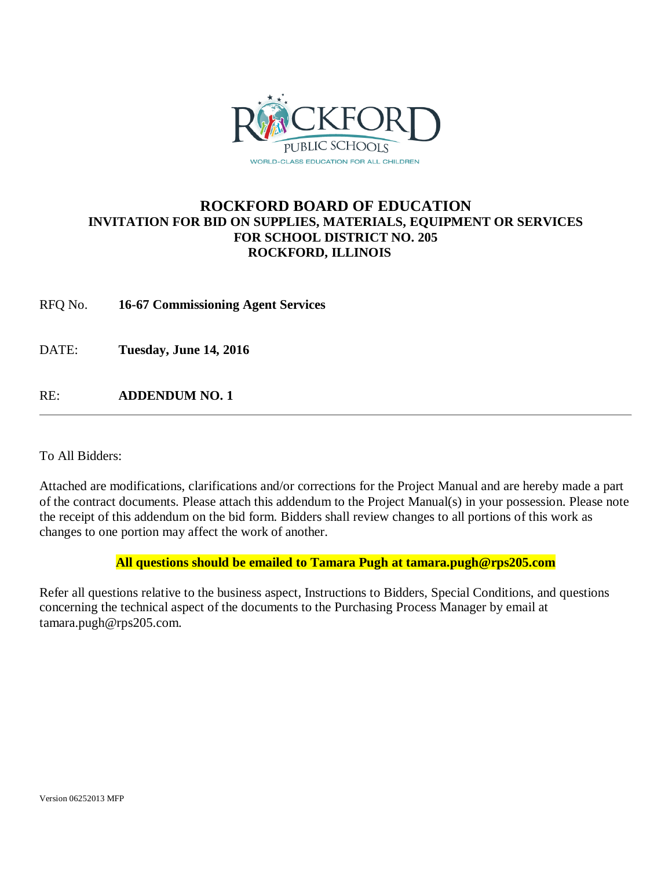

# **ROCKFORD BOARD OF EDUCATION INVITATION FOR BID ON SUPPLIES, MATERIALS, EQUIPMENT OR SERVICES FOR SCHOOL DISTRICT NO. 205 ROCKFORD, ILLINOIS**

RFQ No. **16-67 Commissioning Agent Services**

DATE: **Tuesday, June 14, 2016**

RE: **ADDENDUM NO. 1**

To All Bidders:

Attached are modifications, clarifications and/or corrections for the Project Manual and are hereby made a part of the contract documents. Please attach this addendum to the Project Manual(s) in your possession. Please note the receipt of this addendum on the bid form. Bidders shall review changes to all portions of this work as changes to one portion may affect the work of another.

### **All questions should be emailed to Tamara Pugh at tamara.pugh@rps205.com**

Refer all questions relative to the business aspect, Instructions to Bidders, Special Conditions, and questions concerning the technical aspect of the documents to the Purchasing Process Manager by email at tamara.pugh@rps205.com.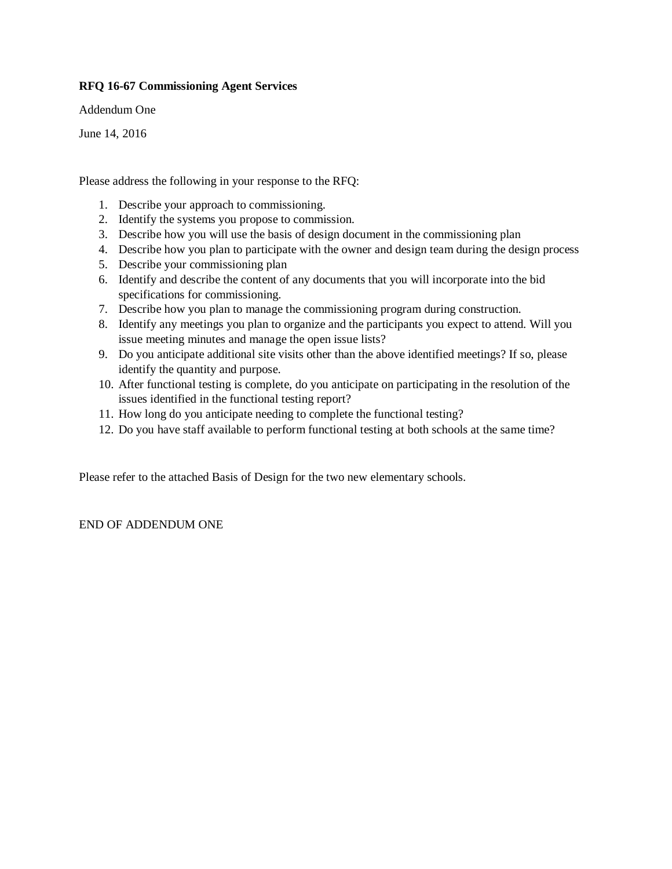#### **RFQ 16-67 Commissioning Agent Services**

Addendum One

June 14, 2016

Please address the following in your response to the RFQ:

- 1. Describe your approach to commissioning.
- 2. Identify the systems you propose to commission.
- 3. Describe how you will use the basis of design document in the commissioning plan
- 4. Describe how you plan to participate with the owner and design team during the design process
- 5. Describe your commissioning plan
- 6. Identify and describe the content of any documents that you will incorporate into the bid specifications for commissioning.
- 7. Describe how you plan to manage the commissioning program during construction.
- 8. Identify any meetings you plan to organize and the participants you expect to attend. Will you issue meeting minutes and manage the open issue lists?
- 9. Do you anticipate additional site visits other than the above identified meetings? If so, please identify the quantity and purpose.
- 10. After functional testing is complete, do you anticipate on participating in the resolution of the issues identified in the functional testing report?
- 11. How long do you anticipate needing to complete the functional testing?
- 12. Do you have staff available to perform functional testing at both schools at the same time?

Please refer to the attached Basis of Design for the two new elementary schools.

END OF ADDENDUM ONE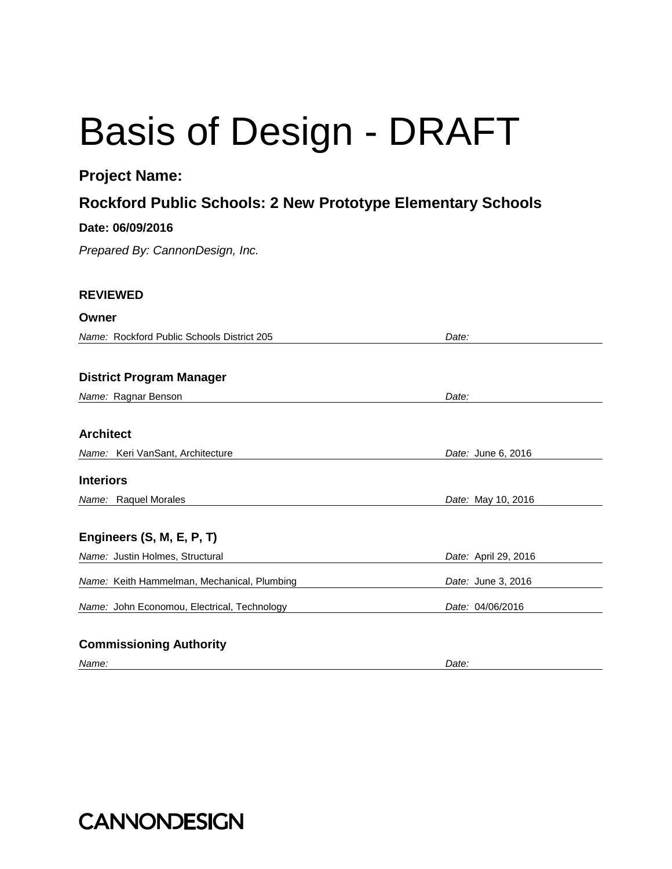# Basis of Design - DRAFT

# **Project Name:**

# **Rockford Public Schools: 2 New Prototype Elementary Schools**

# **Date: 06/09/2016**

*Prepared By: CannonDesign, Inc.*

# **REVIEWED**

#### **Owner**

*Name:* Rockford Public Schools District 205 *Date:* 

# **District Program Manager**

*Name:* Ragnar Benson *Date:* 

# **Architect**

*Name:* Keri VanSant, Architecture *Date:* June 6, 2016

### **Interiors**

*Name:* Raquel Morales *Date:* May 10, 2016

# **Engineers (S, M, E, P, T)**

| <i>Name:</i> Justin Holmes, Structural             | <i>Date:</i> April 29, 2016 |
|----------------------------------------------------|-----------------------------|
| Name: Keith Hammelman, Mechanical, Plumbing        | Date: June 3, 2016          |
| <i>Name:</i> John Economou, Electrical, Technology | Date: 04/06/2016            |
|                                                    |                             |

# **Commissioning Authority**

*Name: Date:* 

**CANNONDESIGN**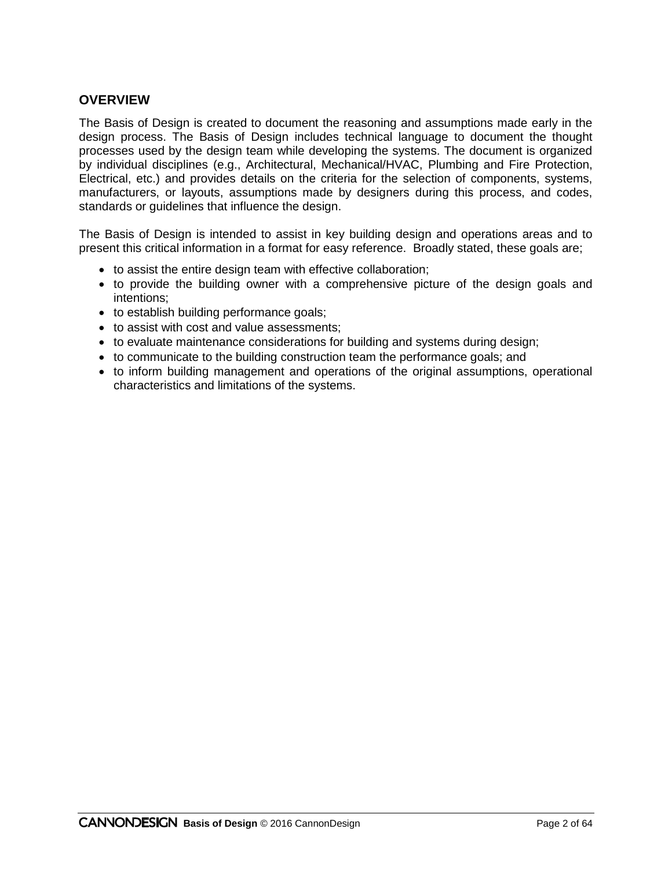# **OVERVIEW**

The Basis of Design is created to document the reasoning and assumptions made early in the design process. The Basis of Design includes technical language to document the thought processes used by the design team while developing the systems. The document is organized by individual disciplines (e.g., Architectural, Mechanical/HVAC, Plumbing and Fire Protection, Electrical, etc.) and provides details on the criteria for the selection of components, systems, manufacturers, or layouts, assumptions made by designers during this process, and codes, standards or guidelines that influence the design.

The Basis of Design is intended to assist in key building design and operations areas and to present this critical information in a format for easy reference. Broadly stated, these goals are;

- to assist the entire design team with effective collaboration;
- to provide the building owner with a comprehensive picture of the design goals and intentions;
- to establish building performance goals;
- to assist with cost and value assessments:
- to evaluate maintenance considerations for building and systems during design;
- to communicate to the building construction team the performance goals; and
- to inform building management and operations of the original assumptions, operational characteristics and limitations of the systems.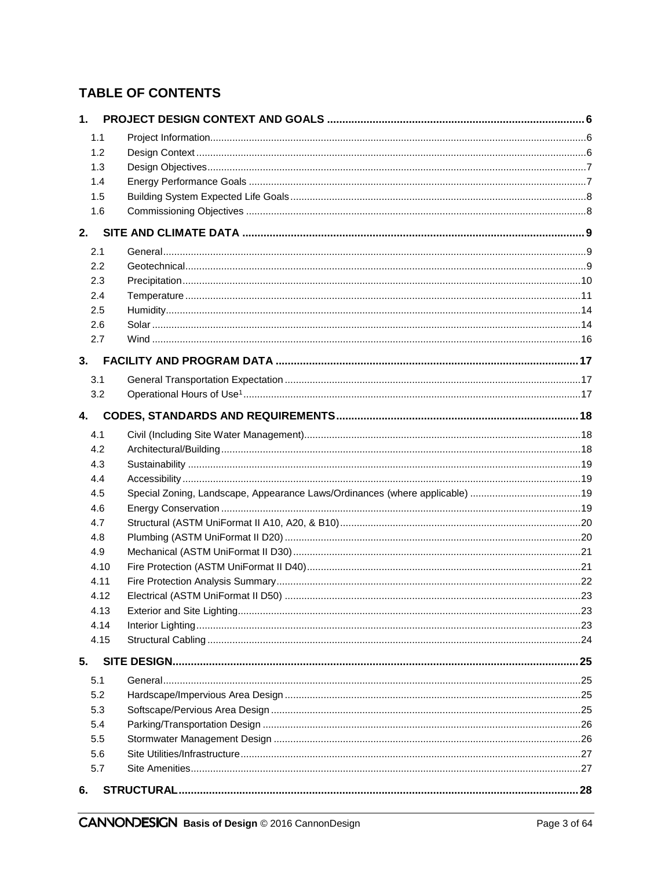# **TABLE OF CONTENTS**

| 1.1        |  |
|------------|--|
| 1.2        |  |
| 1.3        |  |
| 1.4        |  |
| 1.5        |  |
| 1.6        |  |
|            |  |
| 2.1        |  |
| 2.2        |  |
| 2.3        |  |
| 2.4        |  |
| 2.5        |  |
| 2.6        |  |
| 2.7        |  |
|            |  |
| 3.1        |  |
| 3.2        |  |
| 4.         |  |
|            |  |
| 4.1        |  |
| 4.2        |  |
| 4.3        |  |
| 4.4        |  |
| 4.5<br>4.6 |  |
| 4.7        |  |
| 4.8        |  |
| 4.9        |  |
| 4.10       |  |
| 4.11       |  |
| 4.12       |  |
| 4.13       |  |
| 4.14       |  |
| 4.15       |  |
| 5.         |  |
| 5.1        |  |
| 5.2        |  |
| 5.3        |  |
| 5.4        |  |
| 5.5        |  |
| 5.6        |  |
| 5.7        |  |
| 6.         |  |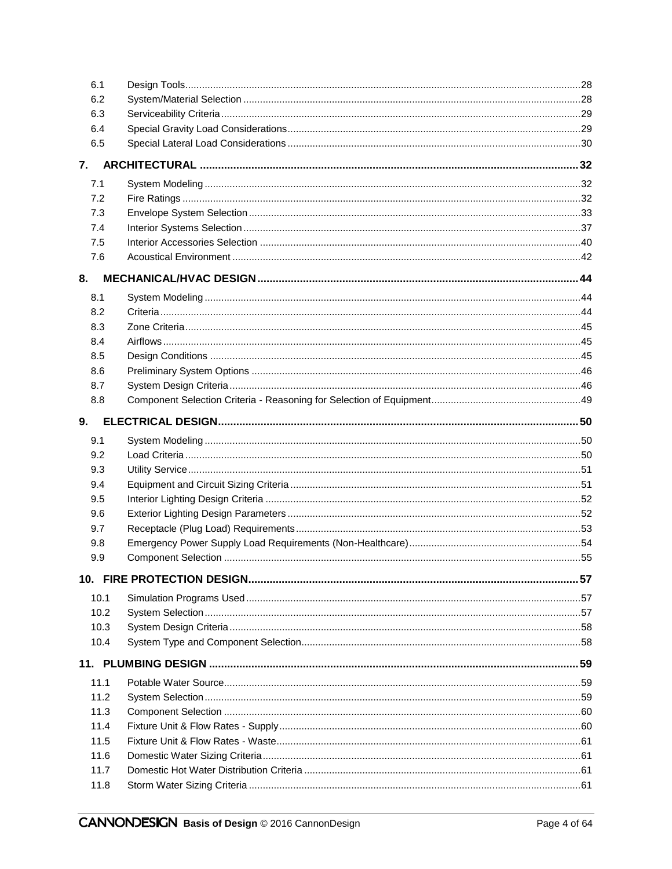| 6.1  |  |
|------|--|
| 6.2  |  |
| 6.3  |  |
| 6.4  |  |
| 6.5  |  |
|      |  |
| 7.1  |  |
| 7.2  |  |
| 7.3  |  |
| 7.4  |  |
| 7.5  |  |
| 7.6  |  |
| 8.   |  |
| 8.1  |  |
| 8.2  |  |
| 8.3  |  |
| 8.4  |  |
| 8.5  |  |
| 8.6  |  |
| 8.7  |  |
| 8.8  |  |
| 9.   |  |
| 9.1  |  |
| 9.2  |  |
| 9.3  |  |
| 9.4  |  |
| 9.5  |  |
| 9.6  |  |
| 9.7  |  |
| 9.8  |  |
| 9.9  |  |
|      |  |
| 10.1 |  |
| 10.2 |  |
| 10.3 |  |
| 10.4 |  |
|      |  |
| 11.1 |  |
| 11.2 |  |
| 11.3 |  |
| 11.4 |  |
| 11.5 |  |
| 11.6 |  |
| 11.7 |  |
| 11.8 |  |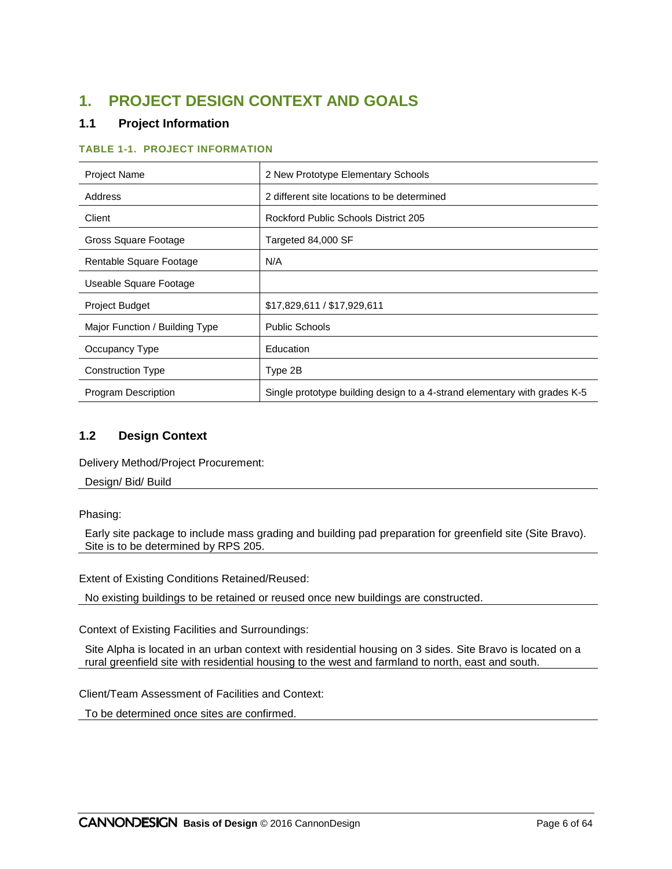# **1. PROJECT DESIGN CONTEXT AND GOALS**

# **1.1 Project Information**

#### **TABLE 1-1. PROJECT INFORMATION**

| <b>Project Name</b>            | 2 New Prototype Elementary Schools                                        |  |  |  |
|--------------------------------|---------------------------------------------------------------------------|--|--|--|
| Address                        | 2 different site locations to be determined                               |  |  |  |
| Client                         | Rockford Public Schools District 205                                      |  |  |  |
| Gross Square Footage           | Targeted 84,000 SF                                                        |  |  |  |
| Rentable Square Footage        | N/A                                                                       |  |  |  |
| Useable Square Footage         |                                                                           |  |  |  |
| <b>Project Budget</b>          | \$17,829,611 / \$17,929,611                                               |  |  |  |
| Major Function / Building Type | <b>Public Schools</b>                                                     |  |  |  |
| Occupancy Type                 | Education                                                                 |  |  |  |
| <b>Construction Type</b>       | Type 2B                                                                   |  |  |  |
| <b>Program Description</b>     | Single prototype building design to a 4-strand elementary with grades K-5 |  |  |  |

# **1.2 Design Context**

Delivery Method/Project Procurement:

Design/ Bid/ Build

Phasing:

Early site package to include mass grading and building pad preparation for greenfield site (Site Bravo). Site is to be determined by RPS 205.

Extent of Existing Conditions Retained/Reused:

No existing buildings to be retained or reused once new buildings are constructed.

Context of Existing Facilities and Surroundings:

Site Alpha is located in an urban context with residential housing on 3 sides. Site Bravo is located on a rural greenfield site with residential housing to the west and farmland to north, east and south.

Client/Team Assessment of Facilities and Context:

To be determined once sites are confirmed.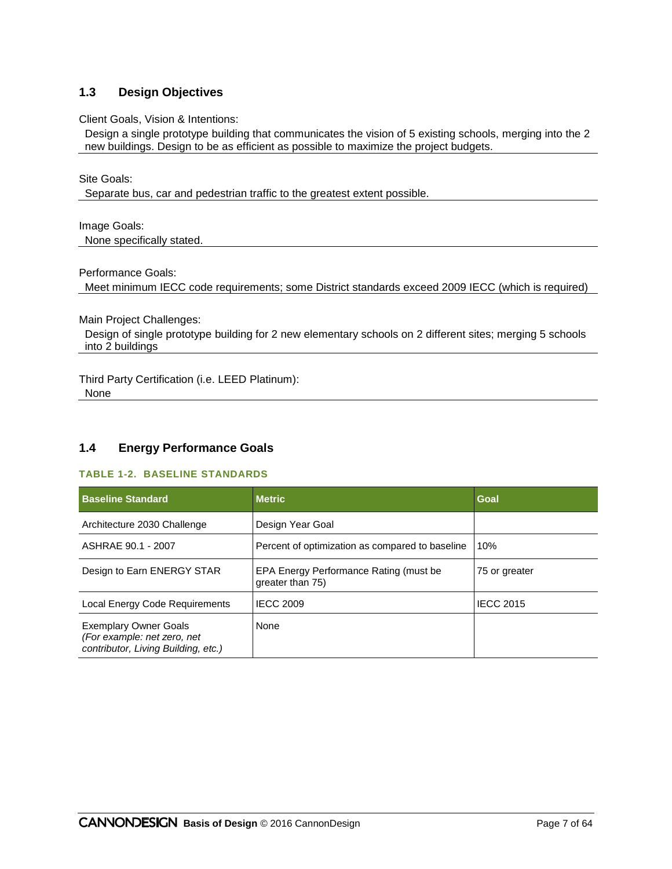### **1.3 Design Objectives**

Client Goals, Vision & Intentions:

Design a single prototype building that communicates the vision of 5 existing schools, merging into the 2 new buildings. Design to be as efficient as possible to maximize the project budgets.

Site Goals:

Separate bus, car and pedestrian traffic to the greatest extent possible.

Image Goals: None specifically stated.

Performance Goals:

Meet minimum IECC code requirements; some District standards exceed 2009 IECC (which is required)

Main Project Challenges:

Design of single prototype building for 2 new elementary schools on 2 different sites; merging 5 schools into 2 buildings

Third Party Certification (i.e. LEED Platinum): None

### **1.4 Energy Performance Goals**

#### **TABLE 1-2. BASELINE STANDARDS**

| <b>Baseline Standard</b>                                                                           | <b>Metric</b>                                              | Goal             |
|----------------------------------------------------------------------------------------------------|------------------------------------------------------------|------------------|
| Architecture 2030 Challenge                                                                        | Design Year Goal                                           |                  |
| ASHRAE 90.1 - 2007                                                                                 | Percent of optimization as compared to baseline            | 10%              |
| Design to Earn ENERGY STAR                                                                         | EPA Energy Performance Rating (must be<br>greater than 75) | 75 or greater    |
| Local Energy Code Requirements                                                                     | <b>IECC 2009</b>                                           | <b>IECC 2015</b> |
| <b>Exemplary Owner Goals</b><br>(For example: net zero, net<br>contributor, Living Building, etc.) | None                                                       |                  |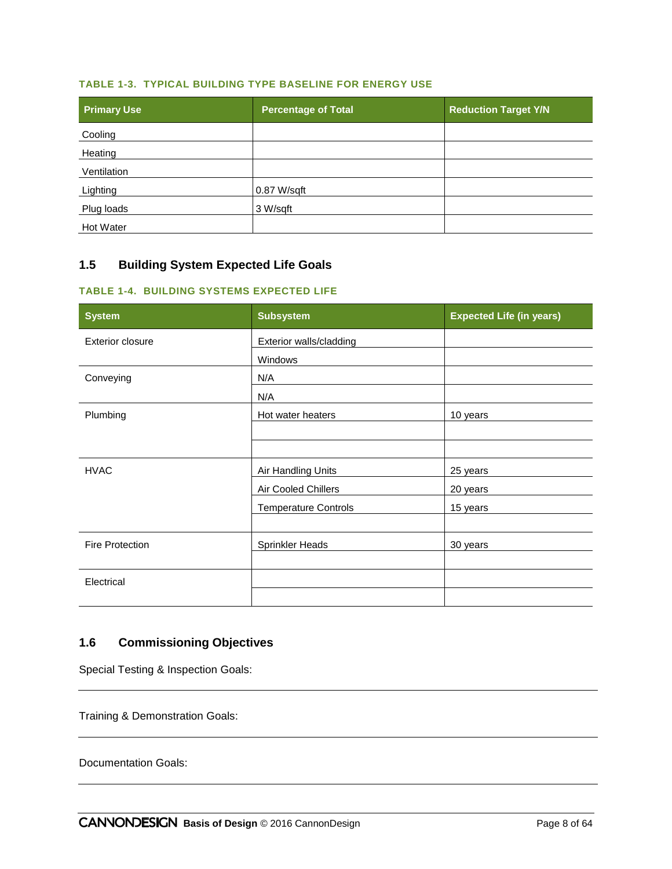#### **TABLE 1-3. TYPICAL BUILDING TYPE BASELINE FOR ENERGY USE**

| <b>Primary Use</b> | <b>Percentage of Total</b> | <b>Reduction Target Y/N</b> |
|--------------------|----------------------------|-----------------------------|
| Cooling            |                            |                             |
| Heating            |                            |                             |
| Ventilation        |                            |                             |
| Lighting           | 0.87 W/sqft                |                             |
| Plug loads         | 3 W/sqft                   |                             |
| Hot Water          |                            |                             |

# **1.5 Building System Expected Life Goals**

#### **TABLE 1-4. BUILDING SYSTEMS EXPECTED LIFE**

| <b>System</b>           | <b>Subsystem</b>            | <b>Expected Life (in years)</b> |
|-------------------------|-----------------------------|---------------------------------|
| <b>Exterior closure</b> | Exterior walls/cladding     |                                 |
|                         | Windows                     |                                 |
| Conveying               | N/A                         |                                 |
|                         | N/A                         |                                 |
| Plumbing                | Hot water heaters           | 10 years                        |
|                         |                             |                                 |
|                         |                             |                                 |
| <b>HVAC</b>             | Air Handling Units          | 25 years                        |
|                         | Air Cooled Chillers         | 20 years                        |
|                         | <b>Temperature Controls</b> | 15 years                        |
|                         |                             |                                 |
| <b>Fire Protection</b>  | Sprinkler Heads             | 30 years                        |
|                         |                             |                                 |
| Electrical              |                             |                                 |
|                         |                             |                                 |

# **1.6 Commissioning Objectives**

Special Testing & Inspection Goals:

Training & Demonstration Goals:

<span id="page-9-0"></span>Documentation Goals: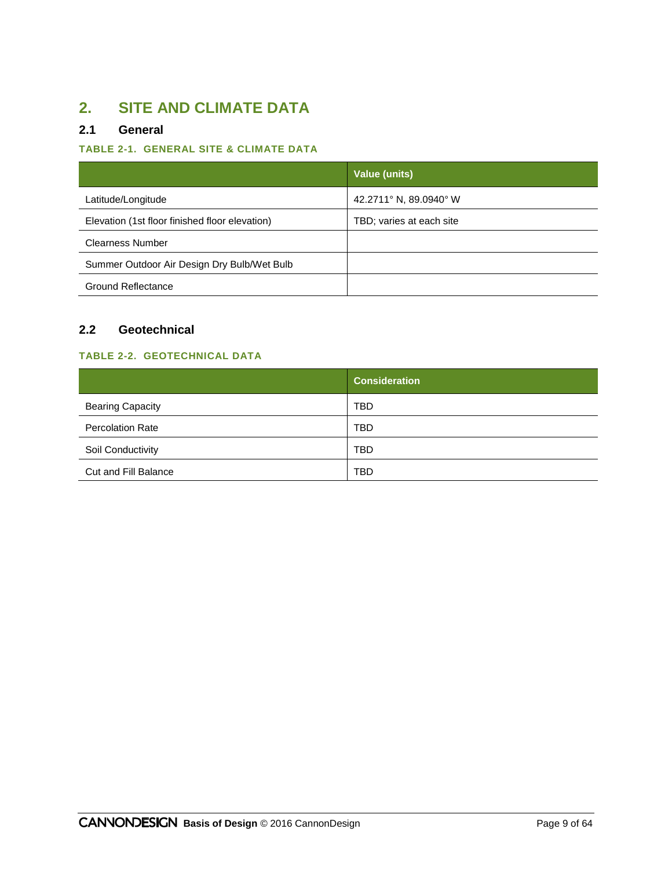# **2. SITE AND CLIMATE DATA**

# **2.1 General**

# **TABLE 2-1. GENERAL SITE & CLIMATE DATA**

|                                                | Value (units)            |
|------------------------------------------------|--------------------------|
| Latitude/Longitude                             | 42.2711° N, 89.0940° W   |
| Elevation (1st floor finished floor elevation) | TBD; varies at each site |
| <b>Clearness Number</b>                        |                          |
| Summer Outdoor Air Design Dry Bulb/Wet Bulb    |                          |
| <b>Ground Reflectance</b>                      |                          |

# **2.2 Geotechnical**

### **TABLE 2-2. GEOTECHNICAL DATA**

|                         | <b>Consideration</b> |
|-------------------------|----------------------|
| <b>Bearing Capacity</b> | <b>TBD</b>           |
| <b>Percolation Rate</b> | <b>TBD</b>           |
| Soil Conductivity       | <b>TBD</b>           |
| Cut and Fill Balance    | <b>TBD</b>           |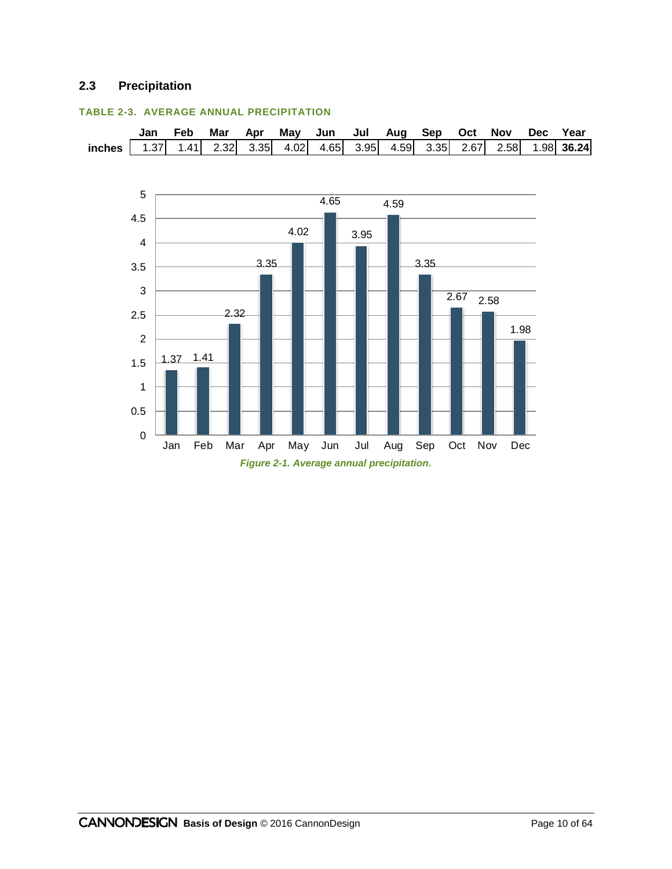# **2.3 Precipitation**



#### **TABLE 2-3. AVERAGE ANNUAL PRECIPITATION**

*Figure 2-1. Average annual precipitation.*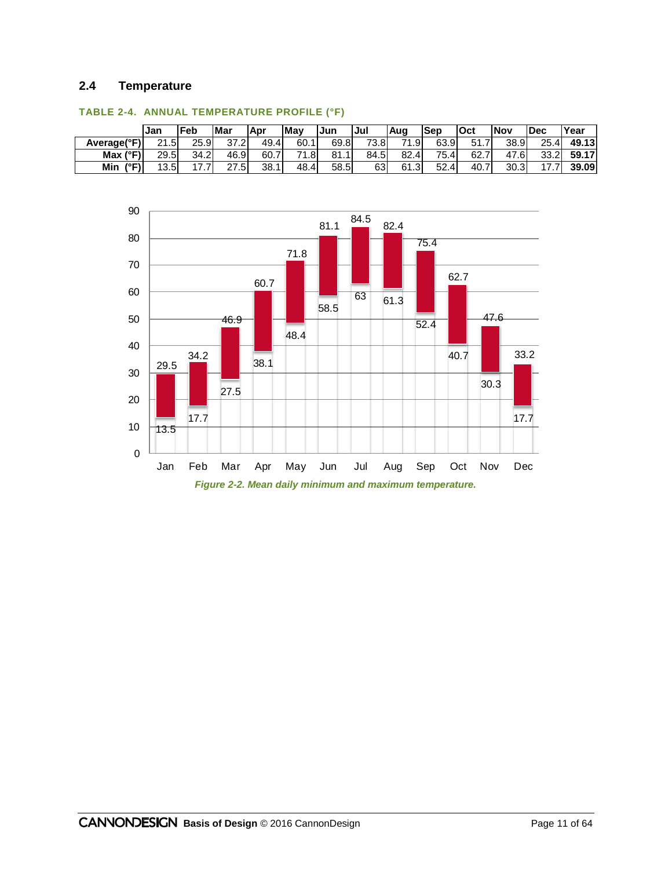### **2.4 Temperature**

|                   | <b>IJan</b> | Feb  | <b>Mar</b> | Apr  | <b>Mav</b> | Jun  | Jul  | Aug             | Sep  | lOct  | Nov  | Dec  | 'Year        |
|-------------------|-------------|------|------------|------|------------|------|------|-----------------|------|-------|------|------|--------------|
| Average(°F)       | 21.5        | 25.9 | 37.2       | 49.4 | 60.1       | 69.8 | 73.8 | <sup>71.9</sup> | 63.9 | 51    | 38.9 | 25.4 | 49.13        |
| Max $(^{\circ}F)$ | 29.5        | 34.2 | 46.9       | 60.7 | 71<br>1.8  | 81.1 | 84.5 | 82.4            | 75.4 | 62.7  | 47.6 | 33.2 | <b>59.17</b> |
| 7° C N<br>Min     | 12 5        | .    | 27<br>.51  | 38.1 | 48.4       | 58.5 | 63   | 61.3            | 52.4 | 40. . | 30.3 | .    | 39.09        |



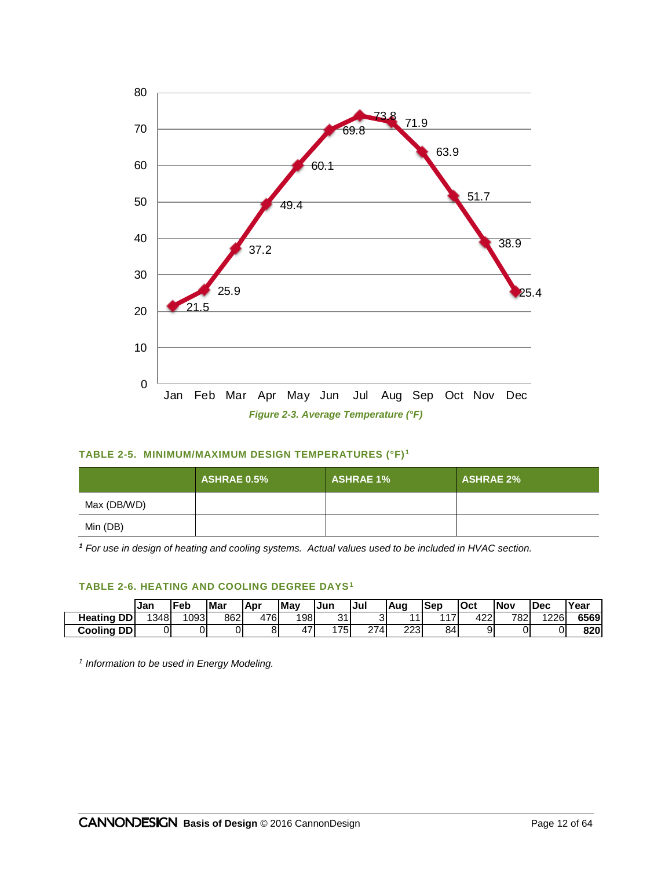

#### **TABLE 2-5. MINIMUM/MAXIMUM DESIGN TEMPERATURES (°F) <sup>1</sup>**

|             | <b>ASHRAE 0.5%</b> | <b>ASHRAE 1%</b> | <b>ASHRAE 2%</b> |
|-------------|--------------------|------------------|------------------|
| Max (DB/WD) |                    |                  |                  |
| Min (DB)    |                    |                  |                  |

*<sup>1</sup> For use in design of heating and cooling systems. Actual values used to be included in HVAC section.*

#### **TABLE 2-6. HEATING AND COOLING DEGREE DAYS<sup>1</sup>**

|                       | Jan | Feb  | Mar | .Apr | <b>'May</b> | Jun | Jul        | ,Aug | lSep | lOct | <b>INov</b> | <b>IDec</b> | Year |
|-----------------------|-----|------|-----|------|-------------|-----|------------|------|------|------|-------------|-------------|------|
| <b>DD</b><br>Heating  | 348 | 1093 | 862 | 476  | 198         | 21  |            | 44   | 117  | 422' | 7821        | 1226        | 6569 |
| <b>DDI</b><br>Cooling | 01  |      | 01  |      | 471         | 175 | 274<br>، ے | 223  | 84   | a    | 0           |             | 820  |

*1 Information to be used in Energy Modeling.*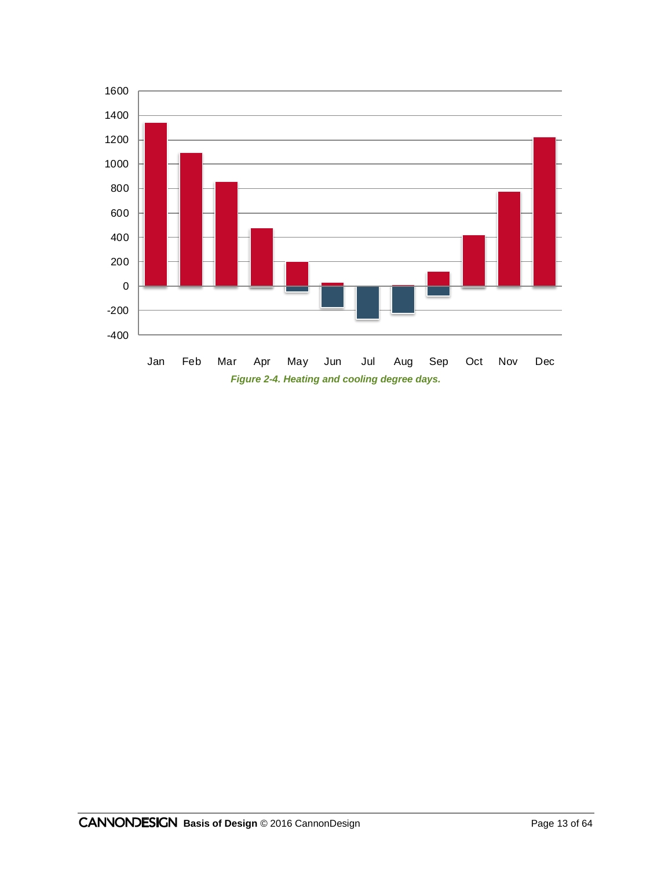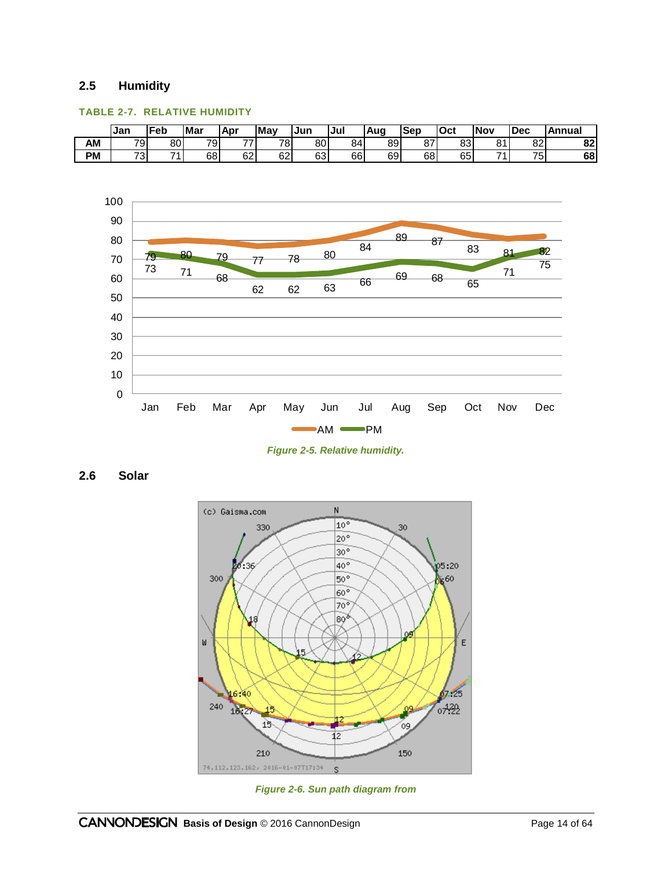### **2.5 Humidity**

#### **TABLE 2-7. RELATIVE HUMIDITY**

|    | IJan     | Feb | <b>Mar</b> | . Apr         | <b>Mav</b> | IJun        | Jul | Aua | Sep | <b>lOct</b> | <b>Nov</b> | <b>IDec</b> | <b>Annual</b> |
|----|----------|-----|------------|---------------|------------|-------------|-----|-----|-----|-------------|------------|-------------|---------------|
| AM | 791      | 80  | 791        | $\rightarrow$ | 781        | 80I         | 84  | 89  | 87  | 83          | 04         | 82          | 92.<br>ОZ     |
| PM | 72.<br>ີ | 71  | 68         | 62            | 62         | co l<br>∣כס | 66  | 69  | 68  | 65          | 74         | 75          | 68            |



*Figure 2-5. Relative humidity.*

**2.6 Solar**



*Figure 2-6. Sun path diagram from*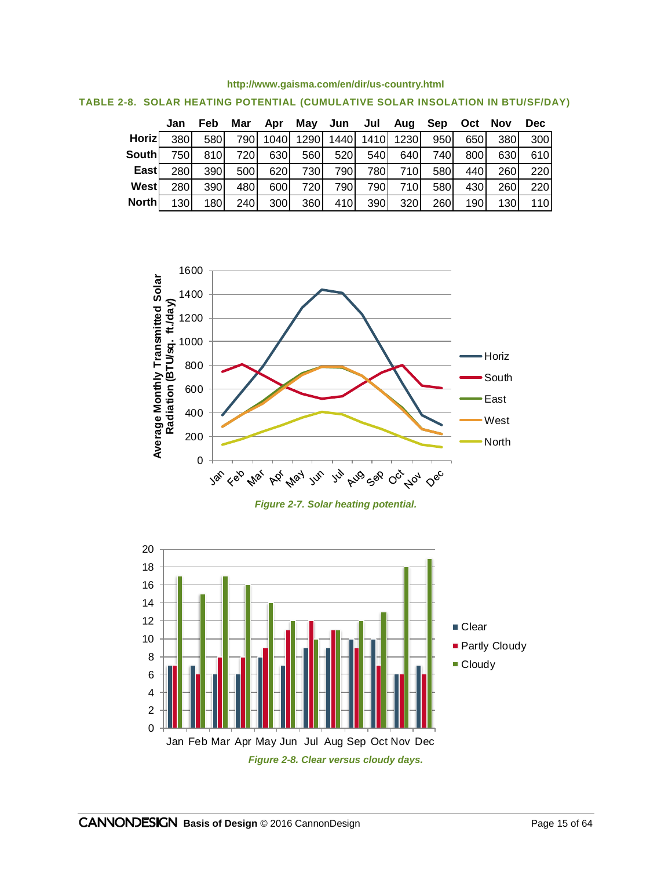#### **<http://www.gaisma.com/en/dir/us-country.html>**

|              | Jan  | Feb        | Mar  | Apr  | May  | Jun  | Jul  | Aug  | Sep  | Oct  | <b>Nov</b>  | <b>Dec</b> |
|--------------|------|------------|------|------|------|------|------|------|------|------|-------------|------------|
| Horizl       | 380  | 580I       | 7901 | 1040 | 1290 | 1440 | 1410 | 1230 | 950  | 650  | <b>380</b>  | 300        |
| Southl       | 7501 | 810I       | 7201 | 630  | 560  | 520I | 540I | 640  | 740I | 800  | 630         | 610I       |
| Eastl        | 280  | 390        | 500  | 620  | 730  | 790l | 780I | 710I | 580  | 440I | <b>2601</b> | 220        |
| Westl        | 280  | 390        | 480  | 600  | 7201 | 790  | 790  | 710I | 580  | 430  | <b>260</b>  | 220        |
| <b>North</b> | 130  | <b>180</b> | 240  | 300  | 360  | 410I | 390  | 320  | 260  | 190  | 130I        | <b>110</b> |





*Figure 2-7. Solar heating potential.*

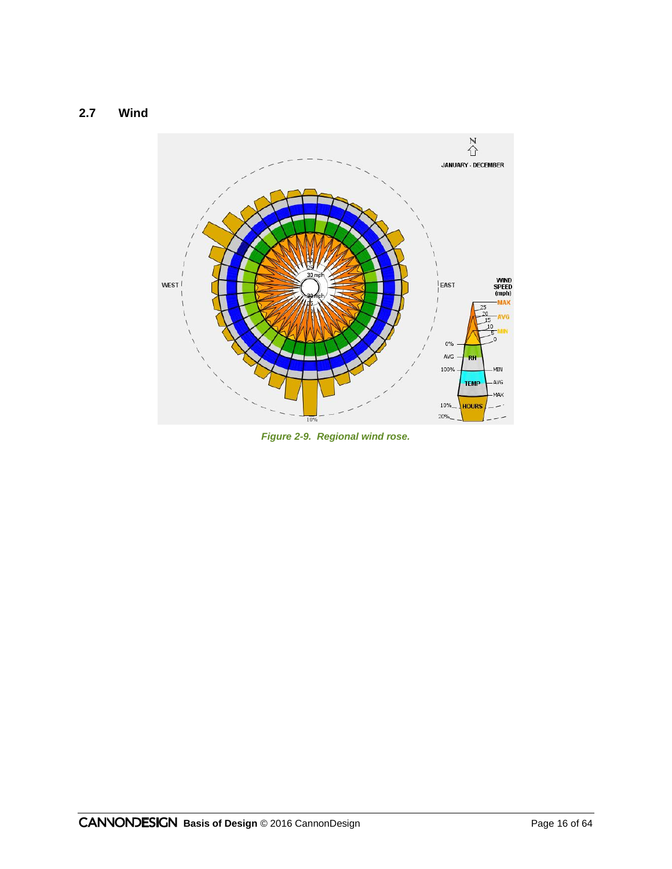

*Figure 2-9. Regional wind rose.*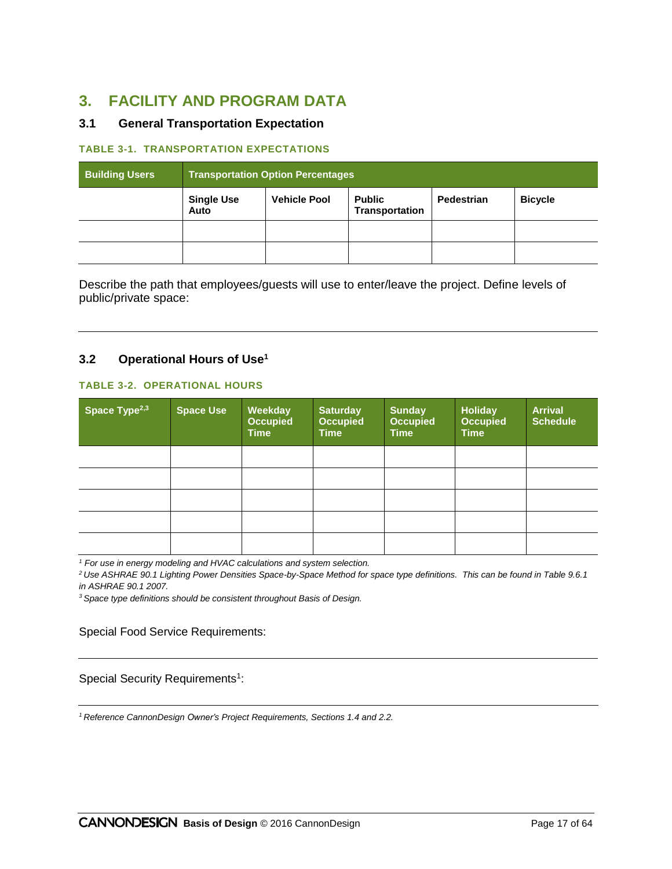# **3. FACILITY AND PROGRAM DATA**

# **3.1 General Transportation Expectation**

#### **TABLE 3-1. TRANSPORTATION EXPECTATIONS**

| <b>Building Users</b> | <b>Transportation Option Percentages</b> |                     |                                 |                   |                |
|-----------------------|------------------------------------------|---------------------|---------------------------------|-------------------|----------------|
|                       | <b>Single Use</b><br>Auto                | <b>Vehicle Pool</b> | <b>Public</b><br>Transportation | <b>Pedestrian</b> | <b>Bicycle</b> |
|                       |                                          |                     |                                 |                   |                |
|                       |                                          |                     |                                 |                   |                |

Describe the path that employees/guests will use to enter/leave the project. Define levels of public/private space:

#### **3.2 Operational Hours of Use<sup>1</sup>**

#### **TABLE 3-2. OPERATIONAL HOURS**

| Space Type <sup>2,3</sup> | <b>Space Use</b> | <b>Weekday</b><br><b>Occupied</b><br><b>Time</b> | <b>Saturday</b><br><b>Occupied</b><br><b>Time</b> | <b>Sunday</b><br><b>Occupied</b><br><b>Time</b> | <b>Holiday</b><br><b>Occupied</b><br><b>Time</b> | <b>Arrival</b><br><b>Schedule</b> |
|---------------------------|------------------|--------------------------------------------------|---------------------------------------------------|-------------------------------------------------|--------------------------------------------------|-----------------------------------|
|                           |                  |                                                  |                                                   |                                                 |                                                  |                                   |
|                           |                  |                                                  |                                                   |                                                 |                                                  |                                   |
|                           |                  |                                                  |                                                   |                                                 |                                                  |                                   |
|                           |                  |                                                  |                                                   |                                                 |                                                  |                                   |
|                           |                  |                                                  |                                                   |                                                 |                                                  |                                   |

*<sup>1</sup> For use in energy modeling and HVAC calculations and system selection.*

*<sup>2</sup>Use ASHRAE 90.1 Lighting Power Densities Space-by-Space Method for space type definitions. This can be found in Table 9.6.1 in ASHRAE 90.1 2007.*

*<sup>3</sup>Space type definitions should be consistent throughout Basis of Design.*

Special Food Service Requirements:

Special Security Requirements<sup>1</sup>:

*<sup>1</sup>Reference CannonDesign Owner's Project Requirements, Sections 1.4 and 2.2.*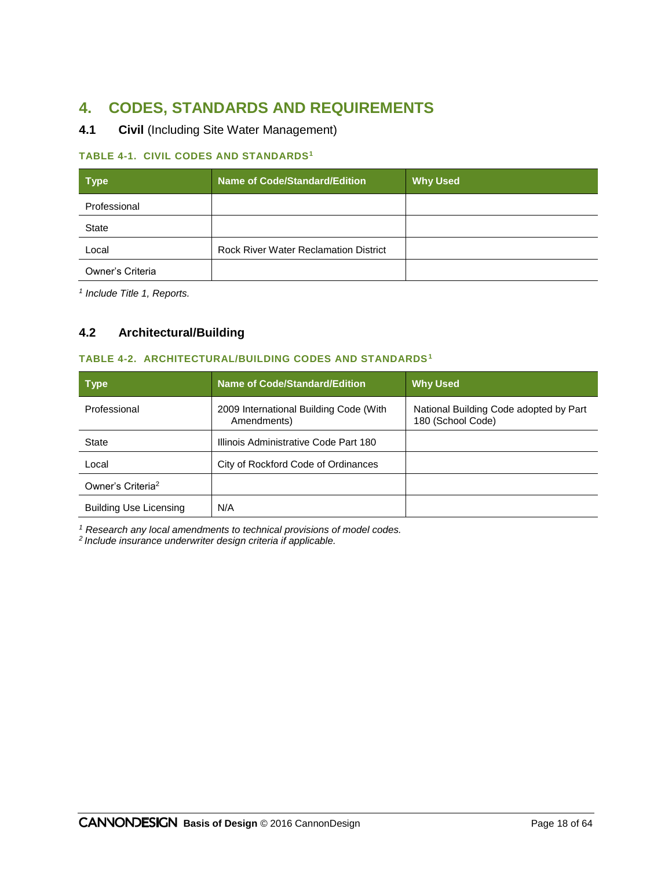# **4. CODES, STANDARDS AND REQUIREMENTS**

# **4.1 Civil** (Including Site Water Management)

#### **TABLE 4-1. CIVIL CODES AND STANDARDS<sup>1</sup>**

| <b>Type</b>      | <b>Name of Code/Standard/Edition</b>         | <b>Why Used</b> |
|------------------|----------------------------------------------|-----------------|
| Professional     |                                              |                 |
| <b>State</b>     |                                              |                 |
| Local            | <b>Rock River Water Reclamation District</b> |                 |
| Owner's Criteria |                                              |                 |

*1 Include Title 1, Reports.*

# **4.2 Architectural/Building**

#### **TABLE 4-2. ARCHITECTURAL/BUILDING CODES AND STANDARDS<sup>1</sup>**

| <b>Type</b>                   | <b>Name of Code/Standard/Edition</b>                  | <b>Why Used</b>                                             |
|-------------------------------|-------------------------------------------------------|-------------------------------------------------------------|
| Professional                  | 2009 International Building Code (With<br>Amendments) | National Building Code adopted by Part<br>180 (School Code) |
| State                         | Illinois Administrative Code Part 180                 |                                                             |
| Local                         | City of Rockford Code of Ordinances                   |                                                             |
| Owner's Criteria <sup>2</sup> |                                                       |                                                             |
| <b>Building Use Licensing</b> | N/A                                                   |                                                             |

*<sup>1</sup> Research any local amendments to technical provisions of model codes.*

*2 Include insurance underwriter design criteria if applicable.*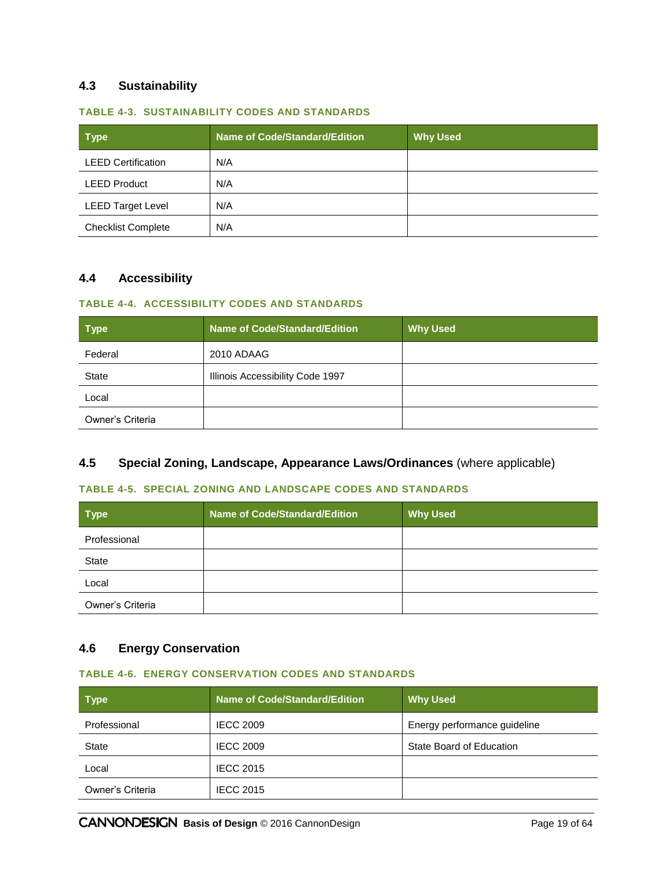### **4.3 Sustainability**

#### **TABLE 4-3. SUSTAINABILITY CODES AND STANDARDS**

| <b>Type</b>               | Name of Code/Standard/Edition | <b>Why Used</b> |
|---------------------------|-------------------------------|-----------------|
| <b>LEED Certification</b> | N/A                           |                 |
| <b>LEED Product</b>       | N/A                           |                 |
| <b>LEED Target Level</b>  | N/A                           |                 |
| <b>Checklist Complete</b> | N/A                           |                 |

# **4.4 Accessibility**

#### **TABLE 4-4. ACCESSIBILITY CODES AND STANDARDS**

| <b>Type</b>      | <b>Name of Code/Standard/Edition</b> | <b>Why Used</b> |
|------------------|--------------------------------------|-----------------|
| Federal          | 2010 ADAAG                           |                 |
| <b>State</b>     | Illinois Accessibility Code 1997     |                 |
| Local            |                                      |                 |
| Owner's Criteria |                                      |                 |

# **4.5 Special Zoning, Landscape, Appearance Laws/Ordinances** (where applicable)

#### **TABLE 4-5. SPECIAL ZONING AND LANDSCAPE CODES AND STANDARDS**

| <b>Type</b>      | <b>Name of Code/Standard/Edition</b> | <b>Why Used</b> |
|------------------|--------------------------------------|-----------------|
| Professional     |                                      |                 |
| State            |                                      |                 |
| Local            |                                      |                 |
| Owner's Criteria |                                      |                 |

# **4.6 Energy Conservation**

#### **TABLE 4-6. ENERGY CONSERVATION CODES AND STANDARDS**

| <b>Type</b>      | <b>Name of Code/Standard/Edition</b> | <b>Why Used</b>              |
|------------------|--------------------------------------|------------------------------|
| Professional     | <b>IECC 2009</b>                     | Energy performance guideline |
| State            | <b>IECC 2009</b>                     | State Board of Education     |
| Local            | <b>IECC 2015</b>                     |                              |
| Owner's Criteria | <b>IECC 2015</b>                     |                              |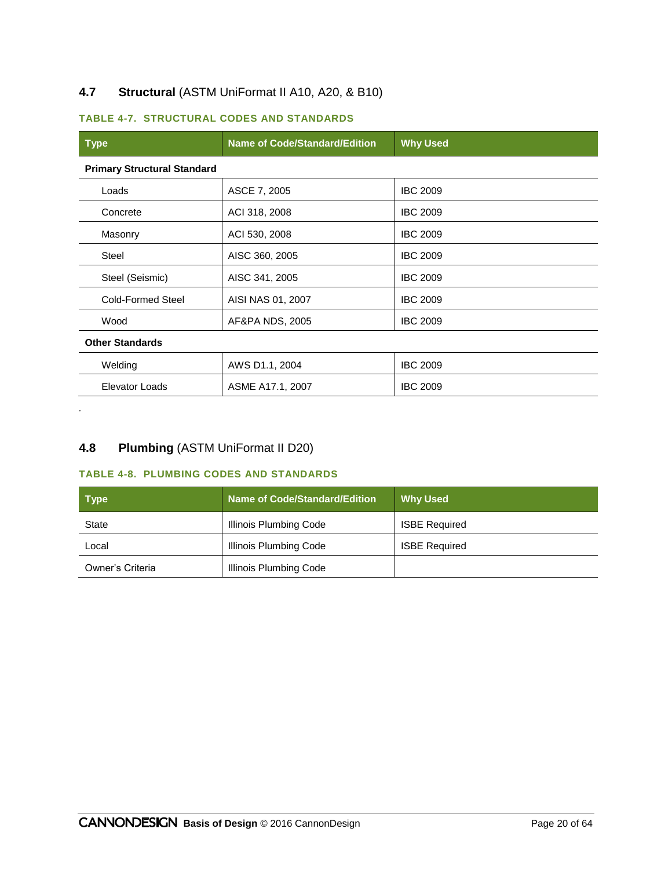# **4.7 Structural** (ASTM UniFormat II A10, A20, & B10)

#### **TABLE 4-7. STRUCTURAL CODES AND STANDARDS**

| <b>Type</b>                        | <b>Name of Code/Standard/Edition</b> | <b>Why Used</b> |
|------------------------------------|--------------------------------------|-----------------|
| <b>Primary Structural Standard</b> |                                      |                 |
| Loads                              | ASCE 7, 2005                         | <b>IBC 2009</b> |
| Concrete                           | ACI 318, 2008                        | <b>IBC 2009</b> |
| Masonry                            | ACI 530, 2008                        | <b>IBC 2009</b> |
| <b>Steel</b>                       | AISC 360, 2005                       | <b>IBC 2009</b> |
| Steel (Seismic)                    | AISC 341, 2005                       | <b>IBC 2009</b> |
| <b>Cold-Formed Steel</b>           | AISI NAS 01, 2007                    | <b>IBC 2009</b> |
| Wood                               | AF&PA NDS, 2005                      | <b>IBC 2009</b> |
| <b>Other Standards</b>             |                                      |                 |
| Welding                            | AWS D1.1, 2004                       | <b>IBC 2009</b> |
| Elevator Loads                     | ASME A17.1, 2007                     | <b>IBC 2009</b> |

# **4.8 Plumbing** (ASTM UniFormat II D20)

*.*

# **TABLE 4-8. PLUMBING CODES AND STANDARDS**

| Type             | <b>Name of Code/Standard/Edition</b> | <b>Why Used</b>      |
|------------------|--------------------------------------|----------------------|
| <b>State</b>     | Illinois Plumbing Code               | <b>ISBE Required</b> |
| Local            | Illinois Plumbing Code               | <b>ISBE Required</b> |
| Owner's Criteria | Illinois Plumbing Code               |                      |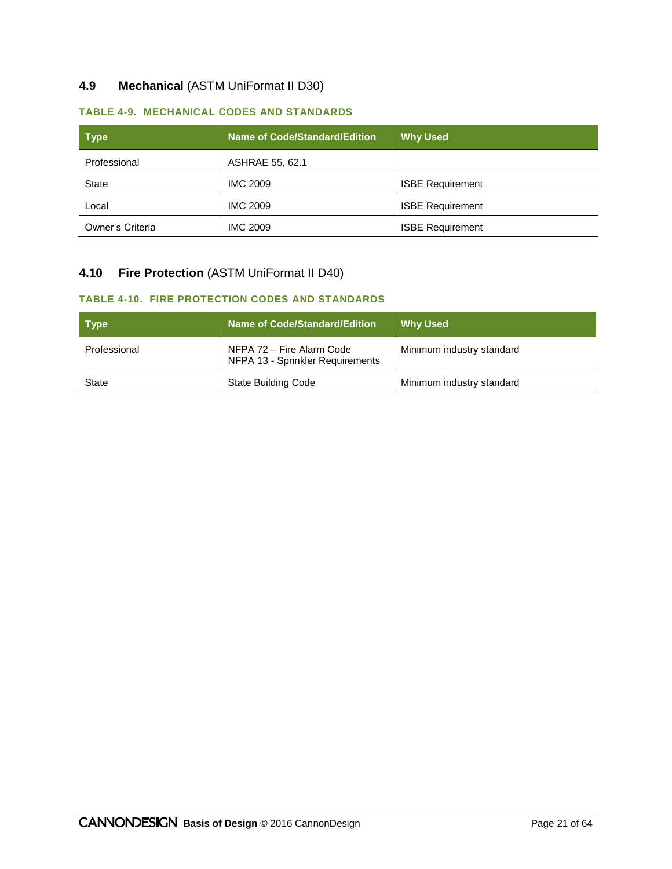# **4.9 Mechanical** (ASTM UniFormat II D30)

| <b>Type</b>      | <b>Name of Code/Standard/Edition</b> | <b>Why Used</b>         |
|------------------|--------------------------------------|-------------------------|
| Professional     | ASHRAE 55, 62.1                      |                         |
| <b>State</b>     | <b>IMC 2009</b>                      | <b>ISBE Requirement</b> |
| Local            | <b>IMC 2009</b>                      | <b>ISBE Requirement</b> |
| Owner's Criteria | <b>IMC 2009</b>                      | <b>ISBE Requirement</b> |

#### **TABLE 4-9. MECHANICAL CODES AND STANDARDS**

# **4.10 Fire Protection** (ASTM UniFormat II D40)

#### **TABLE 4-10. FIRE PROTECTION CODES AND STANDARDS**

| Type         | <b>Name of Code/Standard/Edition</b>                          | <b>Why Used</b>           |  |  |
|--------------|---------------------------------------------------------------|---------------------------|--|--|
| Professional | NFPA 72 - Fire Alarm Code<br>NFPA 13 - Sprinkler Requirements | Minimum industry standard |  |  |
| State        | State Building Code                                           | Minimum industry standard |  |  |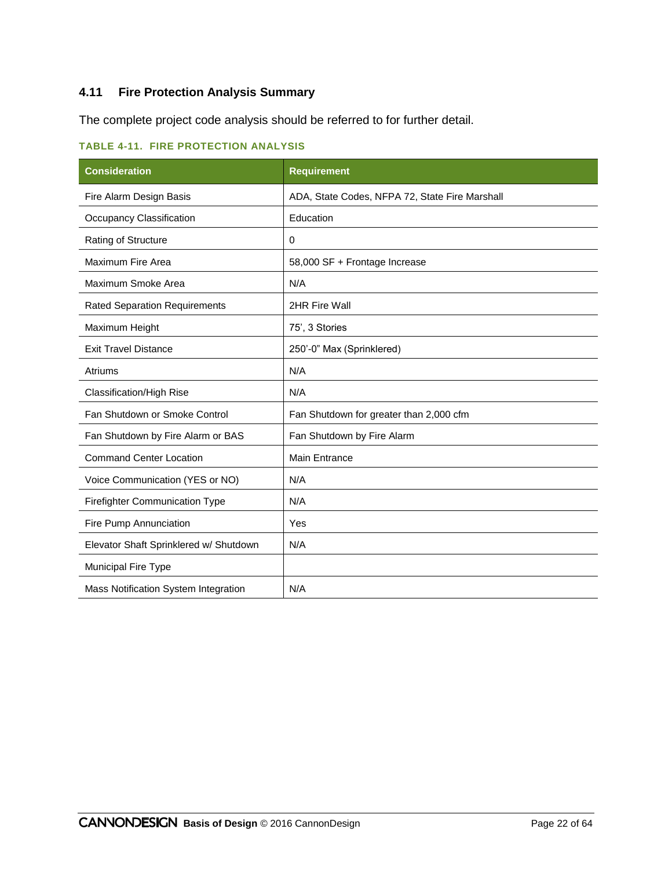# **4.11 Fire Protection Analysis Summary**

The complete project code analysis should be referred to for further detail.

| <b>TABLE 4-11. FIRE PROTECTION ANALYSIS</b> |  |  |  |
|---------------------------------------------|--|--|--|
|---------------------------------------------|--|--|--|

| <b>Consideration</b>                   | <b>Requirement</b>                             |
|----------------------------------------|------------------------------------------------|
| Fire Alarm Design Basis                | ADA, State Codes, NFPA 72, State Fire Marshall |
| Occupancy Classification               | Education                                      |
| <b>Rating of Structure</b>             | 0                                              |
| Maximum Fire Area                      | 58,000 SF + Frontage Increase                  |
| Maximum Smoke Area                     | N/A                                            |
| <b>Rated Separation Requirements</b>   | 2HR Fire Wall                                  |
| Maximum Height                         | 75', 3 Stories                                 |
| <b>Exit Travel Distance</b>            | 250'-0" Max (Sprinklered)                      |
| Atriums                                | N/A                                            |
| Classification/High Rise               | N/A                                            |
| Fan Shutdown or Smoke Control          | Fan Shutdown for greater than 2,000 cfm        |
| Fan Shutdown by Fire Alarm or BAS      | Fan Shutdown by Fire Alarm                     |
| <b>Command Center Location</b>         | <b>Main Entrance</b>                           |
| Voice Communication (YES or NO)        | N/A                                            |
| Firefighter Communication Type         | N/A                                            |
| Fire Pump Annunciation                 | Yes                                            |
| Elevator Shaft Sprinklered w/ Shutdown | N/A                                            |
| <b>Municipal Fire Type</b>             |                                                |
| Mass Notification System Integration   | N/A                                            |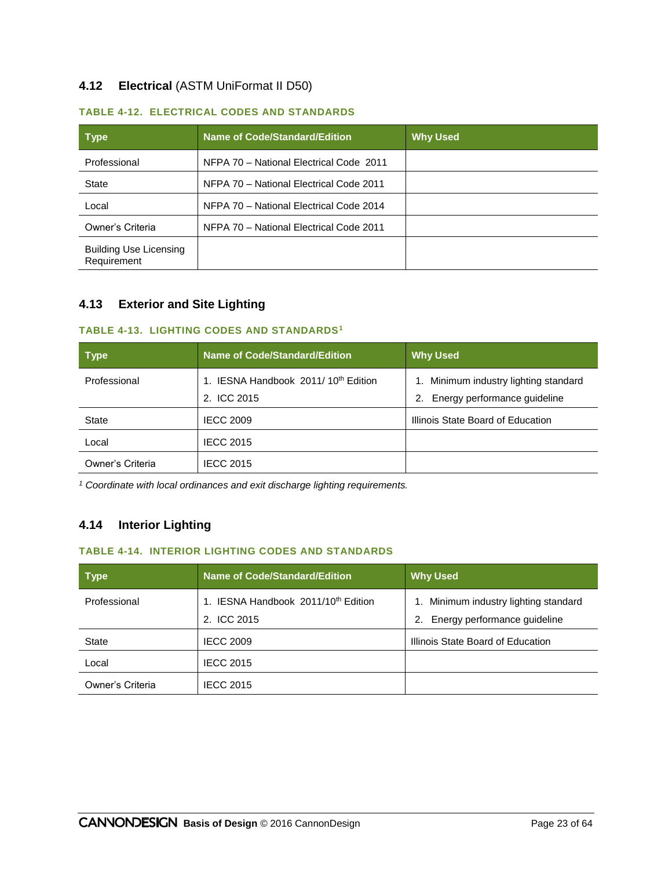# **4.12 Electrical** (ASTM UniFormat II D50)

| <b>Type</b>                                  | <b>Name of Code/Standard/Edition</b>    | <b>Why Used</b> |
|----------------------------------------------|-----------------------------------------|-----------------|
| Professional                                 | NFPA 70 - National Electrical Code 2011 |                 |
| <b>State</b>                                 | NFPA 70 - National Electrical Code 2011 |                 |
| Local                                        | NFPA 70 - National Electrical Code 2014 |                 |
| Owner's Criteria                             | NFPA 70 - National Electrical Code 2011 |                 |
| <b>Building Use Licensing</b><br>Requirement |                                         |                 |

#### **TABLE 4-12. ELECTRICAL CODES AND STANDARDS**

# **4.13 Exterior and Site Lighting**

#### **TABLE 4-13. LIGHTING CODES AND STANDARDS<sup>1</sup>**

| <b>Type</b>      | <b>Name of Code/Standard/Edition</b>                          | <b>Why Used</b>                                                          |
|------------------|---------------------------------------------------------------|--------------------------------------------------------------------------|
| Professional     | . IESNA Handbook 2011/10 <sup>th</sup> Edition<br>2. ICC 2015 | Minimum industry lighting standard<br>Energy performance guideline<br>2. |
| <b>State</b>     | <b>IECC 2009</b>                                              | Illinois State Board of Education                                        |
| Local            | <b>IECC 2015</b>                                              |                                                                          |
| Owner's Criteria | <b>IECC 2015</b>                                              |                                                                          |

*<sup>1</sup> Coordinate with local ordinances and exit discharge lighting requirements.*

# **4.14 Interior Lighting**

### **TABLE 4-14. INTERIOR LIGHTING CODES AND STANDARDS**

| <b>Type</b>      | <b>Name of Code/Standard/Edition</b>            | <b>Why Used</b>                    |
|------------------|-------------------------------------------------|------------------------------------|
| Professional     | 1. IESNA Handbook 2011/10 <sup>th</sup> Edition | Minimum industry lighting standard |
|                  | 2. ICC 2015                                     | Energy performance guideline<br>2. |
| <b>State</b>     | <b>IECC 2009</b>                                | Illinois State Board of Education  |
| Local            | <b>IECC 2015</b>                                |                                    |
| Owner's Criteria | <b>IECC 2015</b>                                |                                    |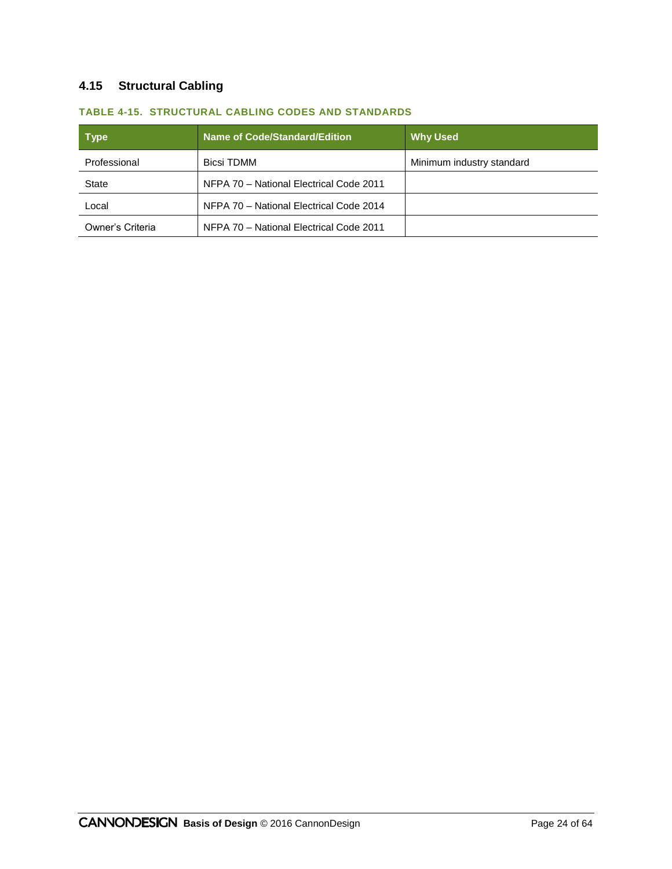# **4.15 Structural Cabling**

| <b>Type</b>      | <b>Name of Code/Standard/Edition</b>    | <b>Why Used</b>           |
|------------------|-----------------------------------------|---------------------------|
| Professional     | <b>Bicsi TDMM</b>                       | Minimum industry standard |
| State            | NFPA 70 - National Electrical Code 2011 |                           |
| Local            | NFPA 70 - National Electrical Code 2014 |                           |
| Owner's Criteria | NFPA 70 - National Electrical Code 2011 |                           |

#### **TABLE 4-15. STRUCTURAL CABLING CODES AND STANDARDS**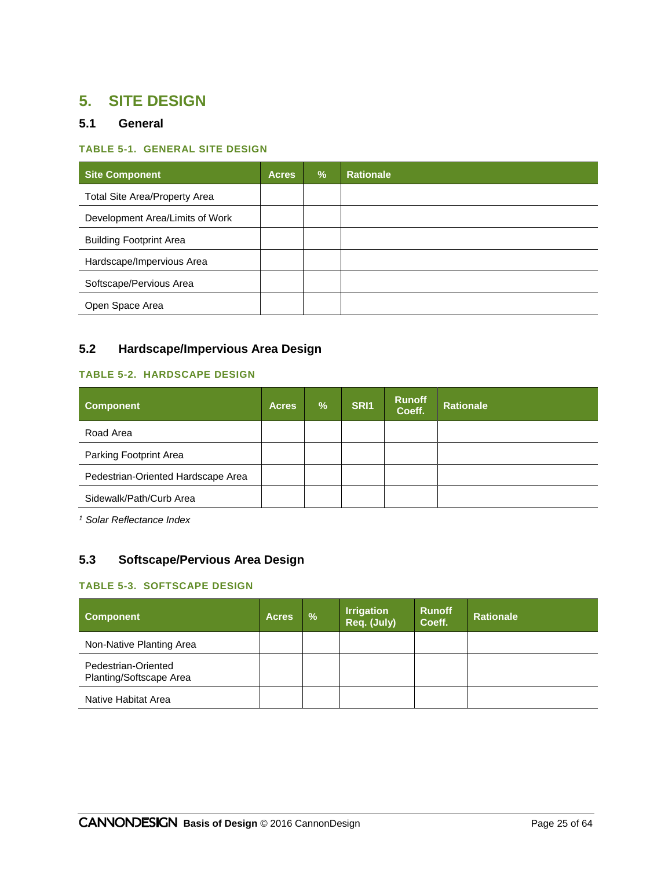# **5. SITE DESIGN**

# **5.1 General**

#### **TABLE 5-1. GENERAL SITE DESIGN**

| <b>Site Component</b>           | <b>Acres</b> | $\frac{9}{6}$ | <b>Rationale</b> |
|---------------------------------|--------------|---------------|------------------|
| Total Site Area/Property Area   |              |               |                  |
| Development Area/Limits of Work |              |               |                  |
| <b>Building Footprint Area</b>  |              |               |                  |
| Hardscape/Impervious Area       |              |               |                  |
| Softscape/Pervious Area         |              |               |                  |
| Open Space Area                 |              |               |                  |

# **5.2 Hardscape/Impervious Area Design**

# **TABLE 5-2. HARDSCAPE DESIGN**

| <b>Component</b>                   | <b>Acres</b> | $\overline{\mathcal{A}}$ | SRI <sub>1</sub> | <b>Runoff</b><br>Coeff. | <b>Rationale</b> |
|------------------------------------|--------------|--------------------------|------------------|-------------------------|------------------|
| Road Area                          |              |                          |                  |                         |                  |
| Parking Footprint Area             |              |                          |                  |                         |                  |
| Pedestrian-Oriented Hardscape Area |              |                          |                  |                         |                  |
| Sidewalk/Path/Curb Area            |              |                          |                  |                         |                  |

*<sup>1</sup> Solar Reflectance Index*

# **5.3 Softscape/Pervious Area Design**

#### **TABLE 5-3. SOFTSCAPE DESIGN**

| <b>Component</b>                               | <b>Acres</b> | $\frac{9}{6}$ | <b>Irrigation</b><br>Req. (July) | <b>Runoff</b><br>Coeff. | <b>Rationale</b> |
|------------------------------------------------|--------------|---------------|----------------------------------|-------------------------|------------------|
| Non-Native Planting Area                       |              |               |                                  |                         |                  |
| Pedestrian-Oriented<br>Planting/Softscape Area |              |               |                                  |                         |                  |
| Native Habitat Area                            |              |               |                                  |                         |                  |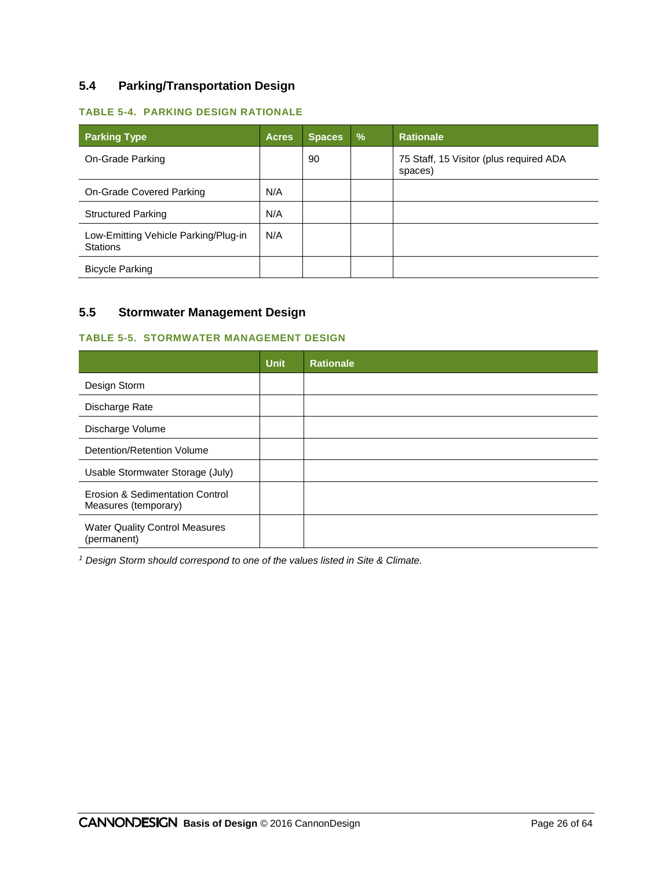# **5.4 Parking/Transportation Design**

### **TABLE 5-4. PARKING DESIGN RATIONALE**

| <b>Parking Type</b>                                     | <b>Acres</b> | <b>Spaces</b> | $\frac{9}{6}$ | <b>Rationale</b>                                   |
|---------------------------------------------------------|--------------|---------------|---------------|----------------------------------------------------|
| On-Grade Parking                                        |              | 90            |               | 75 Staff, 15 Visitor (plus required ADA<br>spaces) |
| On-Grade Covered Parking                                | N/A          |               |               |                                                    |
| <b>Structured Parking</b>                               | N/A          |               |               |                                                    |
| Low-Emitting Vehicle Parking/Plug-in<br><b>Stations</b> | N/A          |               |               |                                                    |
| <b>Bicycle Parking</b>                                  |              |               |               |                                                    |

# **5.5 Stormwater Management Design**

#### **TABLE 5-5. STORMWATER MANAGEMENT DESIGN**

|                                                         | <b>Unit</b> | <b>Rationale</b> |
|---------------------------------------------------------|-------------|------------------|
| Design Storm                                            |             |                  |
| Discharge Rate                                          |             |                  |
| Discharge Volume                                        |             |                  |
| Detention/Retention Volume                              |             |                  |
| Usable Stormwater Storage (July)                        |             |                  |
| Erosion & Sedimentation Control<br>Measures (temporary) |             |                  |
| <b>Water Quality Control Measures</b><br>(permanent)    |             |                  |

*<sup>1</sup> Design Storm should correspond to one of the values listed in Site & Climate.*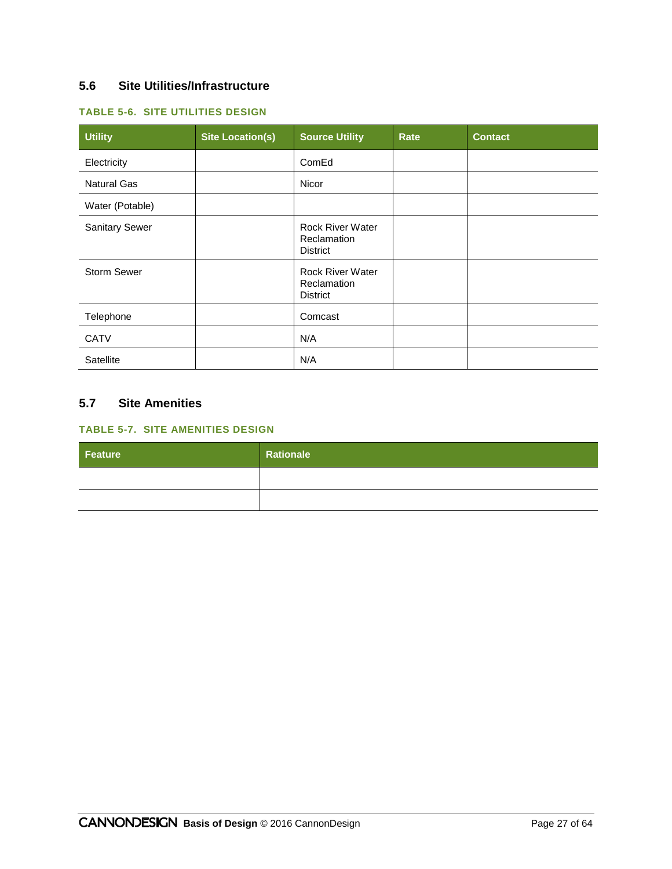# **5.6 Site Utilities/Infrastructure**

### **TABLE 5-6. SITE UTILITIES DESIGN**

| <b>Utility</b>        | <b>Site Location(s)</b> | <b>Source Utility</b>                                     | Rate | <b>Contact</b> |
|-----------------------|-------------------------|-----------------------------------------------------------|------|----------------|
| Electricity           |                         | ComEd                                                     |      |                |
| <b>Natural Gas</b>    |                         | Nicor                                                     |      |                |
| Water (Potable)       |                         |                                                           |      |                |
| <b>Sanitary Sewer</b> |                         | <b>Rock River Water</b><br>Reclamation<br><b>District</b> |      |                |
| <b>Storm Sewer</b>    |                         | <b>Rock River Water</b><br>Reclamation<br><b>District</b> |      |                |
| Telephone             |                         | Comcast                                                   |      |                |
| <b>CATV</b>           |                         | N/A                                                       |      |                |
| Satellite             |                         | N/A                                                       |      |                |

# **5.7 Site Amenities**

### **TABLE 5-7. SITE AMENITIES DESIGN**

| Feature | Rationale |
|---------|-----------|
|         |           |
|         |           |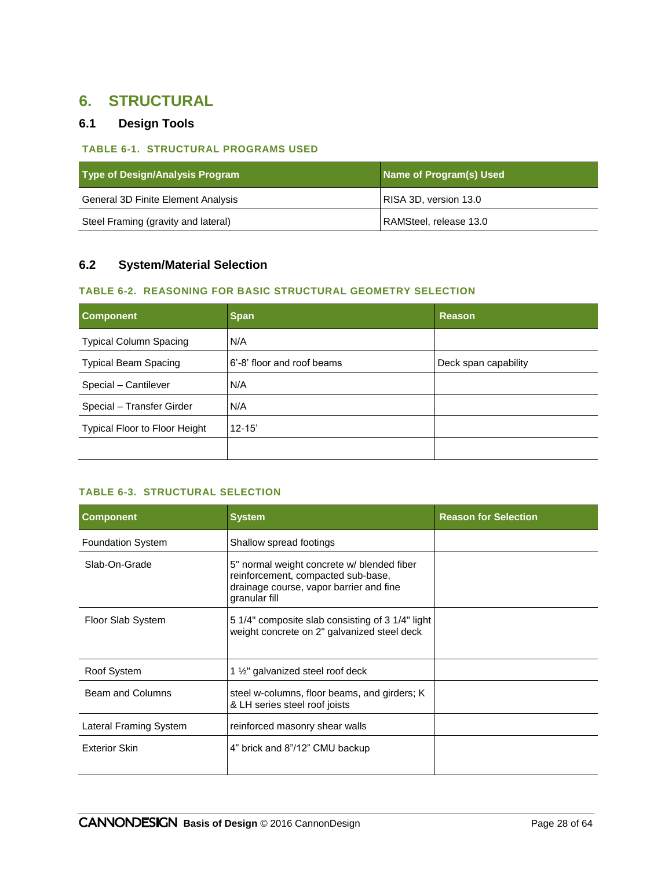# **6. STRUCTURAL**

# **6.1 Design Tools**

#### **TABLE 6-1. STRUCTURAL PROGRAMS USED**

| Type of Design/Analysis Program     | Name of Program(s) Used |
|-------------------------------------|-------------------------|
| General 3D Finite Element Analysis  | RISA 3D, version 13.0   |
| Steel Framing (gravity and lateral) | RAMSteel, release 13.0  |

# **6.2 System/Material Selection**

#### **TABLE 6-2. REASONING FOR BASIC STRUCTURAL GEOMETRY SELECTION**

| <b>Component</b>                     | <b>Span</b>                | Reason               |
|--------------------------------------|----------------------------|----------------------|
| <b>Typical Column Spacing</b>        | N/A                        |                      |
| <b>Typical Beam Spacing</b>          | 6'-8' floor and roof beams | Deck span capability |
| Special - Cantilever                 | N/A                        |                      |
| Special - Transfer Girder            | N/A                        |                      |
| <b>Typical Floor to Floor Height</b> | $12 - 15'$                 |                      |
|                                      |                            |                      |

# **TABLE 6-3. STRUCTURAL SELECTION**

| <b>Component</b>         | <b>System</b>                                                                                                                                | <b>Reason for Selection</b> |
|--------------------------|----------------------------------------------------------------------------------------------------------------------------------------------|-----------------------------|
| <b>Foundation System</b> | Shallow spread footings                                                                                                                      |                             |
| Slab-On-Grade            | 5" normal weight concrete w/ blended fiber<br>reinforcement, compacted sub-base,<br>drainage course, vapor barrier and fine<br>granular fill |                             |
| Floor Slab System        | 5 1/4" composite slab consisting of 3 1/4" light<br>weight concrete on 2" galvanized steel deck                                              |                             |
| Roof System              | 1 1/ <sub>2</sub> " galvanized steel roof deck                                                                                               |                             |
| Beam and Columns         | steel w-columns, floor beams, and girders; K<br>& LH series steel roof joists                                                                |                             |
| Lateral Framing System   | reinforced masonry shear walls                                                                                                               |                             |
| <b>Exterior Skin</b>     | 4" brick and 8"/12" CMU backup                                                                                                               |                             |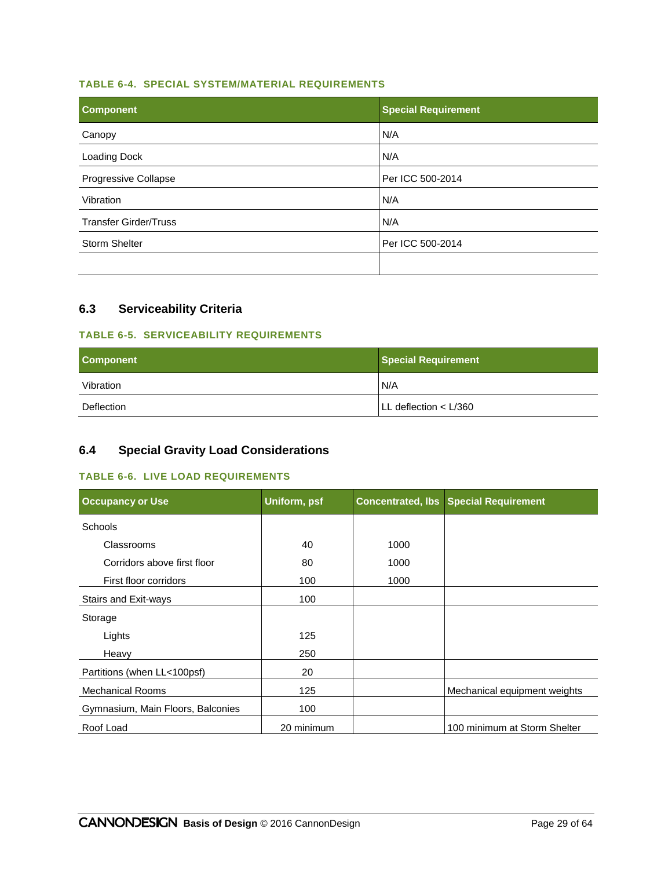#### **TABLE 6-4. SPECIAL SYSTEM/MATERIAL REQUIREMENTS**

| <b>Component</b>             | <b>Special Requirement</b> |
|------------------------------|----------------------------|
| Canopy                       | N/A                        |
| Loading Dock                 | N/A                        |
| Progressive Collapse         | Per ICC 500-2014           |
| Vibration                    | N/A                        |
| <b>Transfer Girder/Truss</b> | N/A                        |
| <b>Storm Shelter</b>         | Per ICC 500-2014           |
|                              |                            |

# **6.3 Serviceability Criteria**

# **TABLE 6-5. SERVICEABILITY REQUIREMENTS**

| <b>Component</b> | <b>Special Requirement</b> |
|------------------|----------------------------|
| Vibration        | N/A                        |
| Deflection       | LLL deflection < L/360     |

# **6.4 Special Gravity Load Considerations**

#### **TABLE 6-6. LIVE LOAD REQUIREMENTS**

| <b>Occupancy or Use</b>           | Uniform, psf | <b>Concentrated, Ibs</b> | <b>Special Requirement</b>   |
|-----------------------------------|--------------|--------------------------|------------------------------|
| <b>Schools</b>                    |              |                          |                              |
| Classrooms                        | 40           | 1000                     |                              |
| Corridors above first floor       | 80           | 1000                     |                              |
| First floor corridors             | 100          | 1000                     |                              |
| Stairs and Exit-ways              | 100          |                          |                              |
| Storage                           |              |                          |                              |
| Lights                            | 125          |                          |                              |
| Heavy                             | 250          |                          |                              |
| Partitions (when LL<100psf)       | 20           |                          |                              |
| <b>Mechanical Rooms</b>           | 125          |                          | Mechanical equipment weights |
| Gymnasium, Main Floors, Balconies | 100          |                          |                              |
| Roof Load                         | 20 minimum   |                          | 100 minimum at Storm Shelter |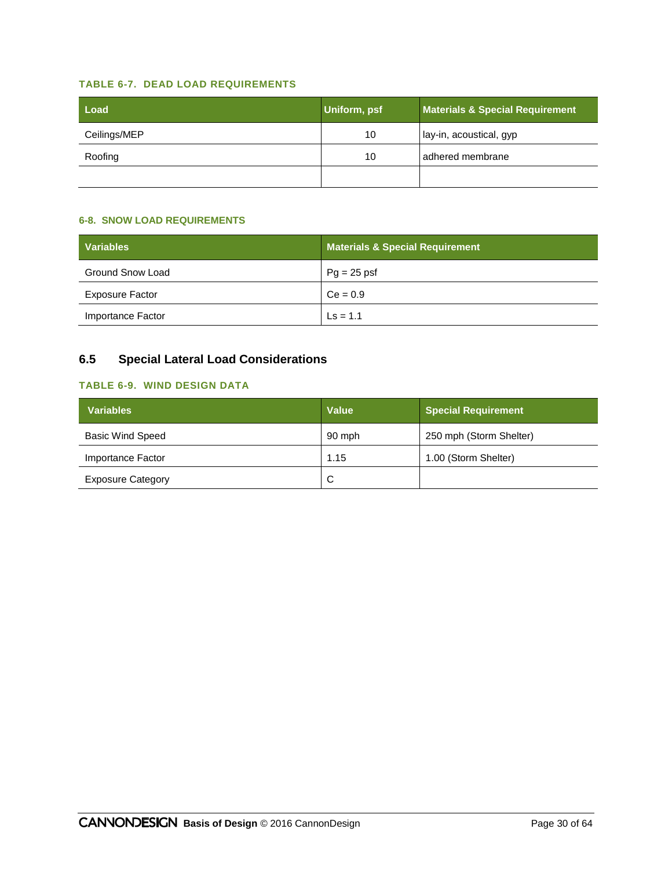#### **TABLE 6-7. DEAD LOAD REQUIREMENTS**

| Load         | Uniform, psf | <b>Materials &amp; Special Requirement</b> |
|--------------|--------------|--------------------------------------------|
| Ceilings/MEP | 10           | lay-in, acoustical, gyp                    |
| Roofing      | 10           | adhered membrane                           |
|              |              |                                            |

#### **6-8. SNOW LOAD REQUIREMENTS**

| <b>Variables</b>       | <b>Materials &amp; Special Requirement</b> |
|------------------------|--------------------------------------------|
| Ground Snow Load       | $Pg = 25$ psf                              |
| <b>Exposure Factor</b> | $Ce = 0.9$                                 |
| Importance Factor      | $\text{Ls} = 1.1$                          |

# **6.5 Special Lateral Load Considerations**

### **TABLE 6-9. WIND DESIGN DATA**

| <b>Variables</b>         | <b>Value</b> | <b>Special Requirement</b> |
|--------------------------|--------------|----------------------------|
| <b>Basic Wind Speed</b>  | 90 mph       | 250 mph (Storm Shelter)    |
| Importance Factor        | 1.15         | 1.00 (Storm Shelter)       |
| <b>Exposure Category</b> | C            |                            |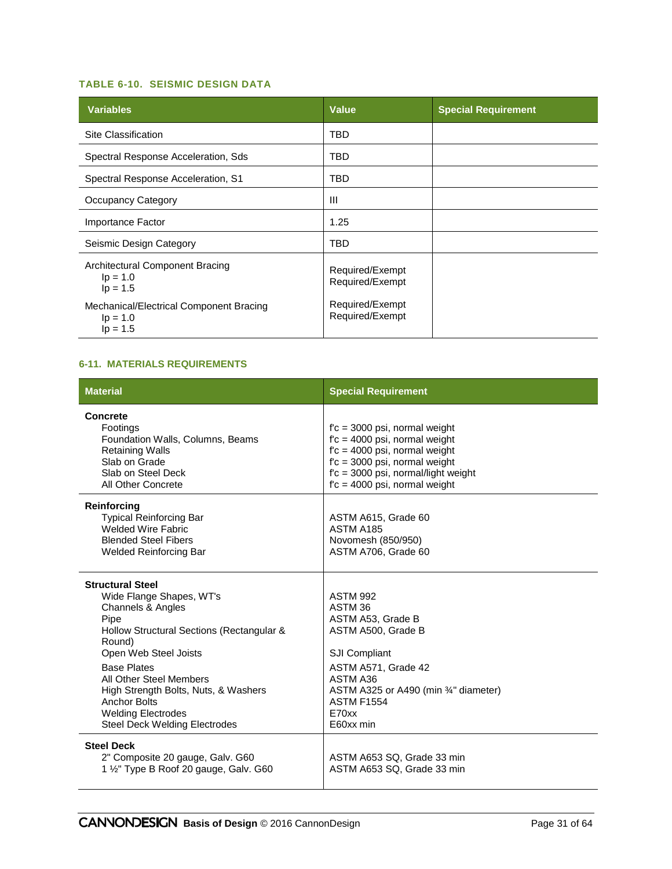#### **TABLE 6-10. SEISMIC DESIGN DATA**

| <b>Variables</b>                                                    | <b>Value</b>                       | <b>Special Requirement</b> |
|---------------------------------------------------------------------|------------------------------------|----------------------------|
| Site Classification                                                 | TBD                                |                            |
| Spectral Response Acceleration, Sds                                 | TBD                                |                            |
| Spectral Response Acceleration, S1                                  | TBD                                |                            |
| <b>Occupancy Category</b>                                           | Ш                                  |                            |
| Importance Factor                                                   | 1.25                               |                            |
| Seismic Design Category                                             | TBD                                |                            |
| Architectural Component Bracing<br>$lp = 1.0$<br>$lp = 1.5$         | Required/Exempt<br>Required/Exempt |                            |
| Mechanical/Electrical Component Bracing<br>$lp = 1.0$<br>$lp = 1.5$ | Required/Exempt<br>Required/Exempt |                            |

#### **6-11. MATERIALS REQUIREMENTS**

| <b>Material</b>                                                                                                                                                                                                                                                                                                                                       | <b>Special Requirement</b>                                                                                                                                                                                          |
|-------------------------------------------------------------------------------------------------------------------------------------------------------------------------------------------------------------------------------------------------------------------------------------------------------------------------------------------------------|---------------------------------------------------------------------------------------------------------------------------------------------------------------------------------------------------------------------|
| Concrete<br>Footings<br>Foundation Walls, Columns, Beams<br><b>Retaining Walls</b><br>Slab on Grade<br>Slab on Steel Deck<br>All Other Concrete                                                                                                                                                                                                       | $fc = 3000$ psi, normal weight<br>$fc = 4000$ psi, normal weight<br>$fc = 4000$ psi, normal weight<br>$fc = 3000$ psi, normal weight<br>$fc = 3000$ psi, normal/light weight<br>$fc = 4000$ psi, normal weight      |
| <b>Reinforcing</b><br><b>Typical Reinforcing Bar</b><br><b>Welded Wire Fabric</b><br><b>Blended Steel Fibers</b><br><b>Welded Reinforcing Bar</b>                                                                                                                                                                                                     | ASTM A615, Grade 60<br>ASTM A185<br>Novomesh (850/950)<br>ASTM A706, Grade 60                                                                                                                                       |
| <b>Structural Steel</b><br>Wide Flange Shapes, WT's<br>Channels & Angles<br>Pipe<br>Hollow Structural Sections (Rectangular &<br>Round)<br>Open Web Steel Joists<br><b>Base Plates</b><br>All Other Steel Members<br>High Strength Bolts, Nuts, & Washers<br><b>Anchor Bolts</b><br><b>Welding Electrodes</b><br><b>Steel Deck Welding Electrodes</b> | <b>ASTM 992</b><br>ASTM 36<br>ASTM A53, Grade B<br>ASTM A500, Grade B<br><b>SJI Compliant</b><br>ASTM A571, Grade 42<br>ASTM A36<br>ASTM A325 or A490 (min 34" diameter)<br><b>ASTM F1554</b><br>E70xx<br>E60xx min |
| <b>Steel Deck</b><br>2" Composite 20 gauge, Galv. G60<br>1 1/2" Type B Roof 20 gauge, Galv. G60                                                                                                                                                                                                                                                       | ASTM A653 SQ, Grade 33 min<br>ASTM A653 SQ, Grade 33 min                                                                                                                                                            |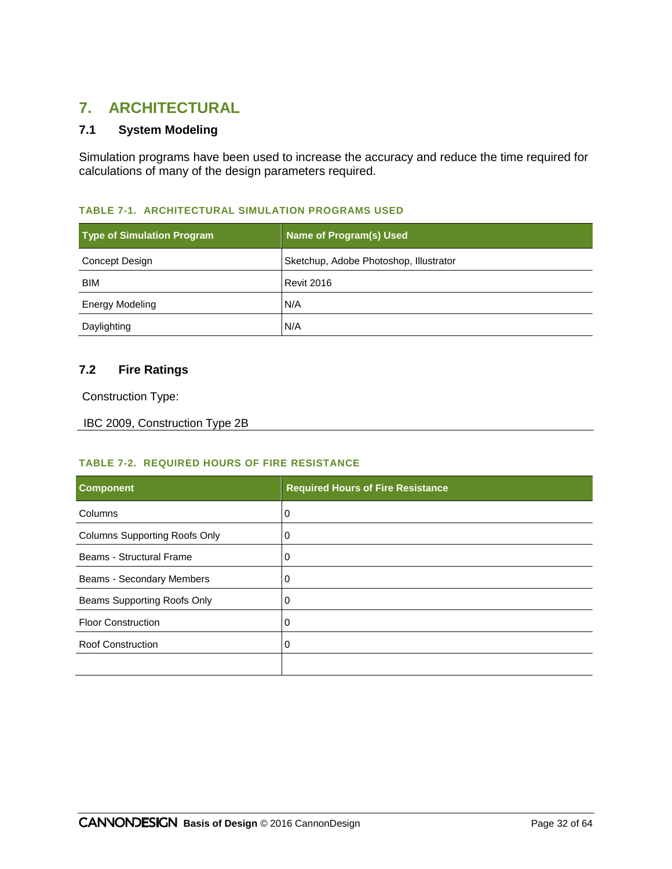# **7. ARCHITECTURAL**

# **7.1 System Modeling**

Simulation programs have been used to increase the accuracy and reduce the time required for calculations of many of the design parameters required.

#### **TABLE 7-1. ARCHITECTURAL SIMULATION PROGRAMS USED**

| <b>Type of Simulation Program</b> | <b>Name of Program(s) Used</b>         |
|-----------------------------------|----------------------------------------|
| Concept Design                    | Sketchup, Adobe Photoshop, Illustrator |
| <b>BIM</b>                        | Revit 2016                             |
| <b>Energy Modeling</b>            | N/A                                    |
| Daylighting                       | N/A                                    |

#### **7.2 Fire Ratings**

Construction Type:

```
IBC 2009, Construction Type 2B
```
#### **TABLE 7-2. REQUIRED HOURS OF FIRE RESISTANCE**

| <b>Component</b>                     | <b>Required Hours of Fire Resistance</b> |
|--------------------------------------|------------------------------------------|
| Columns                              | 0                                        |
| <b>Columns Supporting Roofs Only</b> | 0                                        |
| Beams - Structural Frame             | 0                                        |
| Beams - Secondary Members            | 0                                        |
| Beams Supporting Roofs Only          | 0                                        |
| <b>Floor Construction</b>            | 0                                        |
| <b>Roof Construction</b>             | 0                                        |
|                                      |                                          |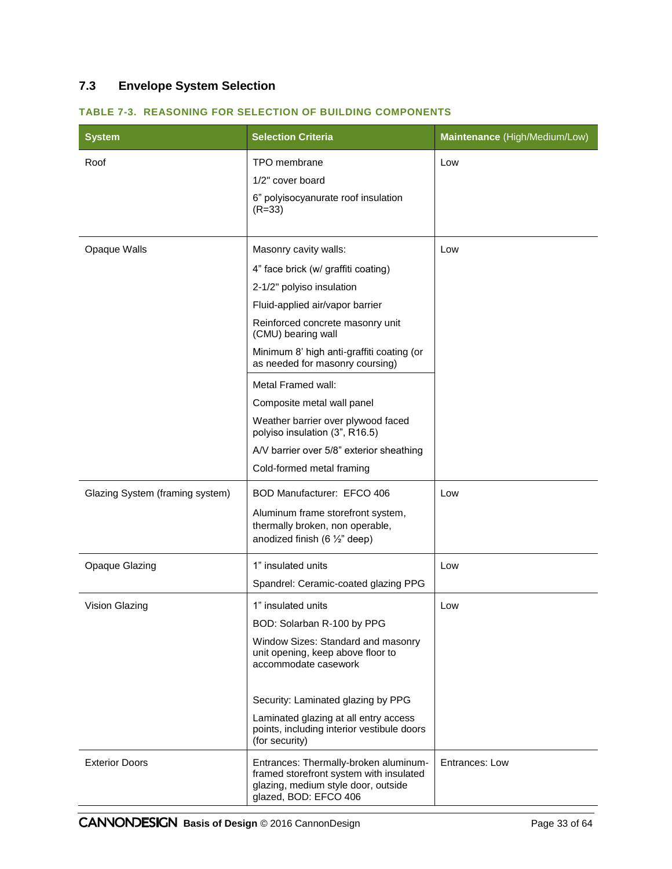# **7.3 Envelope System Selection**

| <b>System</b>                   | <b>Selection Criteria</b>                                                                                                                        | Maintenance (High/Medium/Low) |
|---------------------------------|--------------------------------------------------------------------------------------------------------------------------------------------------|-------------------------------|
| Roof                            | TPO membrane                                                                                                                                     | Low                           |
|                                 | 1/2" cover board                                                                                                                                 |                               |
|                                 | 6" polyisocyanurate roof insulation<br>$(R = 33)$                                                                                                |                               |
| Opaque Walls                    | Masonry cavity walls:                                                                                                                            | Low                           |
|                                 |                                                                                                                                                  |                               |
|                                 | 4" face brick (w/ graffiti coating)<br>2-1/2" polyiso insulation                                                                                 |                               |
|                                 | Fluid-applied air/vapor barrier                                                                                                                  |                               |
|                                 | Reinforced concrete masonry unit<br>(CMU) bearing wall                                                                                           |                               |
|                                 | Minimum 8' high anti-graffiti coating (or<br>as needed for masonry coursing)                                                                     |                               |
|                                 | Metal Framed wall:                                                                                                                               |                               |
|                                 | Composite metal wall panel                                                                                                                       |                               |
|                                 | Weather barrier over plywood faced<br>polyiso insulation (3", R16.5)                                                                             |                               |
|                                 | A/V barrier over 5/8" exterior sheathing                                                                                                         |                               |
|                                 | Cold-formed metal framing                                                                                                                        |                               |
| Glazing System (framing system) | BOD Manufacturer: EFCO 406                                                                                                                       | Low                           |
|                                 | Aluminum frame storefront system,<br>thermally broken, non operable,<br>anodized finish (6 $\frac{1}{2}$ " deep)                                 |                               |
| <b>Opaque Glazing</b>           | 1" insulated units                                                                                                                               | Low                           |
|                                 | Spandrel: Ceramic-coated glazing PPG                                                                                                             |                               |
| Vision Glazing                  | 1" insulated units                                                                                                                               | Low                           |
|                                 | BOD: Solarban R-100 by PPG                                                                                                                       |                               |
|                                 | Window Sizes: Standard and masonry<br>unit opening, keep above floor to<br>accommodate casework                                                  |                               |
|                                 | Security: Laminated glazing by PPG                                                                                                               |                               |
|                                 | Laminated glazing at all entry access<br>points, including interior vestibule doors<br>(for security)                                            |                               |
| <b>Exterior Doors</b>           | Entrances: Thermally-broken aluminum-<br>framed storefront system with insulated<br>glazing, medium style door, outside<br>glazed, BOD: EFCO 406 | Entrances: Low                |

#### **TABLE 7-3. REASONING FOR SELECTION OF BUILDING COMPONENTS**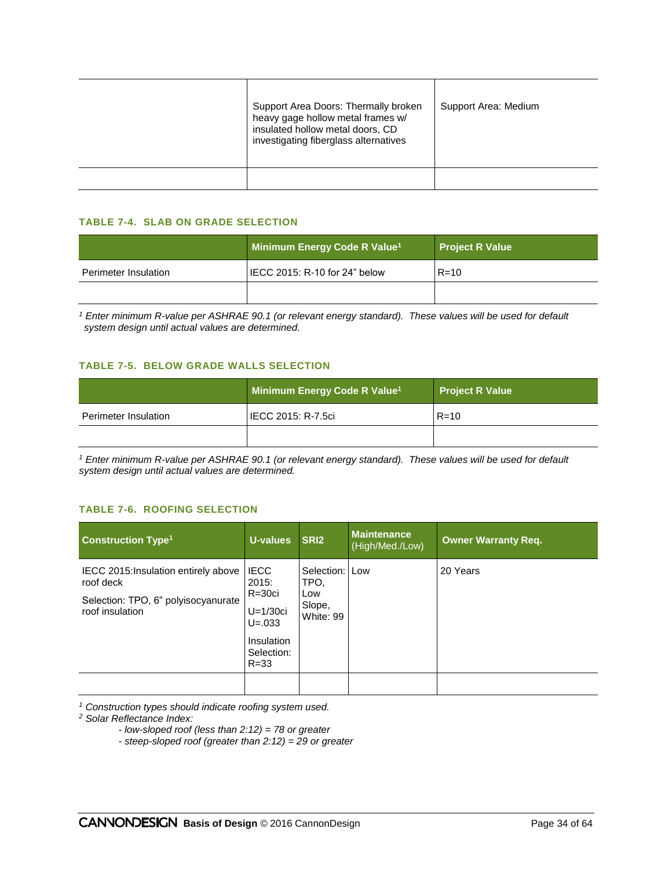| Support Area Doors: Thermally broken<br>heavy gage hollow metal frames w/<br>insulated hollow metal doors, CD<br>investigating fiberglass alternatives | Support Area: Medium |
|--------------------------------------------------------------------------------------------------------------------------------------------------------|----------------------|
|                                                                                                                                                        |                      |

#### **TABLE 7-4. SLAB ON GRADE SELECTION**

|                      | Minimum Energy Code R Value <sup>1</sup> | <b>Project R Value</b> |
|----------------------|------------------------------------------|------------------------|
| Perimeter Insulation | I IECC 2015: R-10 for 24" below          | $R = 10$               |
|                      |                                          |                        |

*<sup>1</sup> Enter minimum R-value per ASHRAE 90.1 (or relevant energy standard). These values will be used for default system design until actual values are determined.*

#### **TABLE 7-5. BELOW GRADE WALLS SELECTION**

|                      | Minimum Energy Code R Value <sup>1</sup> | <b>Project R Value</b> |
|----------------------|------------------------------------------|------------------------|
| Perimeter Insulation | IECC 2015: R-7.5ci                       | $R = 10$               |
|                      |                                          |                        |

*<sup>1</sup> Enter minimum R-value per ASHRAE 90.1 (or relevant energy standard). These values will be used for default system design until actual values are determined.*

#### **TABLE 7-6. ROOFING SELECTION**

| <b>Construction Type<sup>1</sup></b>                   | U-values                                         | SRI <sub>2</sub>       | <b>Maintenance</b><br>(High/Med./Low) | <b>Owner Warranty Req.</b> |
|--------------------------------------------------------|--------------------------------------------------|------------------------|---------------------------------------|----------------------------|
| IECC 2015: Insulation entirely above<br>roof deck      | <b>IECC</b><br>2015:                             | Selection: Low<br>TPO. |                                       | 20 Years                   |
| Selection: TPO, 6" polyisocyanurate<br>roof insulation | $R = 30c$ i<br>Low<br>$U=1/30$ ci<br>$U = 0.033$ | Slope,<br>White: 99    |                                       |                            |
|                                                        | Insulation<br>Selection:<br>$R = 33$             |                        |                                       |                            |
|                                                        |                                                  |                        |                                       |                            |

*<sup>1</sup> Construction types should indicate roofing system used.*

*<sup>2</sup> Solar Reflectance Index:*

*- low-sloped roof (less than 2:12) = 78 or greater*

*- steep-sloped roof (greater than 2:12) = 29 or greater*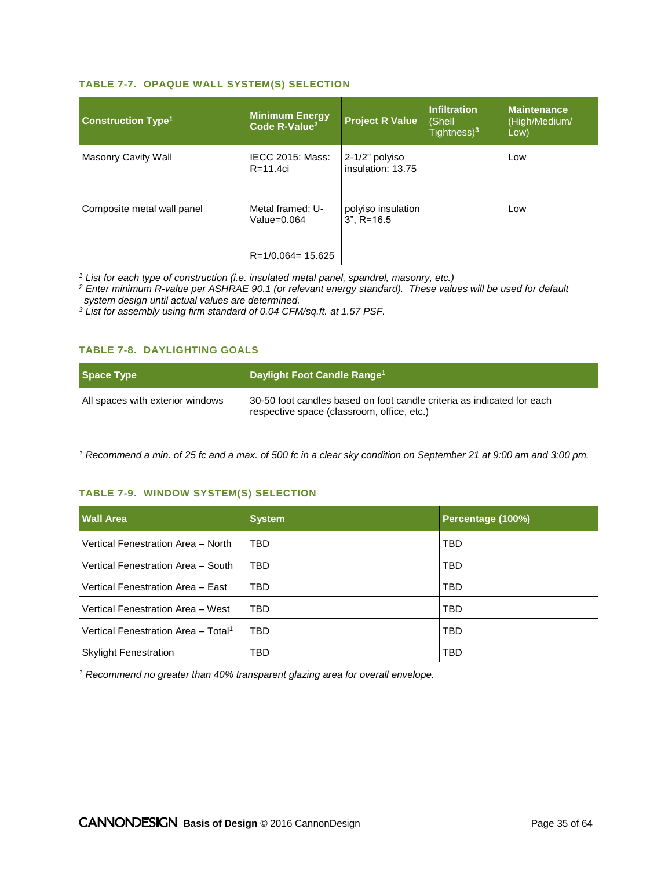#### **TABLE 7-7. OPAQUE WALL SYSTEM(S) SELECTION**

| <b>Construction Type<sup>1</sup></b> | <b>Minimum Energy</b><br>Code R-Value <sup>2</sup>        | <b>Project R Value</b>              | Infiltration<br>(Shell<br>Tightness $)^3$ | <b>Maintenance</b><br>(High/Medium/<br>Low) |
|--------------------------------------|-----------------------------------------------------------|-------------------------------------|-------------------------------------------|---------------------------------------------|
| Masonry Cavity Wall                  | <b>IECC 2015: Mass:</b><br>$R = 11.4ci$                   | 2-1/2" polyiso<br>insulation: 13.75 |                                           | Low                                         |
| Composite metal wall panel           | Metal framed: U-<br>Value=0.064<br>$R = 1/0.064 = 15.625$ | polyiso insulation<br>$3"$ . R=16.5 |                                           | Low                                         |

*<sup>1</sup> List for each type of construction (i.e. insulated metal panel, spandrel, masonry, etc.)*

*<sup>2</sup> Enter minimum R-value per ASHRAE 90.1 (or relevant energy standard). These values will be used for default system design until actual values are determined.*

*<sup>3</sup> List for assembly using firm standard of 0.04 CFM/sq.ft. at 1.57 PSF.*

#### **TABLE 7-8. DAYLIGHTING GOALS**

| Space Type                       | Daylight Foot Candle Range <sup>1</sup>                                                                              |
|----------------------------------|----------------------------------------------------------------------------------------------------------------------|
| All spaces with exterior windows | 30-50 foot candles based on foot candle criteria as indicated for each<br>respective space (classroom, office, etc.) |
|                                  |                                                                                                                      |

*<sup>1</sup> Recommend a min. of 25 fc and a max. of 500 fc in a clear sky condition on September 21 at 9:00 am and 3:00 pm.*

#### **TABLE 7-9. WINDOW SYSTEM(S) SELECTION**

| <b>Wall Area</b>                                | <b>System</b> | Percentage (100%) |
|-------------------------------------------------|---------------|-------------------|
| Vertical Fenestration Area - North              | TBD           | TBD               |
| Vertical Fenestration Area - South              | TBD           | TBD               |
| Vertical Fenestration Area - East               | TBD           | <b>TBD</b>        |
| Vertical Fenestration Area - West               | TBD           | TBD               |
| Vertical Fenestration Area - Total <sup>1</sup> | TBD           | TBD               |
| <b>Skylight Fenestration</b>                    | TBD           | TBD               |

*<sup>1</sup> Recommend no greater than 40% transparent glazing area for overall envelope.*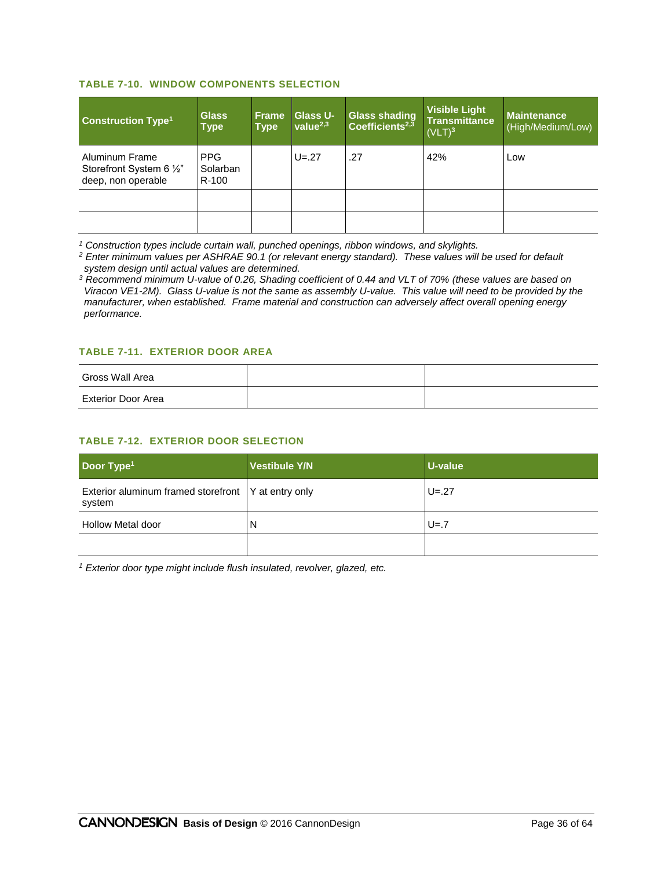#### **TABLE 7-10. WINDOW COMPONENTS SELECTION**

| <b>Construction Type<sup>1</sup></b>                             | <b>Glass</b><br><b>Type</b>     | <b>Frame</b><br><b>Type</b> | <b>Glass U-</b><br>value $^{2,3}$ | <b>Glass shading</b><br>Coefficients <sup>2,3</sup> | <b>Visible Light</b><br><b>Transmittance</b><br>(VLT) <sup>3</sup> | <b>Maintenance</b><br>(High/Medium/Low) |
|------------------------------------------------------------------|---------------------------------|-----------------------------|-----------------------------------|-----------------------------------------------------|--------------------------------------------------------------------|-----------------------------------------|
| Aluminum Frame<br>Storefront System 6 1/2"<br>deep, non operable | <b>PPG</b><br>Solarban<br>R-100 |                             | $U = 27$                          | .27                                                 | 42%                                                                | Low                                     |
|                                                                  |                                 |                             |                                   |                                                     |                                                                    |                                         |
|                                                                  |                                 |                             |                                   |                                                     |                                                                    |                                         |

*<sup>1</sup> Construction types include curtain wall, punched openings, ribbon windows, and skylights.*

*<sup>2</sup> Enter minimum values per ASHRAE 90.1 (or relevant energy standard). These values will be used for default system design until actual values are determined.*

*<sup>3</sup> Recommend minimum U-value of 0.26, Shading coefficient of 0.44 and VLT of 70% (these values are based on Viracon VE1-2M). Glass U-value is not the same as assembly U-value. This value will need to be provided by the manufacturer, when established. Frame material and construction can adversely affect overall opening energy performance.*

#### **TABLE 7-11. EXTERIOR DOOR AREA**

| Gross Wall Area    |  |
|--------------------|--|
| Exterior Door Area |  |

#### **TABLE 7-12. EXTERIOR DOOR SELECTION**

| Door Type <sup>1</sup>                                          | <b>Vestibule Y/N</b> | U-value  |
|-----------------------------------------------------------------|----------------------|----------|
| Exterior aluminum framed storefront   Y at entry only<br>system |                      | $U = 27$ |
| <b>Hollow Metal door</b>                                        | N                    | $U = 7$  |
|                                                                 |                      |          |

*<sup>1</sup> Exterior door type might include flush insulated, revolver, glazed, etc.*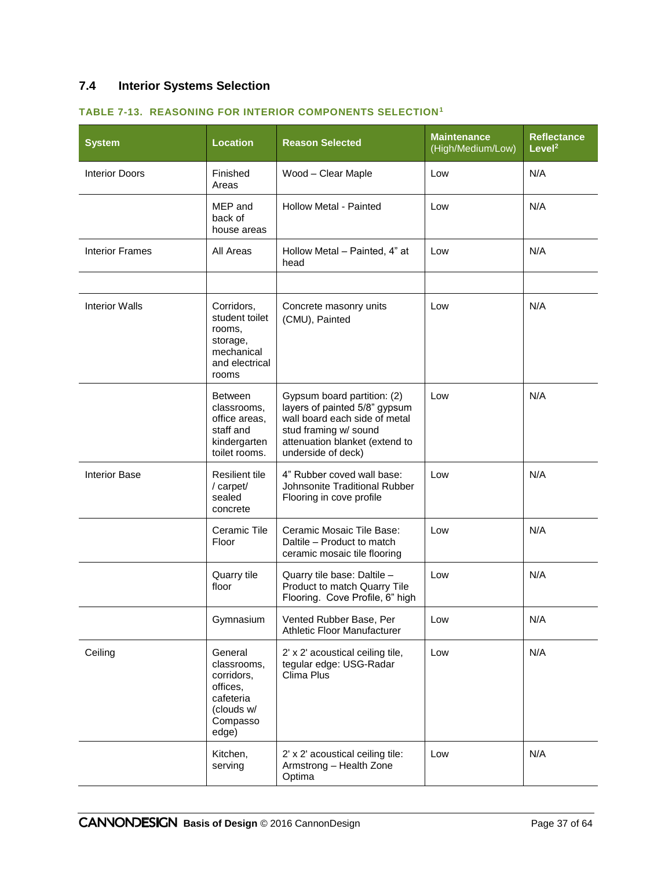# **7.4 Interior Systems Selection**

| <b>System</b>          | <b>Location</b>                                                                                  | <b>Reason Selected</b>                                                                                                                                                         | <b>Maintenance</b><br>(High/Medium/Low) | <b>Reflectance</b><br>Level <sup>2</sup> |
|------------------------|--------------------------------------------------------------------------------------------------|--------------------------------------------------------------------------------------------------------------------------------------------------------------------------------|-----------------------------------------|------------------------------------------|
| <b>Interior Doors</b>  | Finished<br>Areas                                                                                | Wood - Clear Maple                                                                                                                                                             | Low                                     | N/A                                      |
|                        | MEP and<br>back of<br>house areas                                                                | <b>Hollow Metal - Painted</b>                                                                                                                                                  | Low                                     | N/A                                      |
| <b>Interior Frames</b> | All Areas                                                                                        | Hollow Metal - Painted, 4" at<br>head                                                                                                                                          | Low                                     | N/A                                      |
|                        |                                                                                                  |                                                                                                                                                                                |                                         |                                          |
| <b>Interior Walls</b>  | Corridors,<br>student toilet<br>rooms,<br>storage,<br>mechanical<br>and electrical<br>rooms      | Concrete masonry units<br>(CMU), Painted                                                                                                                                       | Low                                     | N/A                                      |
|                        | <b>Between</b><br>classrooms,<br>office areas.<br>staff and<br>kindergarten<br>toilet rooms.     | Gypsum board partition: (2)<br>layers of painted 5/8" gypsum<br>wall board each side of metal<br>stud framing w/ sound<br>attenuation blanket (extend to<br>underside of deck) | Low                                     | N/A                                      |
| <b>Interior Base</b>   | <b>Resilient tile</b><br>/ carpet/<br>sealed<br>concrete                                         | 4" Rubber coved wall base:<br>Johnsonite Traditional Rubber<br>Flooring in cove profile                                                                                        | Low                                     | N/A                                      |
|                        | Ceramic Tile<br>Floor                                                                            | Ceramic Mosaic Tile Base:<br>Daltile - Product to match<br>ceramic mosaic tile flooring                                                                                        | Low                                     | N/A                                      |
|                        | Quarry tile<br>floor                                                                             | Quarry tile base: Daltile -<br>Product to match Quarry Tile<br>Flooring. Cove Profile, 6" high                                                                                 | Low                                     | N/A                                      |
|                        | Gymnasium                                                                                        | Vented Rubber Base, Per<br><b>Athletic Floor Manufacturer</b>                                                                                                                  | Low                                     | N/A                                      |
| Ceiling                | General<br>classrooms,<br>corridors,<br>offices,<br>cafeteria<br>(clouds w/<br>Compasso<br>edge) | 2' x 2' acoustical ceiling tile,<br>tegular edge: USG-Radar<br>Clima Plus                                                                                                      | Low                                     | N/A                                      |
|                        | Kitchen,<br>serving                                                                              | 2' x 2' acoustical ceiling tile:<br>Armstrong - Health Zone<br>Optima                                                                                                          | Low                                     | N/A                                      |

#### **TABLE 7-13. REASONING FOR INTERIOR COMPONENTS SELECTION<sup>1</sup>**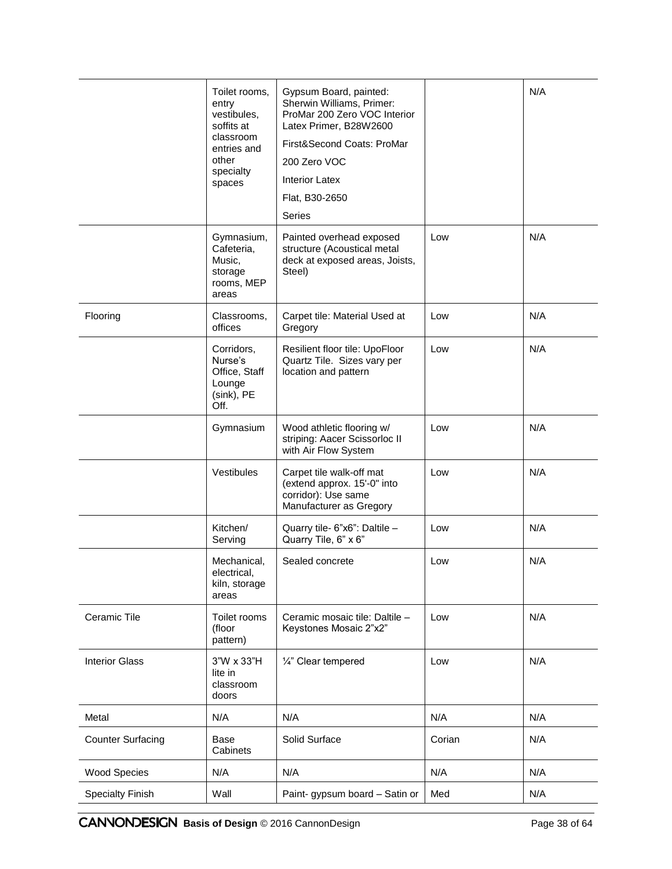|                          | Toilet rooms,<br>entry<br>vestibules,<br>soffits at<br>classroom<br>entries and<br>other<br>specialty<br>spaces | Gypsum Board, painted:<br>Sherwin Williams, Primer:<br>ProMar 200 Zero VOC Interior<br>Latex Primer, B28W2600<br>First&Second Coats: ProMar<br>200 Zero VOC<br><b>Interior Latex</b><br>Flat, B30-2650<br><b>Series</b> |        | N/A |
|--------------------------|-----------------------------------------------------------------------------------------------------------------|-------------------------------------------------------------------------------------------------------------------------------------------------------------------------------------------------------------------------|--------|-----|
|                          | Gymnasium,<br>Cafeteria,<br>Music,<br>storage<br>rooms, MEP<br>areas                                            | Painted overhead exposed<br>structure (Acoustical metal<br>deck at exposed areas, Joists,<br>Steel)                                                                                                                     | Low    | N/A |
| Flooring                 | Classrooms,<br>offices                                                                                          | Carpet tile: Material Used at<br>Gregory                                                                                                                                                                                | Low    | N/A |
|                          | Corridors,<br>Nurse's<br>Office, Staff<br>Lounge<br>(sink), PE<br>Off.                                          | Resilient floor tile: UpoFloor<br>Quartz Tile. Sizes vary per<br>location and pattern                                                                                                                                   | Low    | N/A |
|                          | Gymnasium                                                                                                       | Wood athletic flooring w/<br>striping: Aacer Scissorloc II<br>with Air Flow System                                                                                                                                      | Low    | N/A |
|                          | Vestibules                                                                                                      | Carpet tile walk-off mat<br>(extend approx. 15'-0" into<br>corridor): Use same<br>Manufacturer as Gregory                                                                                                               | Low    | N/A |
|                          | Kitchen/<br>Serving                                                                                             | Quarry tile- 6"x6": Daltile -<br>Quarry Tile, 6" x 6"                                                                                                                                                                   | Low    | N/A |
|                          | Mechanical,<br>electrical,<br>kiln, storage<br>areas                                                            | Sealed concrete                                                                                                                                                                                                         | Low    | N/A |
| Ceramic Tile             | Toilet rooms<br>(floor<br>pattern)                                                                              | Ceramic mosaic tile: Daltile -<br>Keystones Mosaic 2"x2"                                                                                                                                                                | Low    | N/A |
| <b>Interior Glass</b>    | 3"W x 33"H<br>lite in<br>classroom<br>doors                                                                     | 1/4" Clear tempered                                                                                                                                                                                                     | Low    | N/A |
| Metal                    | N/A                                                                                                             | N/A                                                                                                                                                                                                                     | N/A    | N/A |
| <b>Counter Surfacing</b> | Base<br>Cabinets                                                                                                | Solid Surface                                                                                                                                                                                                           | Corian | N/A |
| <b>Wood Species</b>      | N/A                                                                                                             | N/A                                                                                                                                                                                                                     | N/A    | N/A |
| <b>Specialty Finish</b>  | Wall                                                                                                            | Paint- gypsum board - Satin or                                                                                                                                                                                          | Med    | N/A |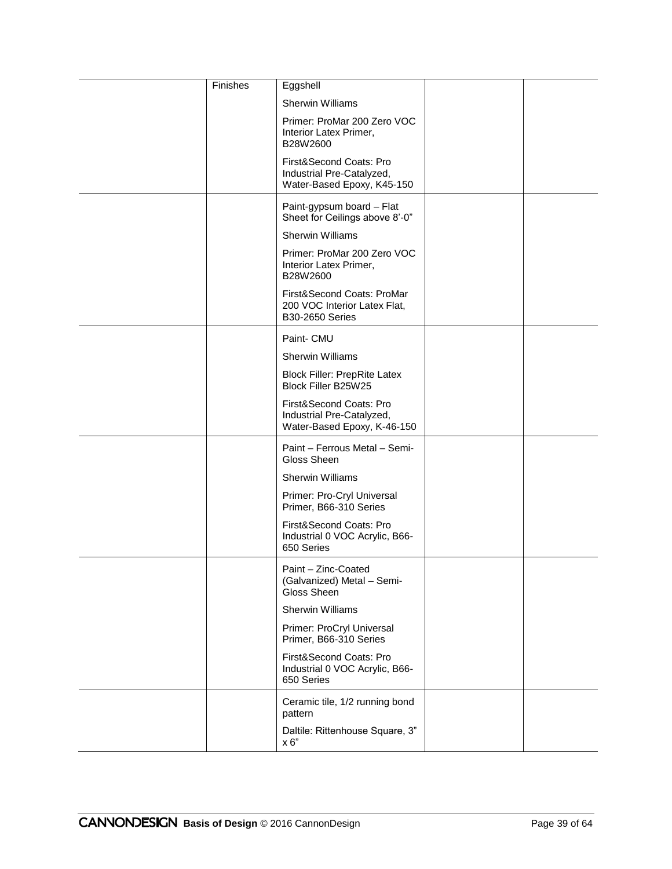| Finishes | Eggshell                                                                             |  |
|----------|--------------------------------------------------------------------------------------|--|
|          | <b>Sherwin Williams</b>                                                              |  |
|          | Primer: ProMar 200 Zero VOC<br>Interior Latex Primer,<br>B28W2600                    |  |
|          | First&Second Coats: Pro<br>Industrial Pre-Catalyzed,<br>Water-Based Epoxy, K45-150   |  |
|          | Paint-gypsum board - Flat<br>Sheet for Ceilings above 8'-0"                          |  |
|          | <b>Sherwin Williams</b>                                                              |  |
|          | Primer: ProMar 200 Zero VOC<br>Interior Latex Primer,<br>B28W2600                    |  |
|          | First&Second Coats: ProMar<br>200 VOC Interior Latex Flat,<br><b>B30-2650 Series</b> |  |
|          | Paint- CMU                                                                           |  |
|          | <b>Sherwin Williams</b>                                                              |  |
|          | <b>Block Filler: PrepRite Latex</b><br>Block Filler B25W25                           |  |
|          | First&Second Coats: Pro<br>Industrial Pre-Catalyzed,<br>Water-Based Epoxy, K-46-150  |  |
|          | Paint - Ferrous Metal - Semi-<br>Gloss Sheen                                         |  |
|          | <b>Sherwin Williams</b>                                                              |  |
|          | Primer: Pro-Cryl Universal<br>Primer, B66-310 Series                                 |  |
|          | First&Second Coats: Pro<br>Industrial 0 VOC Acrylic, B66-<br>650 Series              |  |
|          | Paint - Zinc-Coated<br>(Galvanized) Metal - Semi-<br>Gloss Sheen                     |  |
|          | <b>Sherwin Williams</b>                                                              |  |
|          | Primer: ProCryl Universal<br>Primer, B66-310 Series                                  |  |
|          | First&Second Coats: Pro<br>Industrial 0 VOC Acrylic, B66-<br>650 Series              |  |
|          | Ceramic tile, 1/2 running bond<br>pattern                                            |  |
|          | Daltile: Rittenhouse Square, 3"<br>x 6"                                              |  |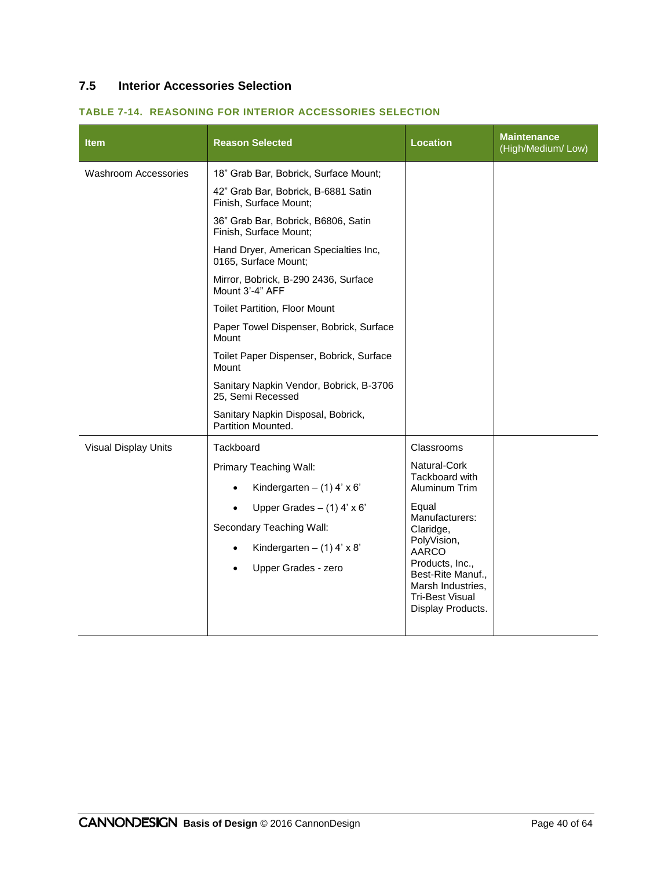# **7.5 Interior Accessories Selection**

| <b>Item</b>                 | <b>Reason Selected</b>                                        | <b>Location</b>                                                                     | <b>Maintenance</b><br>(High/Medium/Low) |
|-----------------------------|---------------------------------------------------------------|-------------------------------------------------------------------------------------|-----------------------------------------|
| <b>Washroom Accessories</b> | 18" Grab Bar, Bobrick, Surface Mount;                         |                                                                                     |                                         |
|                             | 42" Grab Bar, Bobrick, B-6881 Satin<br>Finish, Surface Mount; |                                                                                     |                                         |
|                             | 36" Grab Bar, Bobrick, B6806, Satin<br>Finish, Surface Mount; |                                                                                     |                                         |
|                             | Hand Dryer, American Specialties Inc,<br>0165, Surface Mount; |                                                                                     |                                         |
|                             | Mirror, Bobrick, B-290 2436, Surface<br>Mount 3'-4" AFF       |                                                                                     |                                         |
|                             | <b>Toilet Partition, Floor Mount</b>                          |                                                                                     |                                         |
|                             | Paper Towel Dispenser, Bobrick, Surface<br>Mount              |                                                                                     |                                         |
|                             | Toilet Paper Dispenser, Bobrick, Surface<br>Mount             |                                                                                     |                                         |
|                             | Sanitary Napkin Vendor, Bobrick, B-3706<br>25, Semi Recessed  |                                                                                     |                                         |
|                             | Sanitary Napkin Disposal, Bobrick,<br>Partition Mounted.      |                                                                                     |                                         |
| Visual Display Units        | Tackboard                                                     | Classrooms                                                                          |                                         |
|                             | Primary Teaching Wall:                                        | Natural-Cork<br>Tackboard with                                                      |                                         |
|                             | Kindergarten $-$ (1) 4' x 6'                                  | Aluminum Trim                                                                       |                                         |
|                             | Upper Grades $-$ (1) 4' x 6'                                  | Equal                                                                               |                                         |
|                             | Secondary Teaching Wall:                                      | Manufacturers:<br>Claridge,                                                         |                                         |
|                             | Kindergarten $-$ (1) 4' x 8'                                  | PolyVision,<br><b>AARCO</b>                                                         |                                         |
|                             | Upper Grades - zero                                           | Products, Inc.,<br>Best-Rite Manuf.,<br>Marsh Industries,<br><b>Tri-Best Visual</b> |                                         |

#### **TABLE 7-14. REASONING FOR INTERIOR ACCESSORIES SELECTION**

Display Products.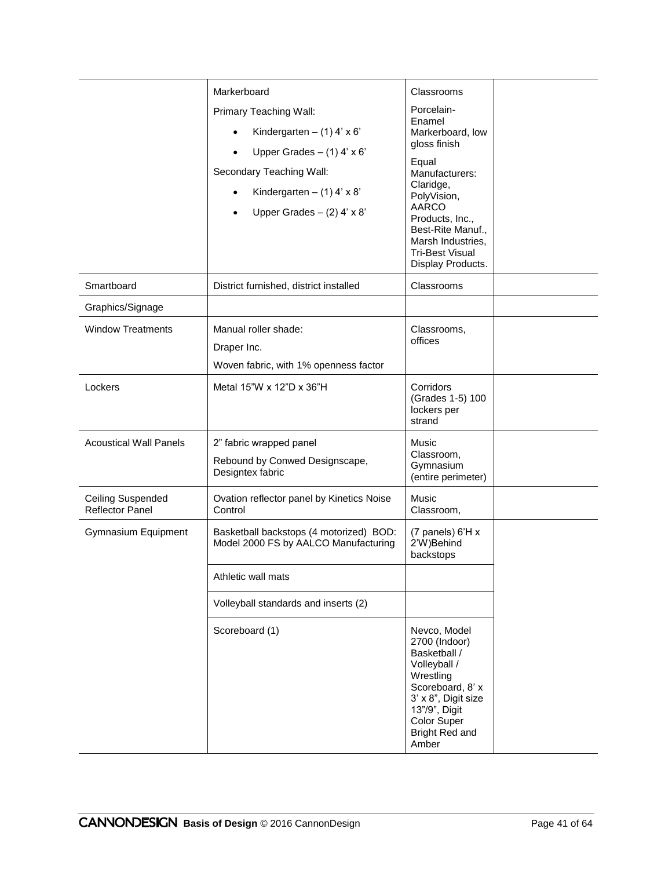|                                             | Markerboard<br>Primary Teaching Wall:<br>Kindergarten $-$ (1) 4' x 6'<br>Upper Grades $-$ (1) 4' x 6'<br>Secondary Teaching Wall:<br>Kindergarten $-$ (1) 4' x 8'<br>Upper Grades $-$ (2) 4' x 8' | Classrooms<br>Porcelain-<br>Enamel<br>Markerboard, low<br>gloss finish<br>Equal<br>Manufacturers:<br>Claridge,<br>PolyVision,<br><b>AARCO</b><br>Products, Inc.,<br>Best-Rite Manuf.,<br>Marsh Industries,<br><b>Tri-Best Visual</b><br>Display Products. |  |
|---------------------------------------------|---------------------------------------------------------------------------------------------------------------------------------------------------------------------------------------------------|-----------------------------------------------------------------------------------------------------------------------------------------------------------------------------------------------------------------------------------------------------------|--|
| Smartboard                                  | District furnished, district installed                                                                                                                                                            | Classrooms                                                                                                                                                                                                                                                |  |
| Graphics/Signage                            |                                                                                                                                                                                                   |                                                                                                                                                                                                                                                           |  |
| <b>Window Treatments</b>                    | Manual roller shade:<br>Draper Inc.<br>Woven fabric, with 1% openness factor                                                                                                                      | Classrooms,<br>offices                                                                                                                                                                                                                                    |  |
| Lockers                                     | Metal 15"W x 12"D x 36"H                                                                                                                                                                          | Corridors<br>(Grades 1-5) 100<br>lockers per<br>strand                                                                                                                                                                                                    |  |
| <b>Acoustical Wall Panels</b>               | 2" fabric wrapped panel<br>Rebound by Conwed Designscape,<br>Designtex fabric                                                                                                                     | Music<br>Classroom,<br>Gymnasium<br>(entire perimeter)                                                                                                                                                                                                    |  |
| <b>Ceiling Suspended</b><br>Reflector Panel | Ovation reflector panel by Kinetics Noise<br>Control                                                                                                                                              | <b>Music</b><br>Classroom,                                                                                                                                                                                                                                |  |
| Gymnasium Equipment                         | Basketball backstops (4 motorized) BOD:<br>Model 2000 FS by AALCO Manufacturing                                                                                                                   | (7 panels) 6'H x<br>2'W)Behind<br>backstops                                                                                                                                                                                                               |  |
|                                             | Athletic wall mats                                                                                                                                                                                |                                                                                                                                                                                                                                                           |  |
|                                             | Volleyball standards and inserts (2)                                                                                                                                                              |                                                                                                                                                                                                                                                           |  |
|                                             | Scoreboard (1)                                                                                                                                                                                    | Nevco, Model<br>2700 (Indoor)<br>Basketball /<br>Volleyball /<br>Wrestling<br>Scoreboard, 8' x<br>3' x 8", Digit size<br>13"/9", Digit<br>Color Super<br>Bright Red and<br>Amber                                                                          |  |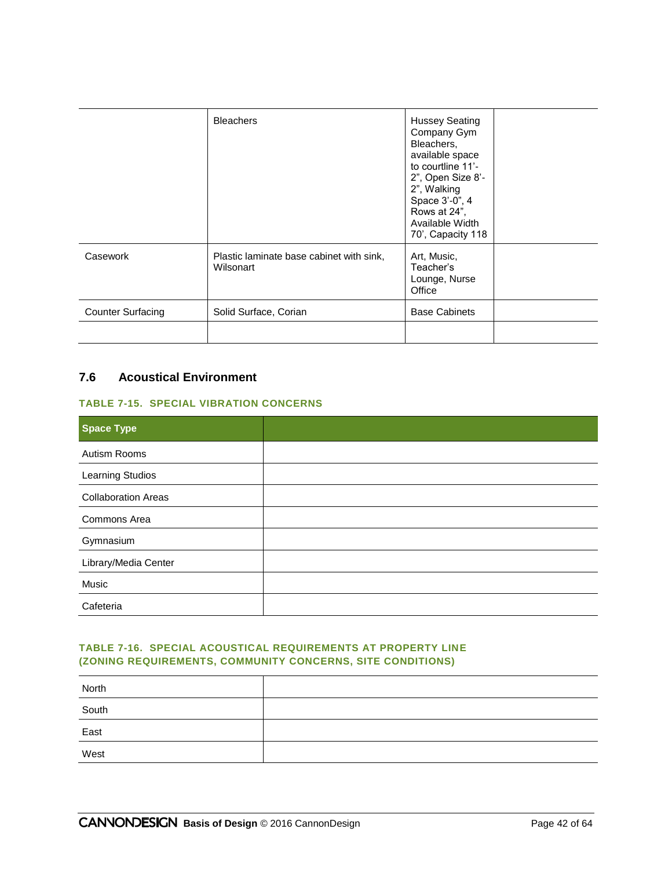|                          | <b>Bleachers</b>                                      | <b>Hussey Seating</b><br>Company Gym<br>Bleachers,<br>available space<br>to courtline 11'-<br>2", Open Size 8'-<br>2", Walking<br>Space 3'-0", 4<br>Rows at 24",<br>Available Width<br>70', Capacity 118 |  |
|--------------------------|-------------------------------------------------------|----------------------------------------------------------------------------------------------------------------------------------------------------------------------------------------------------------|--|
| Casework                 | Plastic laminate base cabinet with sink,<br>Wilsonart | Art, Music,<br>Teacher's<br>Lounge, Nurse<br>Office                                                                                                                                                      |  |
| <b>Counter Surfacing</b> | Solid Surface, Corian                                 | <b>Base Cabinets</b>                                                                                                                                                                                     |  |
|                          |                                                       |                                                                                                                                                                                                          |  |

# **7.6 Acoustical Environment**

#### **TABLE 7-15. SPECIAL VIBRATION CONCERNS**

| <b>Space Type</b>          |  |
|----------------------------|--|
| Autism Rooms               |  |
| Learning Studios           |  |
| <b>Collaboration Areas</b> |  |
| Commons Area               |  |
| Gymnasium                  |  |
| Library/Media Center       |  |
| Music                      |  |
| Cafeteria                  |  |

#### **TABLE 7-16. SPECIAL ACOUSTICAL REQUIREMENTS AT PROPERTY LINE (ZONING REQUIREMENTS, COMMUNITY CONCERNS, SITE CONDITIONS)**

| North |  |
|-------|--|
| South |  |
| East  |  |
| West  |  |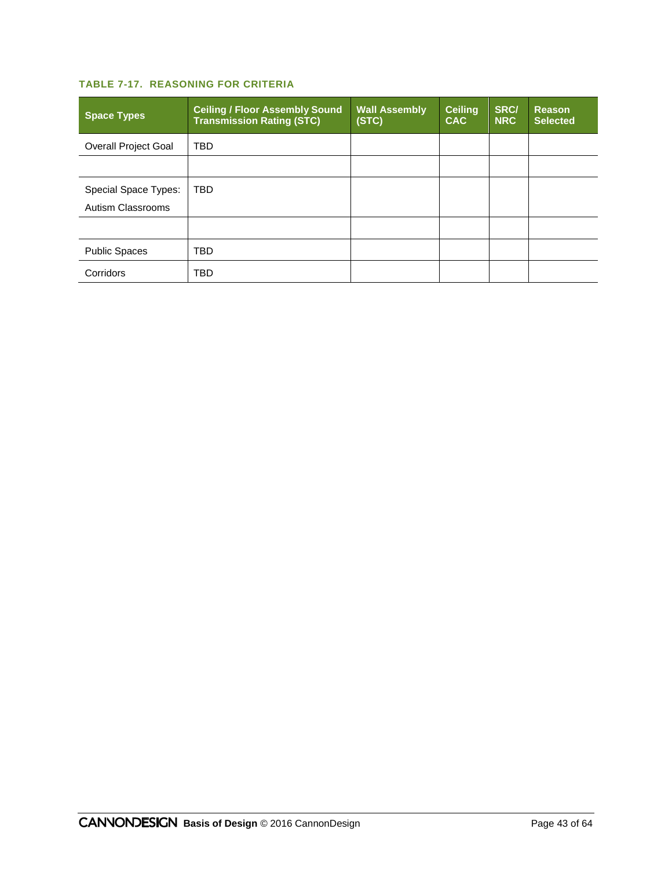# **TABLE 7-17. REASONING FOR CRITERIA**

| <b>Space Types</b>                        | <b>Ceiling / Floor Assembly Sound</b><br><b>Transmission Rating (STC)</b> | <b>Wall Assembly</b><br>(STC) | <b>Ceiling</b><br><b>CAC</b> | <b>SRC/</b><br><b>NRC</b> | <b>Reason</b><br><b>Selected</b> |
|-------------------------------------------|---------------------------------------------------------------------------|-------------------------------|------------------------------|---------------------------|----------------------------------|
| <b>Overall Project Goal</b>               | <b>TBD</b>                                                                |                               |                              |                           |                                  |
|                                           |                                                                           |                               |                              |                           |                                  |
| Special Space Types:<br>Autism Classrooms | <b>TBD</b>                                                                |                               |                              |                           |                                  |
|                                           |                                                                           |                               |                              |                           |                                  |
| <b>Public Spaces</b>                      | TBD                                                                       |                               |                              |                           |                                  |
| Corridors                                 | TBD                                                                       |                               |                              |                           |                                  |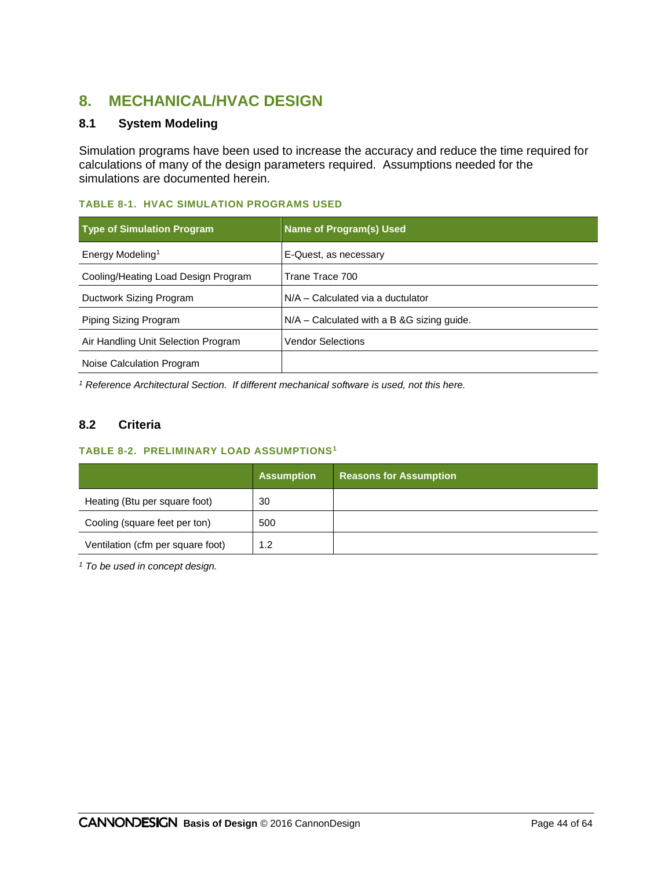# **8. MECHANICAL/HVAC DESIGN**

# **8.1 System Modeling**

Simulation programs have been used to increase the accuracy and reduce the time required for calculations of many of the design parameters required. Assumptions needed for the simulations are documented herein.

#### **TABLE 8-1. HVAC SIMULATION PROGRAMS USED**

| <b>Type of Simulation Program</b>   | <b>Name of Program(s) Used</b>                |
|-------------------------------------|-----------------------------------------------|
| Energy Modeling <sup>1</sup>        | E-Quest, as necessary                         |
| Cooling/Heating Load Design Program | Trane Trace 700                               |
| Ductwork Sizing Program             | N/A - Calculated via a ductulator             |
| Piping Sizing Program               | $N/A$ – Calculated with a B & G sizing guide. |
| Air Handling Unit Selection Program | <b>Vendor Selections</b>                      |
| Noise Calculation Program           |                                               |

*<sup>1</sup> Reference Architectural Section. If different mechanical software is used, not this here.*

# **8.2 Criteria**

#### **TABLE 8-2. PRELIMINARY LOAD ASSUMPTIONS<sup>1</sup>**

|                                   | <b>Assumption</b> | <b>Reasons for Assumption</b> |
|-----------------------------------|-------------------|-------------------------------|
| Heating (Btu per square foot)     | 30                |                               |
| Cooling (square feet per ton)     | 500               |                               |
| Ventilation (cfm per square foot) | 1.2               |                               |

*<sup>1</sup> To be used in concept design.*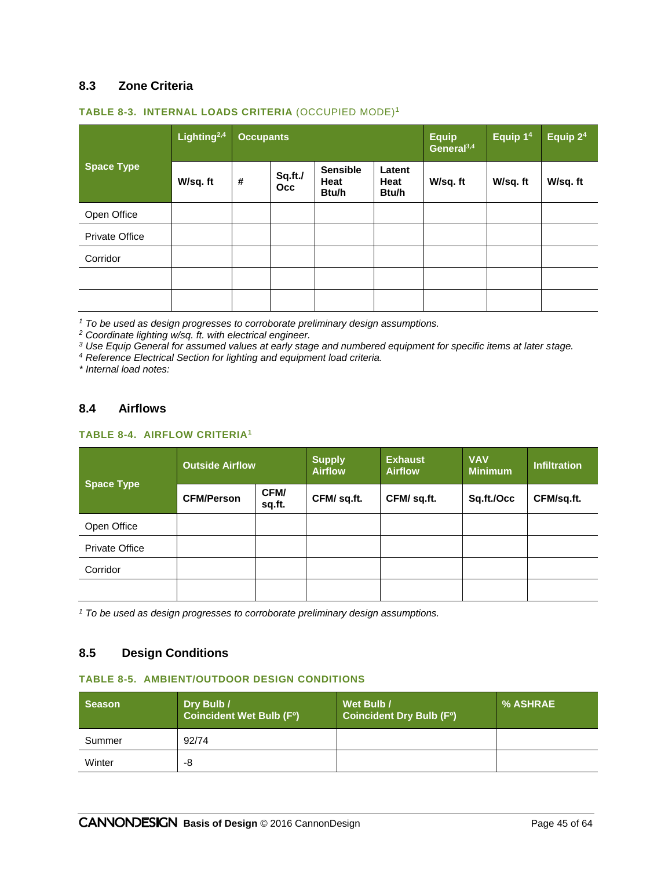#### **8.3 Zone Criteria**

|                       | Lighting <sup>2,4</sup> |            | <b>Occupants</b>      |                                  |                                | <b>Equip</b><br>General <sup>3,4</sup> | Equip 1 <sup>4</sup> | Equip 2 <sup>4</sup> |
|-----------------------|-------------------------|------------|-----------------------|----------------------------------|--------------------------------|----------------------------------------|----------------------|----------------------|
| <b>Space Type</b>     | W/sq.ft                 | $\pmb{\#}$ | Sq.ft./<br><b>Occ</b> | <b>Sensible</b><br>Heat<br>Btu/h | Latent<br><b>Heat</b><br>Btu/h | W/sq. ft                               | W/sq. ft             | W/sq. ft             |
| Open Office           |                         |            |                       |                                  |                                |                                        |                      |                      |
| <b>Private Office</b> |                         |            |                       |                                  |                                |                                        |                      |                      |
| Corridor              |                         |            |                       |                                  |                                |                                        |                      |                      |
|                       |                         |            |                       |                                  |                                |                                        |                      |                      |
|                       |                         |            |                       |                                  |                                |                                        |                      |                      |

#### **TABLE 8-3. INTERNAL LOADS CRITERIA** (OCCUPIED MODE)**<sup>1</sup>**

*<sup>1</sup> To be used as design progresses to corroborate preliminary design assumptions.*

*<sup>2</sup> Coordinate lighting w/sq. ft. with electrical engineer.*

*<sup>3</sup> Use Equip General for assumed values at early stage and numbered equipment for specific items at later stage.*

*<sup>4</sup> Reference Electrical Section for lighting and equipment load criteria.*

*\* Internal load notes:*

#### **8.4 Airflows**

#### **TABLE 8-4. AIRFLOW CRITERIA<sup>1</sup>**

| <b>Space Type</b>     | <b>Outside Airflow</b> |                | <b>Supply</b><br><b>Airflow</b> | <b>Exhaust</b><br><b>Airflow</b> | <b>VAV</b><br><b>Minimum</b> | <b>Infiltration</b> |
|-----------------------|------------------------|----------------|---------------------------------|----------------------------------|------------------------------|---------------------|
|                       | <b>CFM/Person</b>      | CFM/<br>sq.ft. | CFM/ sq.ft.                     | CFM/ sq.ft.                      | Sq.ft./Occ                   | CFM/sq.ft.          |
| Open Office           |                        |                |                                 |                                  |                              |                     |
| <b>Private Office</b> |                        |                |                                 |                                  |                              |                     |
| Corridor              |                        |                |                                 |                                  |                              |                     |
|                       |                        |                |                                 |                                  |                              |                     |

*<sup>1</sup> To be used as design progresses to corroborate preliminary design assumptions.*

#### **8.5 Design Conditions**

#### **TABLE 8-5. AMBIENT/OUTDOOR DESIGN CONDITIONS**

| Season | Dry Bulb /<br><b>Coincident Wet Bulb (F°)</b> | Wet Bulb /<br><b>Coincident Dry Bulb (Fº)</b> | % ASHRAE |
|--------|-----------------------------------------------|-----------------------------------------------|----------|
| Summer | 92/74                                         |                                               |          |
| Winter | -8                                            |                                               |          |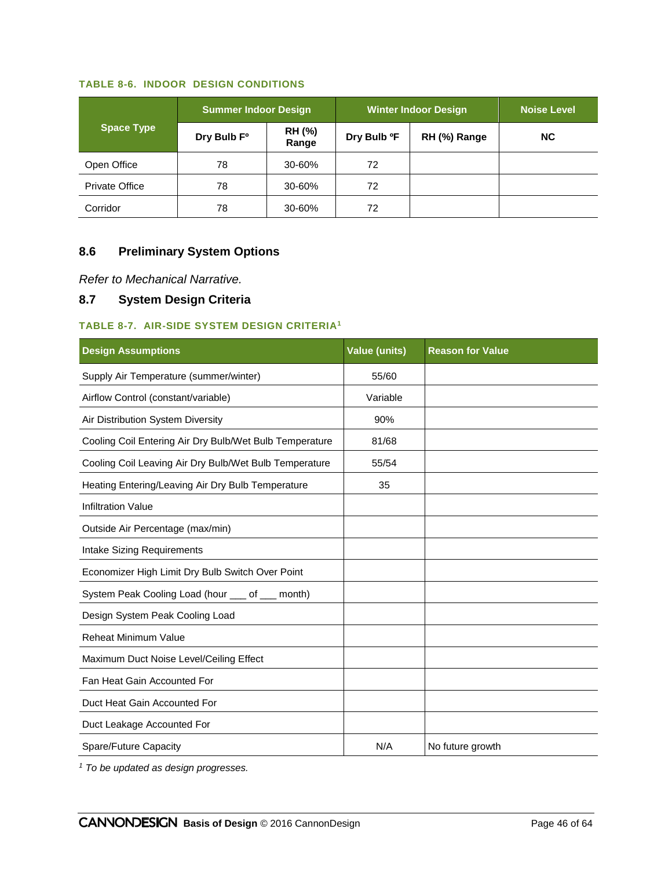#### **TABLE 8-6. INDOOR DESIGN CONDITIONS**

| <b>Summer Indoor Design</b> |                         | <b>Winter Indoor Design</b> | <b>Noise Level</b> |              |     |
|-----------------------------|-------------------------|-----------------------------|--------------------|--------------|-----|
| <b>Space Type</b>           | Dry Bulb F <sup>o</sup> | RH (%)<br>Range             | Dry Bulb ºF        | RH (%) Range | NC. |
| Open Office                 | 78                      | 30-60%                      | 72                 |              |     |
| <b>Private Office</b>       | 78                      | 30-60%                      | 72                 |              |     |
| Corridor                    | 78                      | 30-60%                      | 72                 |              |     |

# **8.6 Preliminary System Options**

*Refer to Mechanical Narrative.*

# **8.7 System Design Criteria**

#### **TABLE 8-7. AIR-SIDE SYSTEM DESIGN CRITERIA<sup>1</sup>**

| <b>Design Assumptions</b>                               | <b>Value (units)</b> | <b>Reason for Value</b> |
|---------------------------------------------------------|----------------------|-------------------------|
| Supply Air Temperature (summer/winter)                  | 55/60                |                         |
| Airflow Control (constant/variable)                     | Variable             |                         |
| Air Distribution System Diversity                       | 90%                  |                         |
| Cooling Coil Entering Air Dry Bulb/Wet Bulb Temperature | 81/68                |                         |
| Cooling Coil Leaving Air Dry Bulb/Wet Bulb Temperature  | 55/54                |                         |
| Heating Entering/Leaving Air Dry Bulb Temperature       | 35                   |                         |
| <b>Infiltration Value</b>                               |                      |                         |
| Outside Air Percentage (max/min)                        |                      |                         |
| Intake Sizing Requirements                              |                      |                         |
| Economizer High Limit Dry Bulb Switch Over Point        |                      |                         |
| System Peak Cooling Load (hour ___ of ___ month)        |                      |                         |
| Design System Peak Cooling Load                         |                      |                         |
| <b>Reheat Minimum Value</b>                             |                      |                         |
| Maximum Duct Noise Level/Ceiling Effect                 |                      |                         |
| Fan Heat Gain Accounted For                             |                      |                         |
| Duct Heat Gain Accounted For                            |                      |                         |
| Duct Leakage Accounted For                              |                      |                         |
| Spare/Future Capacity                                   | N/A                  | No future growth        |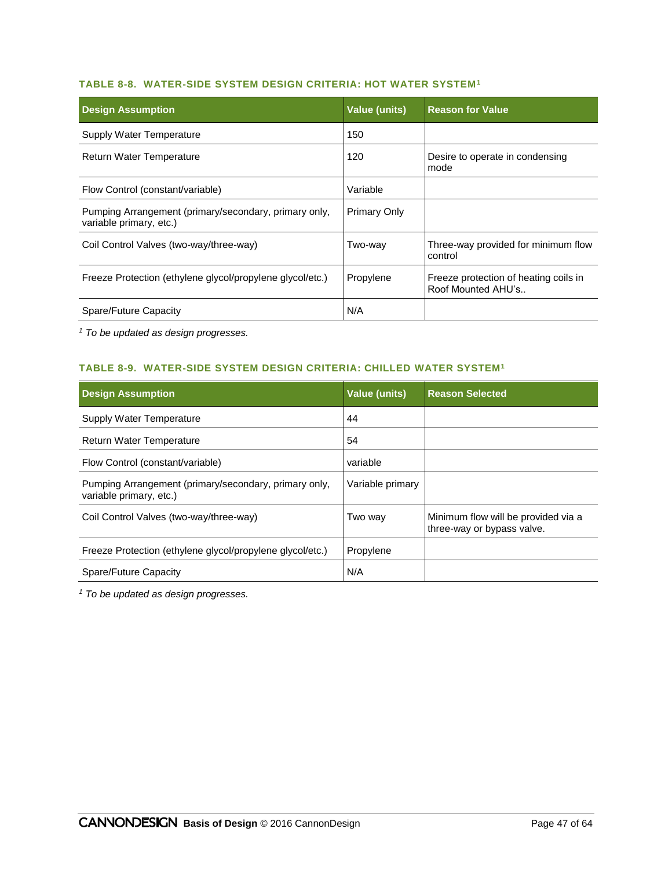#### **TABLE 8-8. WATER-SIDE SYSTEM DESIGN CRITERIA: HOT WATER SYSTEM<sup>1</sup>**

| <b>Design Assumption</b>                                                         | <b>Value (units)</b> | <b>Reason for Value</b>                                     |
|----------------------------------------------------------------------------------|----------------------|-------------------------------------------------------------|
| Supply Water Temperature                                                         | 150                  |                                                             |
| Return Water Temperature                                                         | 120                  | Desire to operate in condensing<br>mode                     |
| Flow Control (constant/variable)                                                 | Variable             |                                                             |
| Pumping Arrangement (primary/secondary, primary only,<br>variable primary, etc.) | <b>Primary Only</b>  |                                                             |
| Coil Control Valves (two-way/three-way)                                          | Two-way              | Three-way provided for minimum flow<br>control              |
| Freeze Protection (ethylene glycol/propylene glycol/etc.)                        | Propylene            | Freeze protection of heating coils in<br>Roof Mounted AHU's |
| Spare/Future Capacity                                                            | N/A                  |                                                             |

*<sup>1</sup> To be updated as design progresses.*

#### **TABLE 8-9. WATER-SIDE SYSTEM DESIGN CRITERIA: CHILLED WATER SYSTEM<sup>1</sup>**

| <b>Design Assumption</b>                                                         | <b>Value (units)</b> | <b>Reason Selected</b>                                            |
|----------------------------------------------------------------------------------|----------------------|-------------------------------------------------------------------|
| Supply Water Temperature                                                         | 44                   |                                                                   |
| <b>Return Water Temperature</b>                                                  | 54                   |                                                                   |
| Flow Control (constant/variable)                                                 | variable             |                                                                   |
| Pumping Arrangement (primary/secondary, primary only,<br>variable primary, etc.) | Variable primary     |                                                                   |
| Coil Control Valves (two-way/three-way)                                          | Two way              | Minimum flow will be provided via a<br>three-way or bypass valve. |
| Freeze Protection (ethylene glycol/propylene glycol/etc.)                        | Propylene            |                                                                   |
| Spare/Future Capacity                                                            | N/A                  |                                                                   |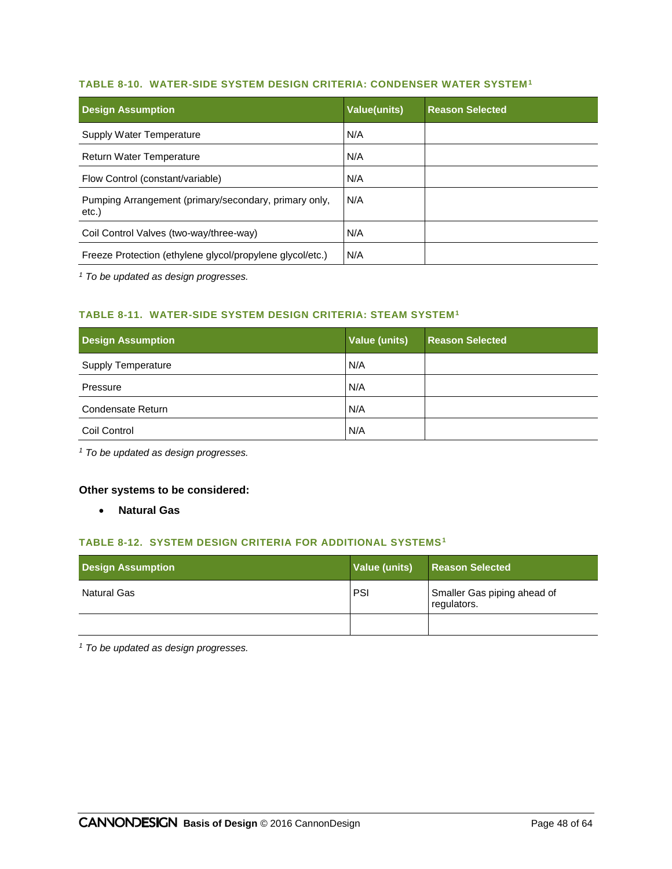#### **TABLE 8-10. WATER-SIDE SYSTEM DESIGN CRITERIA: CONDENSER WATER SYSTEM<sup>1</sup>**

| <b>Design Assumption</b>                                       | <b>Value(units)</b> | <b>Reason Selected</b> |
|----------------------------------------------------------------|---------------------|------------------------|
| Supply Water Temperature                                       | N/A                 |                        |
| <b>Return Water Temperature</b>                                | N/A                 |                        |
| Flow Control (constant/variable)                               | N/A                 |                        |
| Pumping Arrangement (primary/secondary, primary only,<br>etc.) | N/A                 |                        |
| Coil Control Valves (two-way/three-way)                        | N/A                 |                        |
| Freeze Protection (ethylene glycol/propylene glycol/etc.)      | N/A                 |                        |

*<sup>1</sup> To be updated as design progresses.*

#### **TABLE 8-11. WATER-SIDE SYSTEM DESIGN CRITERIA: STEAM SYSTEM<sup>1</sup>**

| <b>Design Assumption</b>  | <b>Value (units)</b> | <b>Reason Selected</b> |
|---------------------------|----------------------|------------------------|
| <b>Supply Temperature</b> | N/A                  |                        |
| Pressure                  | N/A                  |                        |
| Condensate Return         | N/A                  |                        |
| Coil Control              | N/A                  |                        |

*<sup>1</sup> To be updated as design progresses.*

#### **Other systems to be considered:**

**Natural Gas**

#### **TABLE 8-12. SYSTEM DESIGN CRITERIA FOR ADDITIONAL SYSTEMS<sup>1</sup>**

| <b>Design Assumption</b> | Value (units) | <b>Reason Selected</b>                     |
|--------------------------|---------------|--------------------------------------------|
| <b>Natural Gas</b>       | PSI           | Smaller Gas piping ahead of<br>regulators. |
|                          |               |                                            |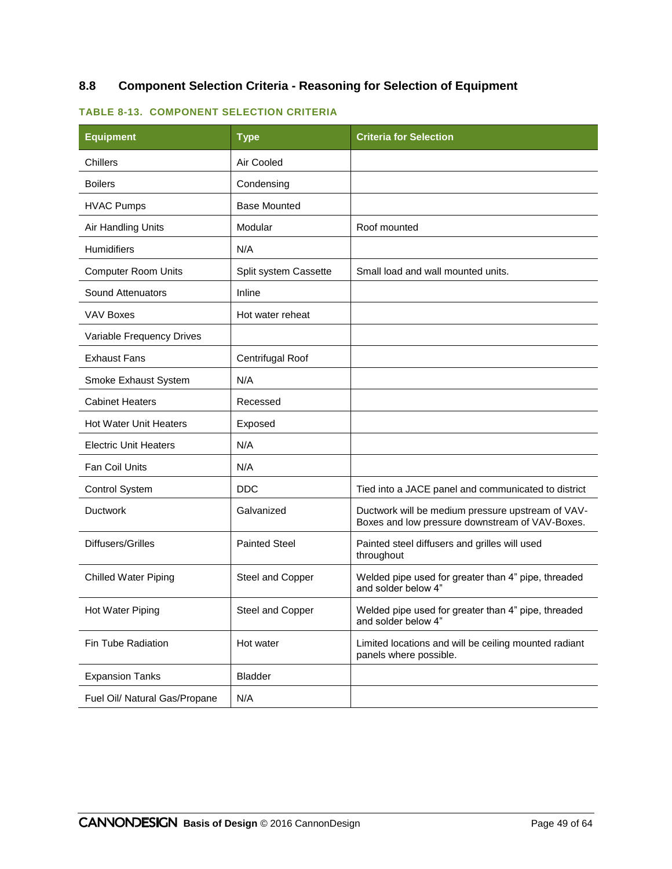# **8.8 Component Selection Criteria - Reasoning for Selection of Equipment**

#### **TABLE 8-13. COMPONENT SELECTION CRITERIA**

| <b>Equipment</b>              | <b>Type</b>           | <b>Criteria for Selection</b>                                                                        |
|-------------------------------|-----------------------|------------------------------------------------------------------------------------------------------|
| Chillers                      | Air Cooled            |                                                                                                      |
| <b>Boilers</b>                | Condensing            |                                                                                                      |
| <b>HVAC Pumps</b>             | <b>Base Mounted</b>   |                                                                                                      |
| Air Handling Units            | Modular               | Roof mounted                                                                                         |
| <b>Humidifiers</b>            | N/A                   |                                                                                                      |
| <b>Computer Room Units</b>    | Split system Cassette | Small load and wall mounted units.                                                                   |
| Sound Attenuators             | Inline                |                                                                                                      |
| VAV Boxes                     | Hot water reheat      |                                                                                                      |
| Variable Frequency Drives     |                       |                                                                                                      |
| <b>Exhaust Fans</b>           | Centrifugal Roof      |                                                                                                      |
| Smoke Exhaust System          | N/A                   |                                                                                                      |
| <b>Cabinet Heaters</b>        | Recessed              |                                                                                                      |
| <b>Hot Water Unit Heaters</b> | Exposed               |                                                                                                      |
| <b>Electric Unit Heaters</b>  | N/A                   |                                                                                                      |
| Fan Coil Units                | N/A                   |                                                                                                      |
| <b>Control System</b>         | <b>DDC</b>            | Tied into a JACE panel and communicated to district                                                  |
| <b>Ductwork</b>               | Galvanized            | Ductwork will be medium pressure upstream of VAV-<br>Boxes and low pressure downstream of VAV-Boxes. |
| Diffusers/Grilles             | <b>Painted Steel</b>  | Painted steel diffusers and grilles will used<br>throughout                                          |
| <b>Chilled Water Piping</b>   | Steel and Copper      | Welded pipe used for greater than 4" pipe, threaded<br>and solder below 4"                           |
| Hot Water Piping              | Steel and Copper      | Welded pipe used for greater than 4" pipe, threaded<br>and solder below 4"                           |
| Fin Tube Radiation            | Hot water             | Limited locations and will be ceiling mounted radiant<br>panels where possible.                      |
| <b>Expansion Tanks</b>        | <b>Bladder</b>        |                                                                                                      |
| Fuel Oil/ Natural Gas/Propane | N/A                   |                                                                                                      |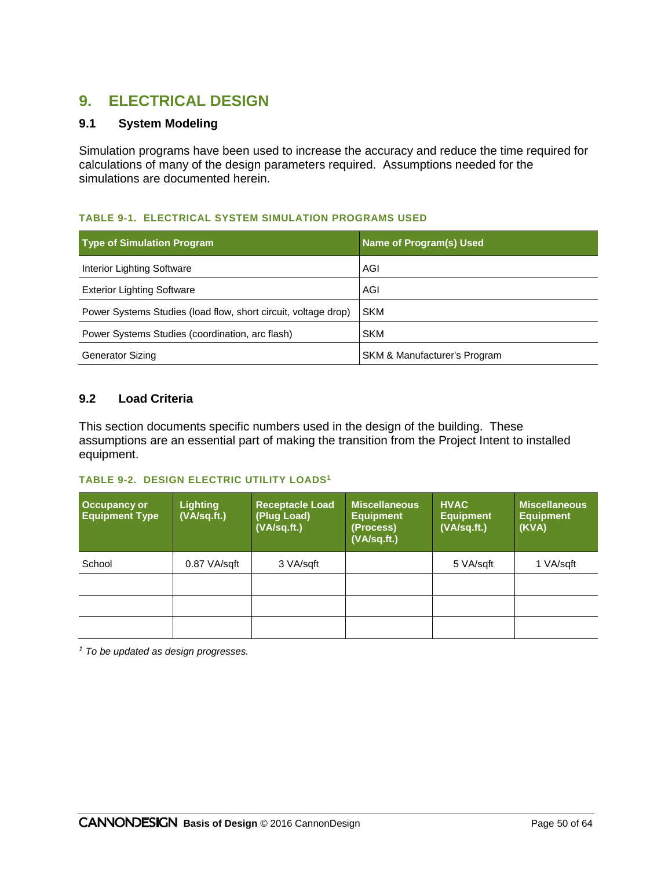# **9. ELECTRICAL DESIGN**

# **9.1 System Modeling**

Simulation programs have been used to increase the accuracy and reduce the time required for calculations of many of the design parameters required. Assumptions needed for the simulations are documented herein.

#### **TABLE 9-1. ELECTRICAL SYSTEM SIMULATION PROGRAMS USED**

| <b>Type of Simulation Program</b>                              | <b>Name of Program(s) Used</b>          |
|----------------------------------------------------------------|-----------------------------------------|
| Interior Lighting Software                                     | AGI                                     |
| <b>Exterior Lighting Software</b>                              | AGI                                     |
| Power Systems Studies (load flow, short circuit, voltage drop) | <b>SKM</b>                              |
| Power Systems Studies (coordination, arc flash)                | <b>SKM</b>                              |
| <b>Generator Sizing</b>                                        | <b>SKM &amp; Manufacturer's Program</b> |

# **9.2 Load Criteria**

This section documents specific numbers used in the design of the building. These assumptions are an essential part of making the transition from the Project Intent to installed equipment.

#### **TABLE 9-2. DESIGN ELECTRIC UTILITY LOADS<sup>1</sup>**

| <b>Occupancy or</b><br><b>Equipment Type</b> | <b>Lighting</b><br>(VA/sq.ft.) | <b>Receptacle Load</b><br>(Plug Load)<br>(VA/sq.ft.) | Miscellaneous<br><b>Equipment</b><br>(Process)<br>(VA/sq.ft.) | <b>HVAC</b><br><b>Equipment</b><br>(VA/sq.fit.) | <b>Miscellaneous</b><br><b>Equipment</b><br>(KVA) |
|----------------------------------------------|--------------------------------|------------------------------------------------------|---------------------------------------------------------------|-------------------------------------------------|---------------------------------------------------|
| School                                       | 0.87 VA/sqft                   | 3 VA/sqft                                            |                                                               | 5 VA/sqft                                       | 1 VA/sgft                                         |
|                                              |                                |                                                      |                                                               |                                                 |                                                   |
|                                              |                                |                                                      |                                                               |                                                 |                                                   |
|                                              |                                |                                                      |                                                               |                                                 |                                                   |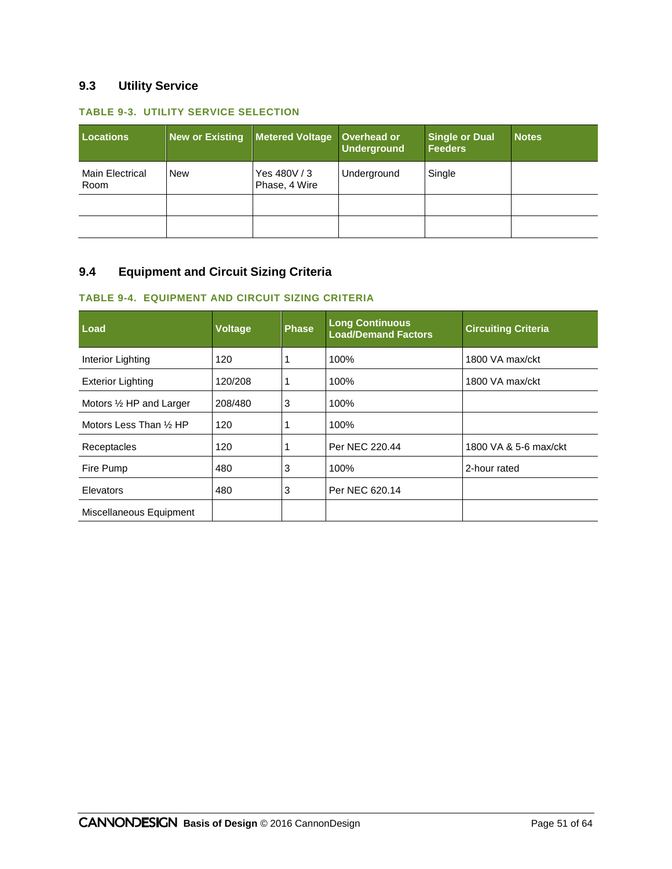# **9.3 Utility Service**

#### **TABLE 9-3. UTILITY SERVICE SELECTION**

| <b>Locations</b>               | <b>New or Existing</b> | Metered Voltage Overhead or   | <b>Underground</b> | <b>Single or Dual</b><br><b>Feeders</b> | <b>Notes</b> |
|--------------------------------|------------------------|-------------------------------|--------------------|-----------------------------------------|--------------|
| <b>Main Electrical</b><br>Room | <b>New</b>             | Yes 480V / 3<br>Phase, 4 Wire | Underground        | Single                                  |              |
|                                |                        |                               |                    |                                         |              |
|                                |                        |                               |                    |                                         |              |

# **9.4 Equipment and Circuit Sizing Criteria**

# **TABLE 9-4. EQUIPMENT AND CIRCUIT SIZING CRITERIA**

| Load                               | <b>Voltage</b> | <b>Phase</b> | <b>Long Continuous</b><br><b>Load/Demand Factors</b> | <b>Circuiting Criteria</b> |
|------------------------------------|----------------|--------------|------------------------------------------------------|----------------------------|
| Interior Lighting                  | 120            |              | 100%                                                 | 1800 VA max/ckt            |
| <b>Exterior Lighting</b>           | 120/208        |              | 100%                                                 | 1800 VA max/ckt            |
| Motors $\frac{1}{2}$ HP and Larger | 208/480        | 3            | 100%                                                 |                            |
| Motors Less Than 1/2 HP            | 120            |              | 100%                                                 |                            |
| Receptacles                        | 120            |              | Per NEC 220.44                                       | 1800 VA & 5-6 max/ckt      |
| Fire Pump                          | 480            | 3            | 100%                                                 | 2-hour rated               |
| Elevators                          | 480            | 3            | Per NEC 620.14                                       |                            |
| Miscellaneous Equipment            |                |              |                                                      |                            |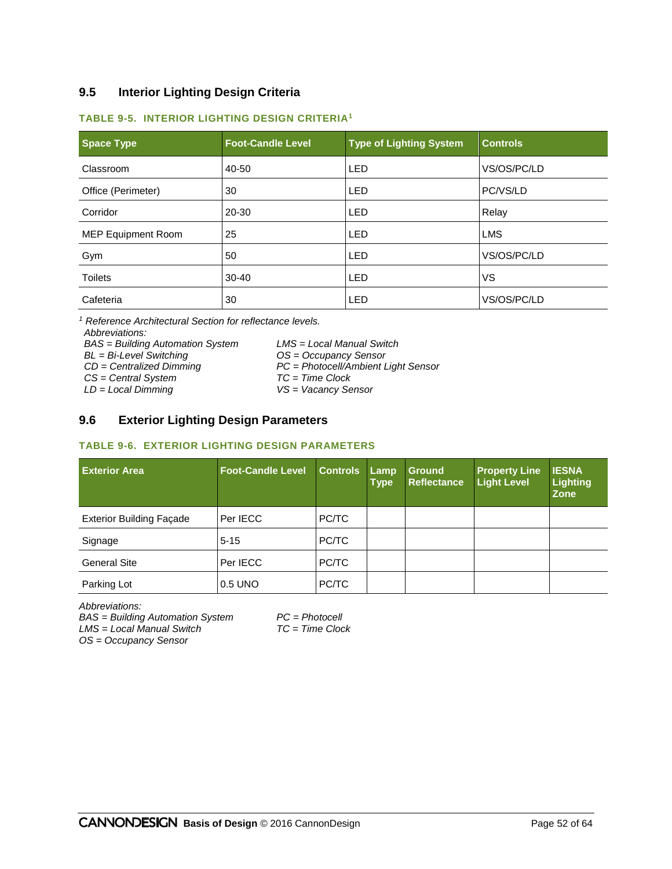# **9.5 Interior Lighting Design Criteria**

#### **TABLE 9-5. INTERIOR LIGHTING DESIGN CRITERIA<sup>1</sup>**

| <b>Space Type</b>         | <b>Foot-Candle Level</b> | <b>Type of Lighting System</b> | <b>Controls</b> |
|---------------------------|--------------------------|--------------------------------|-----------------|
| Classroom                 | 40-50                    | <b>LED</b>                     | VS/OS/PC/LD     |
| Office (Perimeter)        | 30                       | LED                            | PC/VS/LD        |
| Corridor                  | 20-30                    | <b>LED</b>                     | Relay           |
| <b>MEP Equipment Room</b> | 25                       | <b>LED</b>                     | <b>LMS</b>      |
| Gym                       | 50                       | <b>LED</b>                     | VS/OS/PC/LD     |
| <b>Toilets</b>            | $30 - 40$                | <b>LED</b>                     | VS              |
| Cafeteria                 | 30                       | <b>LED</b>                     | VS/OS/PC/LD     |

*<sup>1</sup> Reference Architectural Section for reflectance levels. Abbreviations:*

*BAS = Building Automation System LMS = Local Manual Switch*

*BL = Bi-Level Switching OS = Occupancy Sensor*

*CS* = Central System<br>*LD* = Local Dimming

*CD = Centralized Dimming PC = Photocell/Ambient Light Sensor*

*LD = Local Dimming VS = Vacancy Sensor*

# **9.6 Exterior Lighting Design Parameters**

#### **TABLE 9-6. EXTERIOR LIGHTING DESIGN PARAMETERS**

| <b>Exterior Area</b>            | <b>Foot-Candle Level</b> | <b>Controls</b> | Lamp<br><b>Type</b> | <b>Ground</b><br><b>Reflectance</b> | <b>Property Line</b><br><b>Light Level</b> | <b>IESNA</b><br><b>Lighting</b><br><b>Zone</b> |
|---------------------------------|--------------------------|-----------------|---------------------|-------------------------------------|--------------------------------------------|------------------------------------------------|
| <b>Exterior Building Façade</b> | Per IECC                 | PC/TC           |                     |                                     |                                            |                                                |
| Signage                         | $5 - 15$                 | PC/TC           |                     |                                     |                                            |                                                |
| <b>General Site</b>             | Per IECC                 | PC/TC           |                     |                                     |                                            |                                                |
| Parking Lot                     | 0.5 UNO                  | PC/TC           |                     |                                     |                                            |                                                |

*Abbreviations:*

*BAS = Building Automation System PC = Photocell*  $LMS = Local$  *Manual Switch* 

*OS = Occupancy Sensor*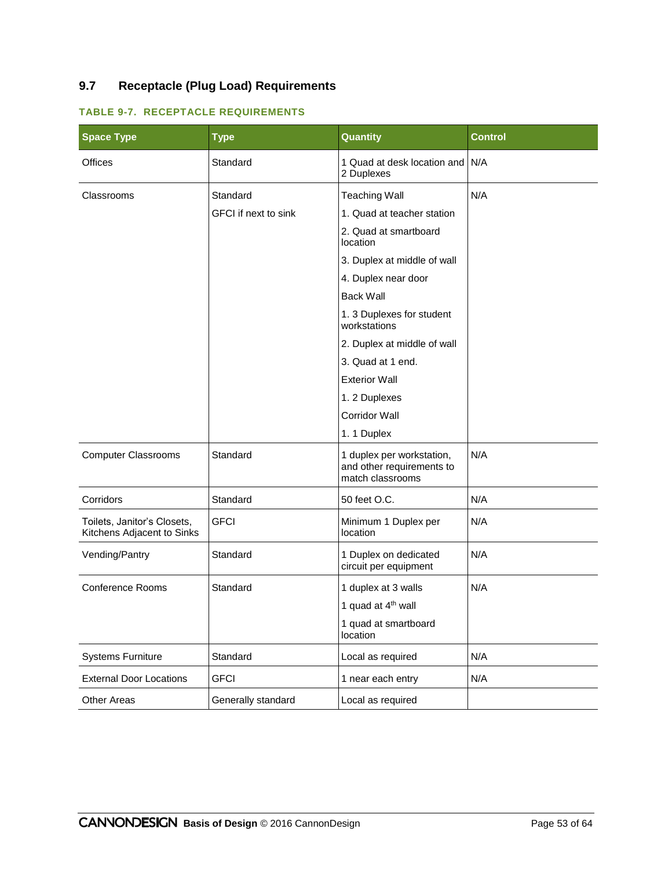# **9.7 Receptacle (Plug Load) Requirements**

| <b>Space Type</b>                                         | <b>Type</b>                 | <b>Quantity</b>                                                            | <b>Control</b> |
|-----------------------------------------------------------|-----------------------------|----------------------------------------------------------------------------|----------------|
| <b>Offices</b>                                            | Standard                    | 1 Quad at desk location and N/A<br>2 Duplexes                              |                |
| Classrooms                                                | Standard                    | <b>Teaching Wall</b>                                                       | N/A            |
|                                                           | <b>GFCI</b> if next to sink | 1. Quad at teacher station                                                 |                |
|                                                           |                             | 2. Quad at smartboard<br>location                                          |                |
|                                                           |                             | 3. Duplex at middle of wall                                                |                |
|                                                           |                             | 4. Duplex near door                                                        |                |
|                                                           |                             | <b>Back Wall</b>                                                           |                |
|                                                           |                             | 1.3 Duplexes for student<br>workstations                                   |                |
|                                                           |                             | 2. Duplex at middle of wall                                                |                |
|                                                           |                             | 3. Quad at 1 end.                                                          |                |
|                                                           |                             | <b>Exterior Wall</b>                                                       |                |
|                                                           |                             | 1.2 Duplexes                                                               |                |
|                                                           |                             | <b>Corridor Wall</b>                                                       |                |
|                                                           |                             | 1.1 Duplex                                                                 |                |
| <b>Computer Classrooms</b>                                | Standard                    | 1 duplex per workstation,<br>and other requirements to<br>match classrooms | N/A            |
| Corridors                                                 | Standard                    | 50 feet O.C.                                                               | N/A            |
| Toilets, Janitor's Closets,<br>Kitchens Adjacent to Sinks | <b>GFCI</b>                 | Minimum 1 Duplex per<br>location                                           | N/A            |
| Vending/Pantry                                            | Standard                    | 1 Duplex on dedicated<br>circuit per equipment                             | N/A            |
| <b>Conference Rooms</b>                                   | Standard                    | 1 duplex at 3 walls                                                        | N/A            |
|                                                           |                             | 1 quad at 4 <sup>th</sup> wall                                             |                |
|                                                           |                             | 1 quad at smartboard<br>location                                           |                |
| <b>Systems Furniture</b>                                  | Standard                    | Local as required                                                          | N/A            |
| <b>External Door Locations</b>                            | <b>GFCI</b>                 | 1 near each entry                                                          | N/A            |
| <b>Other Areas</b>                                        | Generally standard          | Local as required                                                          |                |

# **TABLE 9-7. RECEPTACLE REQUIREMENTS**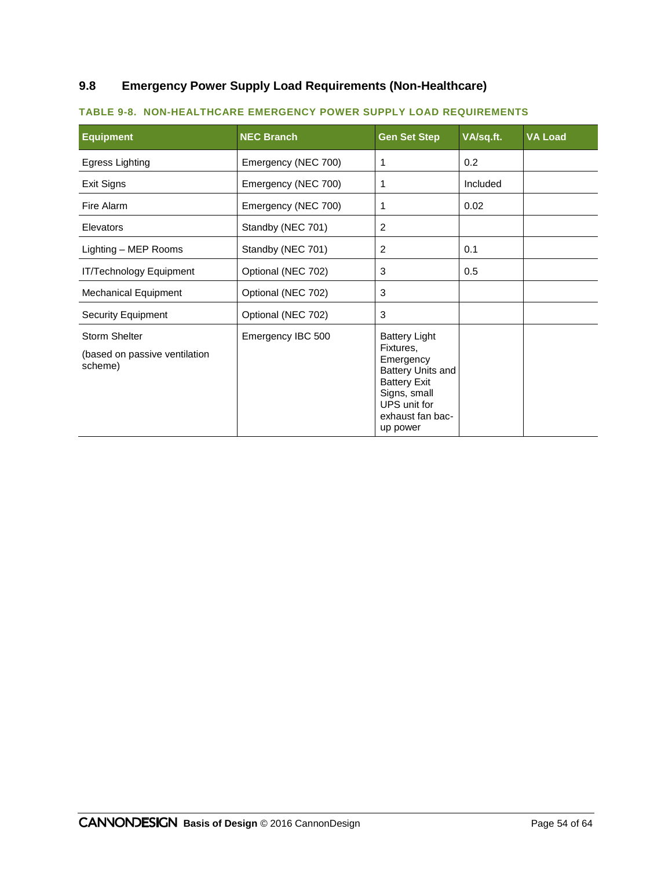# **9.8 Emergency Power Supply Load Requirements (Non-Healthcare)**

| <b>Equipment</b>                                                 | <b>NEC Branch</b>                | <b>Gen Set Step</b>                                                                                                                                               | VA/sq.ft. | <b>VA Load</b> |
|------------------------------------------------------------------|----------------------------------|-------------------------------------------------------------------------------------------------------------------------------------------------------------------|-----------|----------------|
| <b>Egress Lighting</b>                                           | Emergency (NEC 700)              | 1                                                                                                                                                                 | 0.2       |                |
| Exit Signs                                                       | Emergency (NEC 700)              | 1                                                                                                                                                                 | Included  |                |
| Fire Alarm                                                       | Emergency (NEC 700)<br>1<br>0.02 |                                                                                                                                                                   |           |                |
| Elevators                                                        | Standby (NEC 701)                | 2                                                                                                                                                                 |           |                |
| Lighting - MEP Rooms                                             | Standby (NEC 701)                | 2                                                                                                                                                                 | 0.1       |                |
| IT/Technology Equipment                                          | Optional (NEC 702)               | 3                                                                                                                                                                 | 0.5       |                |
| <b>Mechanical Equipment</b>                                      | Optional (NEC 702)               | 3                                                                                                                                                                 |           |                |
| <b>Security Equipment</b>                                        | Optional (NEC 702)               | 3                                                                                                                                                                 |           |                |
| <b>Storm Shelter</b><br>(based on passive ventilation<br>scheme) | Emergency IBC 500                | <b>Battery Light</b><br>Fixtures,<br>Emergency<br><b>Battery Units and</b><br><b>Battery Exit</b><br>Signs, small<br>UPS unit for<br>exhaust fan bac-<br>up power |           |                |

#### **TABLE 9-8. NON-HEALTHCARE EMERGENCY POWER SUPPLY LOAD REQUIREMENTS**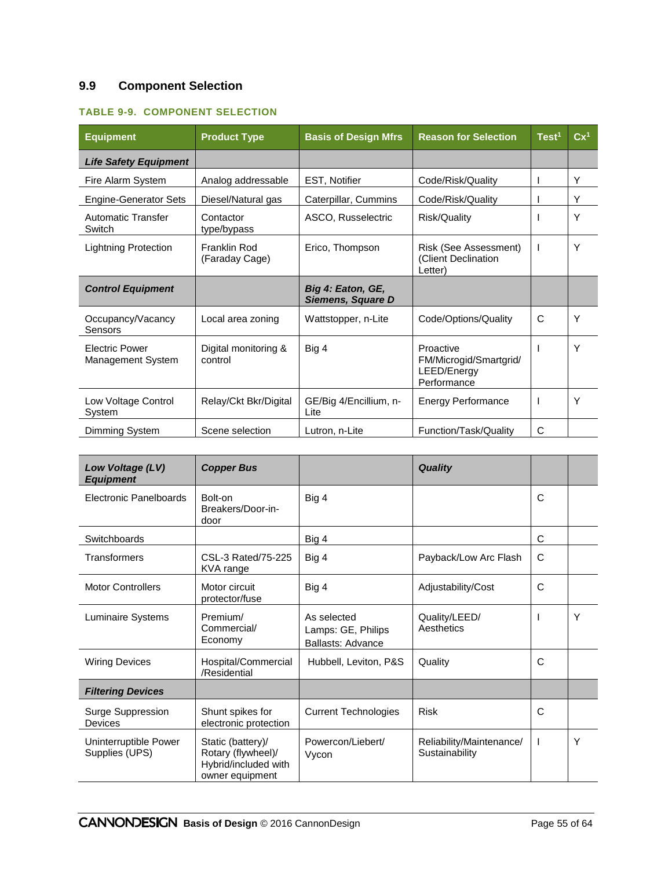# **9.9 Component Selection**

### **TABLE 9-9. COMPONENT SELECTION**

| <b>Equipment</b>                           | <b>Product Type</b>             | <b>Basis of Design Mfrs</b>            | <b>Reason for Selection</b>                                       | Test <sup>1</sup> | $Cx^1$ |
|--------------------------------------------|---------------------------------|----------------------------------------|-------------------------------------------------------------------|-------------------|--------|
| <b>Life Safety Equipment</b>               |                                 |                                        |                                                                   |                   |        |
| Fire Alarm System                          | Analog addressable              | EST, Notifier                          | Code/Risk/Quality                                                 |                   | Υ      |
| <b>Engine-Generator Sets</b>               | Diesel/Natural gas              | Caterpillar, Cummins                   | Code/Risk/Quality                                                 |                   | Y      |
| <b>Automatic Transfer</b><br>Switch        | Contactor<br>type/bypass        | ASCO, Russelectric                     | Risk/Quality                                                      |                   | Y      |
| <b>Lightning Protection</b>                | Franklin Rod<br>(Faraday Cage)  | Erico, Thompson                        | Risk (See Assessment)<br>(Client Declination<br>Letter)           |                   | Y      |
| <b>Control Equipment</b>                   |                                 | Big 4: Eaton, GE,<br>Siemens, Square D |                                                                   |                   |        |
| Occupancy/Vacancy<br>Sensors               | Local area zoning               | Wattstopper, n-Lite                    | Code/Options/Quality                                              | C                 | Y      |
| <b>Electric Power</b><br>Management System | Digital monitoring &<br>control | Big 4                                  | Proactive<br>FM/Microgid/Smartgrid/<br>LEED/Energy<br>Performance |                   | Y      |
| Low Voltage Control<br>System              | Relay/Ckt Bkr/Digital           | GE/Big 4/Encillium, n-<br>Lite         | <b>Energy Performance</b>                                         |                   | Y      |
| Dimming System                             | Scene selection                 | Lutron, n-Lite                         | Function/Task/Quality                                             | C                 |        |

| Low Voltage (LV)<br><b>Equipment</b>    | <b>Copper Bus</b>                                                                  |                                                               | <b>Quality</b>                             |              |   |
|-----------------------------------------|------------------------------------------------------------------------------------|---------------------------------------------------------------|--------------------------------------------|--------------|---|
| Electronic Panelboards                  | Bolt-on<br>Breakers/Door-in-<br>door                                               | Big 4                                                         |                                            | C            |   |
| Switchboards                            |                                                                                    | Big 4                                                         |                                            | C            |   |
| Transformers                            | CSL-3 Rated/75-225<br>KVA range                                                    | Big 4                                                         | Payback/Low Arc Flash                      | C            |   |
| <b>Motor Controllers</b>                | Motor circuit<br>protector/fuse                                                    | Big 4                                                         | Adjustability/Cost                         | $\mathsf{C}$ |   |
| Luminaire Systems                       | Premium/<br>Commercial/<br>Economy                                                 | As selected<br>Lamps: GE, Philips<br><b>Ballasts: Advance</b> | Quality/LEED/<br>Aesthetics                |              | Υ |
| <b>Wiring Devices</b>                   | Hospital/Commercial<br>/Residential                                                | Hubbell, Leviton, P&S                                         | Quality                                    | C            |   |
| <b>Filtering Devices</b>                |                                                                                    |                                                               |                                            |              |   |
| Surge Suppression<br><b>Devices</b>     | Shunt spikes for<br>electronic protection                                          | <b>Current Technologies</b>                                   | <b>Risk</b>                                | C            |   |
| Uninterruptible Power<br>Supplies (UPS) | Static (battery)/<br>Rotary (flywheel)/<br>Hybrid/included with<br>owner equipment | Powercon/Liebert/<br>Vycon                                    | Reliability/Maintenance/<br>Sustainability | $\mathbf{I}$ | Υ |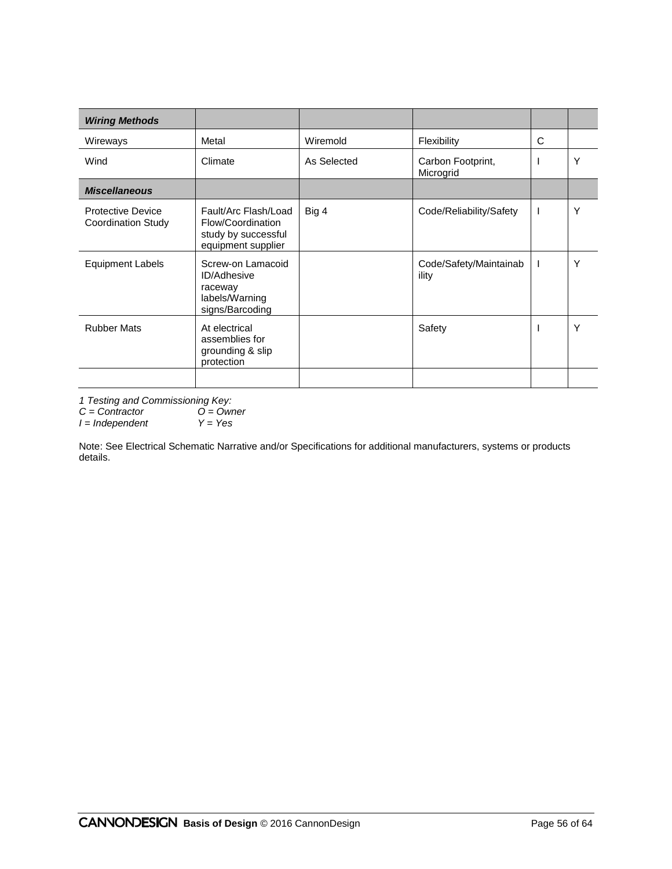| <b>Wiring Methods</b>                          |                                                                                         |             |                                 |   |   |
|------------------------------------------------|-----------------------------------------------------------------------------------------|-------------|---------------------------------|---|---|
| Wireways                                       | Metal                                                                                   | Wiremold    | Flexibility                     | C |   |
| Wind                                           | Climate                                                                                 | As Selected | Carbon Footprint,<br>Microgrid  |   | Y |
| <b>Miscellaneous</b>                           |                                                                                         |             |                                 |   |   |
| Protective Device<br><b>Coordination Study</b> | Fault/Arc Flash/Load<br>Flow/Coordination<br>study by successful<br>equipment supplier  | Big 4       | Code/Reliability/Safety         | I | Y |
| <b>Equipment Labels</b>                        | Screw-on Lamacoid<br><b>ID/Adhesive</b><br>raceway<br>labels/Warning<br>signs/Barcoding |             | Code/Safety/Maintainab<br>ility |   | Y |
| <b>Rubber Mats</b>                             | At electrical<br>assemblies for<br>grounding & slip<br>protection                       |             | Safety                          |   | Y |
|                                                |                                                                                         |             |                                 |   |   |

*1 Testing and Commissioning Key:*

*C = Contractor O = Owner*

*I = Independent Y = Yes*

Note: See Electrical Schematic Narrative and/or Specifications for additional manufacturers, systems or products details.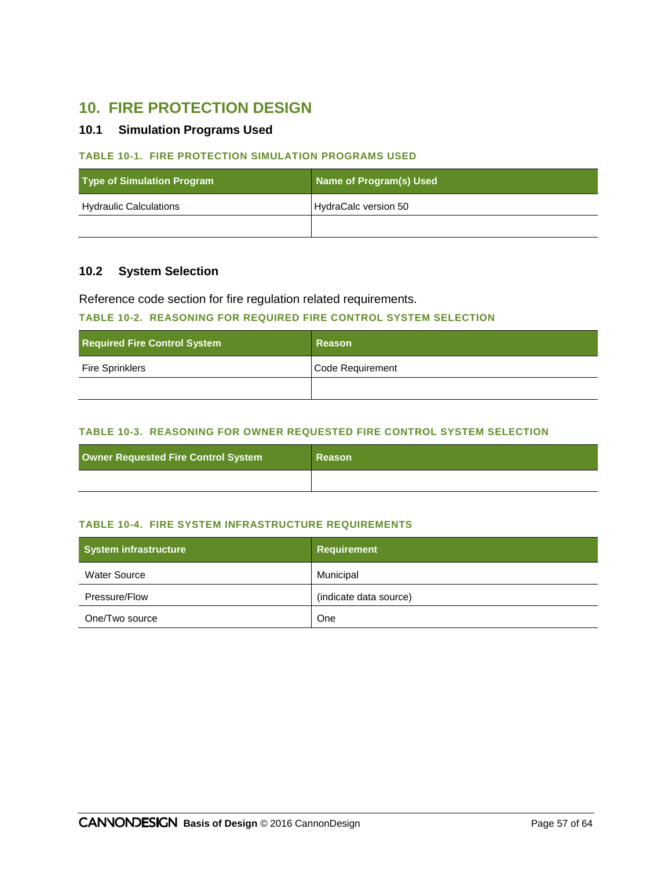# **10. FIRE PROTECTION DESIGN**

#### **10.1 Simulation Programs Used**

#### **TABLE 10-1. FIRE PROTECTION SIMULATION PROGRAMS USED**

| <b>Type of Simulation Program</b> | Name of Program(s) Used |
|-----------------------------------|-------------------------|
| <b>Hydraulic Calculations</b>     | HydraCalc version 50    |
|                                   |                         |

# **10.2 System Selection**

Reference code section for fire regulation related requirements.

#### **TABLE 10-2. REASONING FOR REQUIRED FIRE CONTROL SYSTEM SELECTION**

| <b>Required Fire Control System</b> | Reason           |
|-------------------------------------|------------------|
| <b>Fire Sprinklers</b>              | Code Requirement |
|                                     |                  |

#### **TABLE 10-3. REASONING FOR OWNER REQUESTED FIRE CONTROL SYSTEM SELECTION**

| Owner Requested Fire Control System | Reason |
|-------------------------------------|--------|
|                                     |        |

#### **TABLE 10-4. FIRE SYSTEM INFRASTRUCTURE REQUIREMENTS**

| System infrastructure | <b>Requirement</b>     |
|-----------------------|------------------------|
| <b>Water Source</b>   | Municipal              |
| Pressure/Flow         | (indicate data source) |
| One/Two source        | One                    |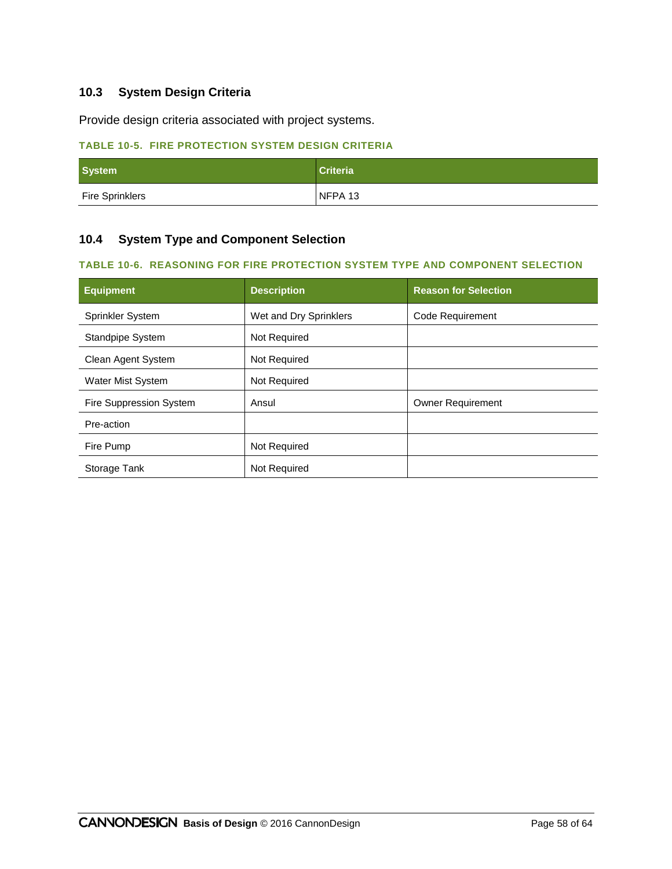# **10.3 System Design Criteria**

Provide design criteria associated with project systems.

# **TABLE 10-5. FIRE PROTECTION SYSTEM DESIGN CRITERIA**

| <b>System</b>          | <b>Criteria</b> |
|------------------------|-----------------|
| <b>Fire Sprinklers</b> | NFPA 13         |

# **10.4 System Type and Component Selection**

#### **TABLE 10-6. REASONING FOR FIRE PROTECTION SYSTEM TYPE AND COMPONENT SELECTION**

| <b>Equipment</b>        | <b>Description</b>     | <b>Reason for Selection</b> |
|-------------------------|------------------------|-----------------------------|
| <b>Sprinkler System</b> | Wet and Dry Sprinklers | Code Requirement            |
| <b>Standpipe System</b> | Not Required           |                             |
| Clean Agent System      | Not Required           |                             |
| Water Mist System       | Not Required           |                             |
| Fire Suppression System | Ansul                  | <b>Owner Requirement</b>    |
| Pre-action              |                        |                             |
| Fire Pump               | Not Required           |                             |
| Storage Tank            | Not Required           |                             |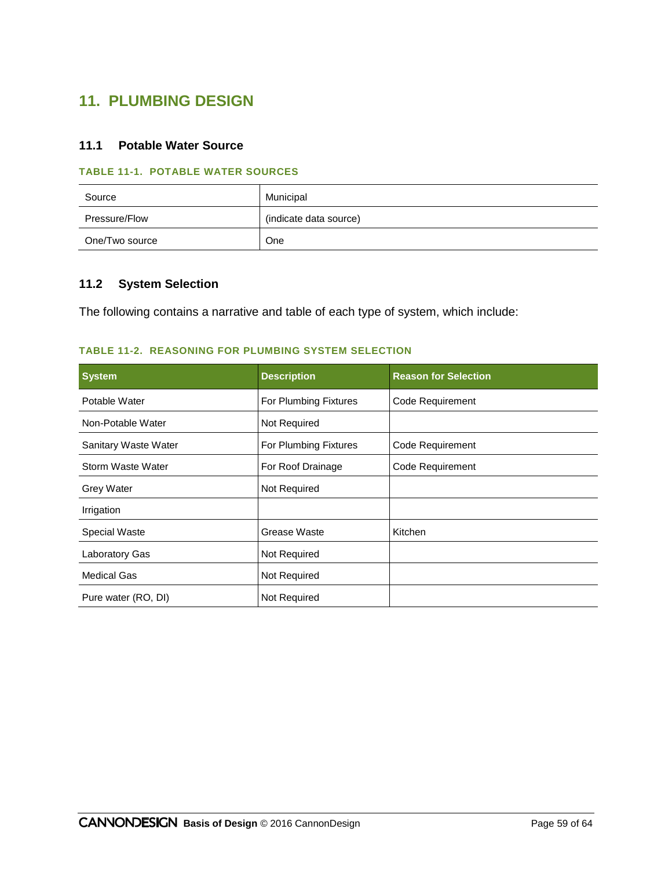# **11. PLUMBING DESIGN**

# **11.1 Potable Water Source**

#### **TABLE 11-1. POTABLE WATER SOURCES**

| Source         | Municipal              |
|----------------|------------------------|
| Pressure/Flow  | (indicate data source) |
| One/Two source | One                    |

# **11.2 System Selection**

The following contains a narrative and table of each type of system, which include:

#### **TABLE 11-2. REASONING FOR PLUMBING SYSTEM SELECTION**

| <b>System</b>        | <b>Description</b>    | <b>Reason for Selection</b> |
|----------------------|-----------------------|-----------------------------|
| Potable Water        | For Plumbing Fixtures | Code Requirement            |
| Non-Potable Water    | Not Required          |                             |
| Sanitary Waste Water | For Plumbing Fixtures | Code Requirement            |
| Storm Waste Water    | For Roof Drainage     | Code Requirement            |
| <b>Grey Water</b>    | Not Required          |                             |
| Irrigation           |                       |                             |
| <b>Special Waste</b> | Grease Waste          | Kitchen                     |
| Laboratory Gas       | Not Required          |                             |
| Medical Gas          | Not Required          |                             |
| Pure water (RO, DI)  | Not Required          |                             |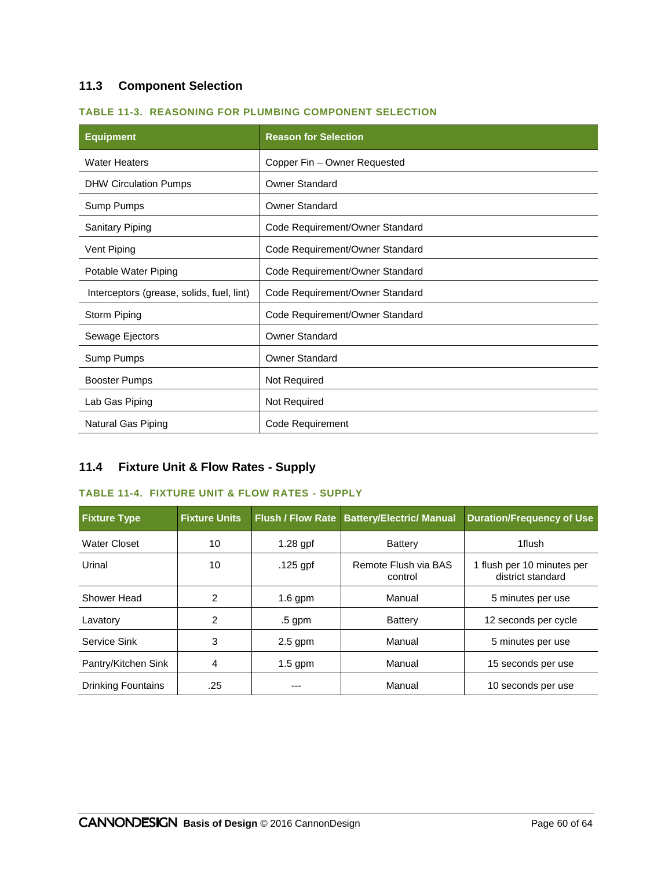# **11.3 Component Selection**

| <b>Equipment</b>                          | <b>Reason for Selection</b>     |  |
|-------------------------------------------|---------------------------------|--|
| <b>Water Heaters</b>                      | Copper Fin - Owner Requested    |  |
| <b>DHW Circulation Pumps</b>              | <b>Owner Standard</b>           |  |
| Sump Pumps                                | <b>Owner Standard</b>           |  |
| <b>Sanitary Piping</b>                    | Code Requirement/Owner Standard |  |
| Vent Piping                               | Code Requirement/Owner Standard |  |
| Potable Water Piping                      | Code Requirement/Owner Standard |  |
| Interceptors (grease, solids, fuel, lint) | Code Requirement/Owner Standard |  |
| Storm Piping                              | Code Requirement/Owner Standard |  |
| Sewage Ejectors                           | <b>Owner Standard</b>           |  |
| Sump Pumps                                | <b>Owner Standard</b>           |  |
| Booster Pumps                             | Not Required                    |  |
| Lab Gas Piping                            | Not Required                    |  |
| Natural Gas Piping                        | Code Requirement                |  |

# **11.4 Fixture Unit & Flow Rates - Supply**

#### **TABLE 11-4. FIXTURE UNIT & FLOW RATES - SUPPLY**

| <b>Fixture Type</b> | <b>Fixture Units</b> |            | Flush / Flow Rate Battery/Electric/ Manual | <b>Duration/Frequency of Use</b>                |
|---------------------|----------------------|------------|--------------------------------------------|-------------------------------------------------|
| Water Closet        | 10                   | $1.28$ gpf | Battery                                    | 1flush                                          |
| Urinal              | 10                   | $.125$ gpf | Remote Flush via BAS<br>control            | 1 flush per 10 minutes per<br>district standard |
| Shower Head         | 2                    | $1.6$ gpm  | Manual                                     | 5 minutes per use                               |
| Lavatory            | 2                    | $.5$ gpm   | Battery                                    | 12 seconds per cycle                            |
| Service Sink        | 3                    | $2.5$ gpm  | Manual                                     | 5 minutes per use                               |
| Pantry/Kitchen Sink | 4                    | $1.5$ gpm  | Manual                                     | 15 seconds per use                              |
| Drinking Fountains  | .25                  | ---        | Manual                                     | 10 seconds per use                              |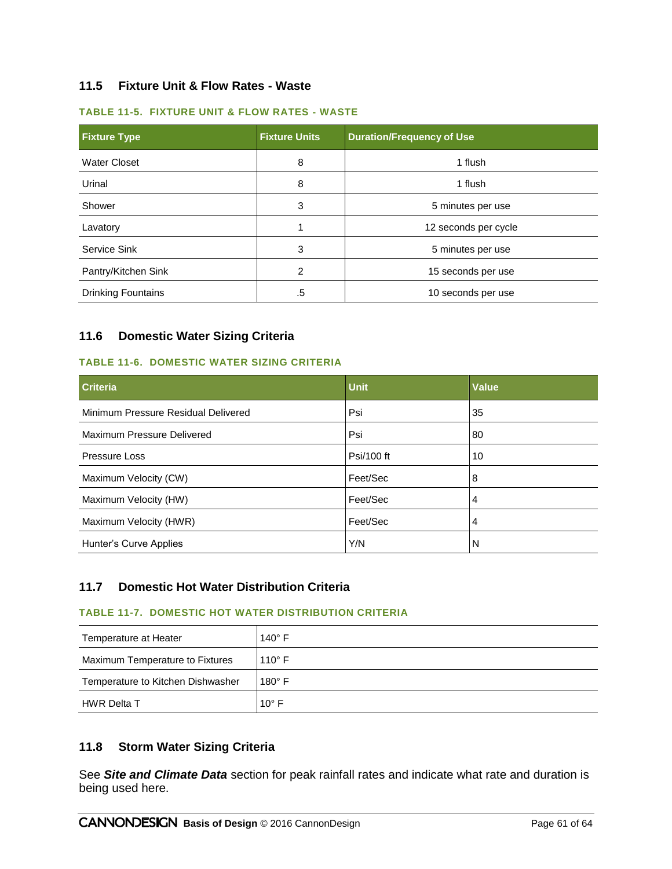# **11.5 Fixture Unit & Flow Rates - Waste**

#### **TABLE 11-5. FIXTURE UNIT & FLOW RATES - WASTE**

| <b>Fixture Type</b>       | <b>Fixture Units</b> | <b>Duration/Frequency of Use</b> |  |
|---------------------------|----------------------|----------------------------------|--|
| <b>Water Closet</b>       | 8                    | 1 flush                          |  |
| Urinal                    | 8                    | 1 flush                          |  |
| Shower                    | 3                    | 5 minutes per use                |  |
| Lavatory                  |                      | 12 seconds per cycle             |  |
| Service Sink              | 3                    | 5 minutes per use                |  |
| Pantry/Kitchen Sink       | 2                    | 15 seconds per use               |  |
| <b>Drinking Fountains</b> | .5                   | 10 seconds per use               |  |

#### **11.6 Domestic Water Sizing Criteria**

#### **TABLE 11-6. DOMESTIC WATER SIZING CRITERIA**

| <b>Criteria</b>                     | <b>Unit</b> | <b>Value</b> |
|-------------------------------------|-------------|--------------|
| Minimum Pressure Residual Delivered | Psi         | 35           |
| Maximum Pressure Delivered          | Psi         | 80           |
| Pressure Loss                       | Psi/100 ft  | 10           |
| Maximum Velocity (CW)               | Feet/Sec    | 8            |
| Maximum Velocity (HW)               | Feet/Sec    | 4            |
| Maximum Velocity (HWR)              | Feet/Sec    | 4            |
| Hunter's Curve Applies              | Y/N         | N            |

### **11.7 Domestic Hot Water Distribution Criteria**

#### **TABLE 11-7. DOMESTIC HOT WATER DISTRIBUTION CRITERIA**

| Temperature at Heater             | $140^\circ$ F   |
|-----------------------------------|-----------------|
| Maximum Temperature to Fixtures   | 110 $\degree$ F |
| Temperature to Kitchen Dishwasher | $180^\circ$ F   |
| <b>HWR Delta T</b>                | 10 $\degree$ F  |

#### **11.8 Storm Water Sizing Criteria**

See *[Site and Climate Data](#page-9-0)* section for peak rainfall rates and indicate what rate and duration is being used here.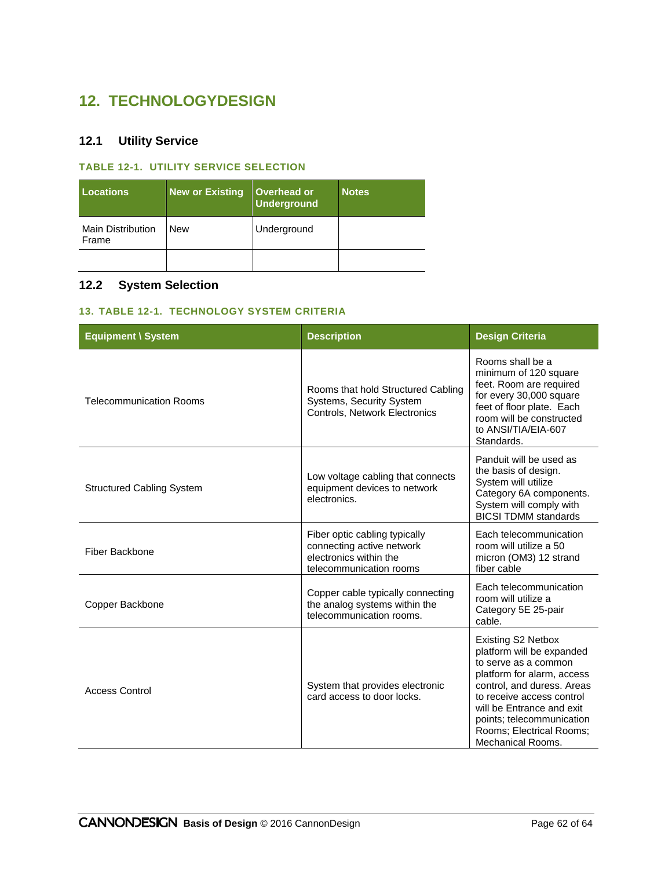# **12. TECHNOLOGYDESIGN**

# **12.1 Utility Service**

# **TABLE 12-1. UTILITY SERVICE SELECTION**

| <b>Locations</b>                  | <b>New or Existing</b> | Overhead or<br><b>Underground</b> | <b>Notes</b> |
|-----------------------------------|------------------------|-----------------------------------|--------------|
| <b>Main Distribution</b><br>Frame | <b>New</b>             | Underground                       |              |
|                                   |                        |                                   |              |

# **12.2 System Selection**

#### **13. TABLE 12-1. TECHNOLOGY SYSTEM CRITERIA**

| <b>Equipment \ System</b>        | <b>Description</b>                                                                                              | <b>Design Criteria</b>                                                                                                                                                                                                                                                             |
|----------------------------------|-----------------------------------------------------------------------------------------------------------------|------------------------------------------------------------------------------------------------------------------------------------------------------------------------------------------------------------------------------------------------------------------------------------|
| <b>Telecommunication Rooms</b>   | Rooms that hold Structured Cabling<br><b>Systems, Security System</b><br>Controls, Network Electronics          | Rooms shall be a<br>minimum of 120 square<br>feet. Room are required<br>for every 30,000 square<br>feet of floor plate. Each<br>room will be constructed<br>to ANSI/TIA/EIA-607<br>Standards.                                                                                      |
| <b>Structured Cabling System</b> | Low voltage cabling that connects<br>equipment devices to network<br>electronics.                               | Panduit will be used as<br>the basis of design.<br>System will utilize<br>Category 6A components.<br>System will comply with<br><b>BICSI TDMM standards</b>                                                                                                                        |
| Fiber Backbone                   | Fiber optic cabling typically<br>connecting active network<br>electronics within the<br>telecommunication rooms | Each telecommunication<br>room will utilize a 50<br>micron (OM3) 12 strand<br>fiber cable                                                                                                                                                                                          |
| Copper Backbone                  | Copper cable typically connecting<br>the analog systems within the<br>telecommunication rooms.                  | Each telecommunication<br>room will utilize a<br>Category 5E 25-pair<br>cable.                                                                                                                                                                                                     |
| <b>Access Control</b>            | System that provides electronic<br>card access to door locks.                                                   | Existing S2 Netbox<br>platform will be expanded<br>to serve as a common<br>platform for alarm, access<br>control, and duress. Areas<br>to receive access control<br>will be Entrance and exit<br>points; telecommunication<br>Rooms; Electrical Rooms;<br><b>Mechanical Rooms.</b> |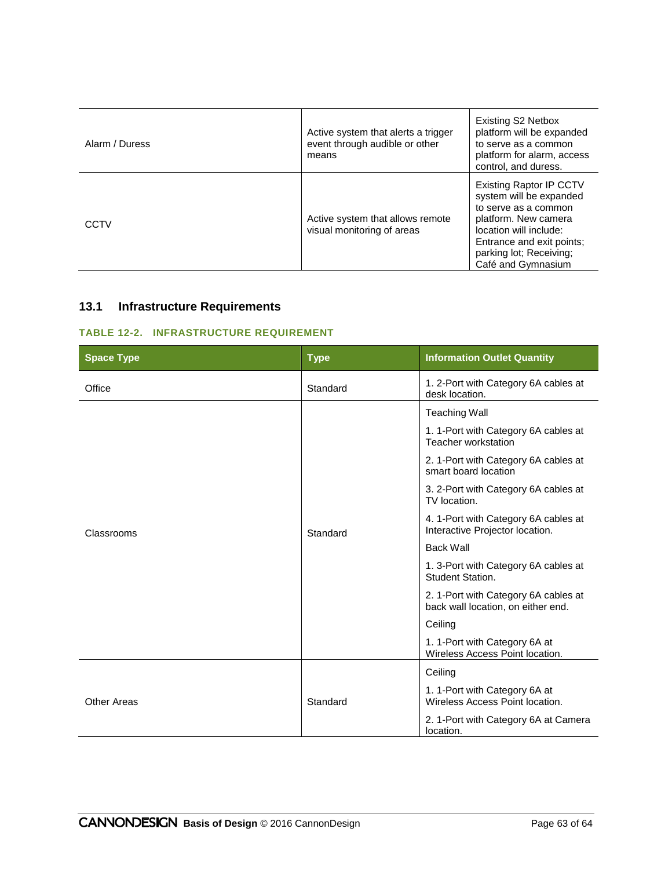| Alarm / Duress | Active system that alerts a trigger<br>event through audible or other<br>means | <b>Existing S2 Netbox</b><br>platform will be expanded<br>to serve as a common<br>platform for alarm, access<br>control, and duress.                                                                              |
|----------------|--------------------------------------------------------------------------------|-------------------------------------------------------------------------------------------------------------------------------------------------------------------------------------------------------------------|
| CCTV           | Active system that allows remote<br>visual monitoring of areas                 | <b>Existing Raptor IP CCTV</b><br>system will be expanded<br>to serve as a common<br>platform. New camera<br>location will include:<br>Entrance and exit points;<br>parking lot; Receiving;<br>Café and Gymnasium |

# **13.1 Infrastructure Requirements**

#### **TABLE 12-2. INFRASTRUCTURE REQUIREMENT**

| <b>Space Type</b> | <b>Type</b> | <b>Information Outlet Quantity</b>                                         |
|-------------------|-------------|----------------------------------------------------------------------------|
| Office            | Standard    | 1. 2-Port with Category 6A cables at<br>desk location.                     |
| Classrooms        |             | <b>Teaching Wall</b>                                                       |
|                   |             | 1. 1-Port with Category 6A cables at<br>Teacher workstation                |
|                   |             | 2. 1-Port with Category 6A cables at<br>smart board location               |
|                   | Standard    | 3. 2-Port with Category 6A cables at<br>TV location.                       |
|                   |             | 4. 1-Port with Category 6A cables at<br>Interactive Projector location.    |
|                   |             | <b>Back Wall</b>                                                           |
|                   |             | 1. 3-Port with Category 6A cables at<br>Student Station.                   |
|                   |             | 2. 1-Port with Category 6A cables at<br>back wall location, on either end. |
|                   |             | Ceiling                                                                    |
|                   |             | 1. 1-Port with Category 6A at<br>Wireless Access Point location.           |
|                   |             | Ceiling                                                                    |
| Other Areas       | Standard    | 1. 1-Port with Category 6A at<br>Wireless Access Point location.           |
|                   |             | 2. 1-Port with Category 6A at Camera<br>location.                          |